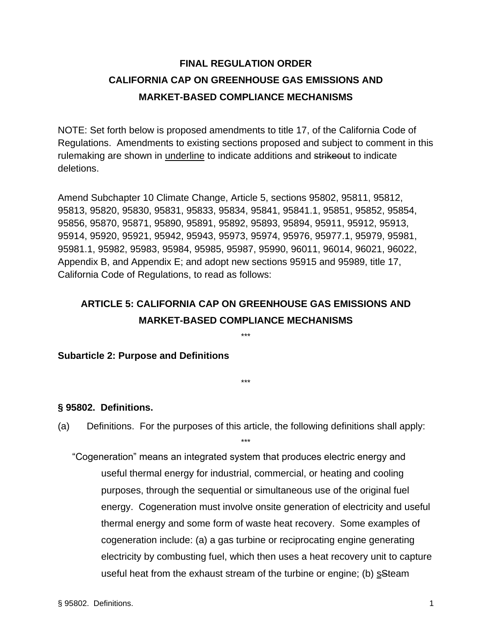# **FINAL REGULATION ORDER CALIFORNIA CAP ON GREENHOUSE GAS EMISSIONS AND MARKET-BASED COMPLIANCE MECHANISMS**

NOTE: Set forth below is proposed amendments to title 17, of the California Code of Regulations. Amendments to existing sections proposed and subject to comment in this rulemaking are shown in underline to indicate additions and strikeout to indicate deletions.

Amend Subchapter 10 Climate Change, Article 5, sections 95802, 95811, 95812, 95813, 95820, 95830, 95831, 95833, 95834, 95841, 95841.1, 95851, 95852, 95854, 95856, 95870, 95871, 95890, 95891, 95892, 95893, 95894, 95911, 95912, 95913, 95914, 95920, 95921, 95942, 95943, 95973, 95974, 95976, 95977.1, 95979, 95981, 95981.1, 95982, 95983, 95984, 95985, 95987, 95990, 96011, 96014, 96021, 96022, Appendix B, and Appendix E; and adopt new sections 95915 and 95989, title 17, California Code of Regulations, to read as follows:

# **ARTICLE 5: CALIFORNIA CAP ON GREENHOUSE GAS EMISSIONS AND MARKET-BASED COMPLIANCE MECHANISMS**

\*\*\*

\*\*\*

### **Subarticle 2: Purpose and Definitions**

#### **§ 95802. Definitions.**

(a) Definitions. For the purposes of this article, the following definitions shall apply: \*\*\*

"Cogeneration" means an integrated system that produces electric energy and useful thermal energy for industrial, commercial, or heating and cooling purposes, through the sequential or simultaneous use of the original fuel energy. Cogeneration must involve onsite generation of electricity and useful thermal energy and some form of waste heat recovery. Some examples of cogeneration include: (a) a gas turbine or reciprocating engine generating electricity by combusting fuel, which then uses a heat recovery unit to capture useful heat from the exhaust stream of the turbine or engine; (b) sSteam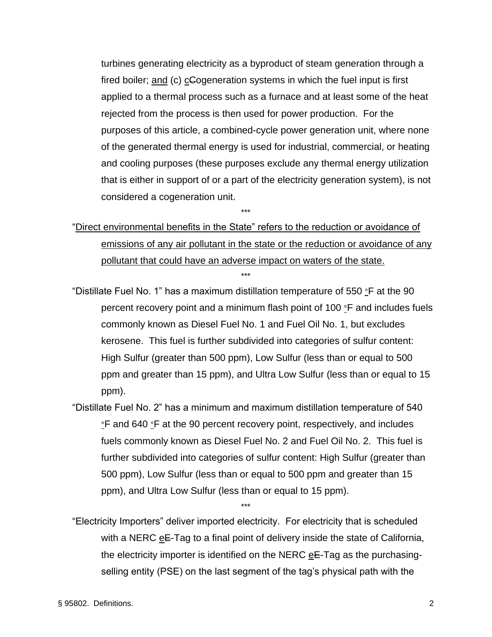turbines generating electricity as a byproduct of steam generation through a fired boiler; and (c) cCogeneration systems in which the fuel input is first applied to a thermal process such as a furnace and at least some of the heat rejected from the process is then used for power production. For the purposes of this article, a combined-cycle power generation unit, where none of the generated thermal energy is used for industrial, commercial, or heating and cooling purposes (these purposes exclude any thermal energy utilization that is either in support of or a part of the electricity generation system), is not considered a cogeneration unit.

"Direct environmental benefits in the State" refers to the reduction or avoidance of emissions of any air pollutant in the state or the reduction or avoidance of any pollutant that could have an adverse impact on waters of the state. \*\*\*

\*\*\*

"Distillate Fuel No. 1" has a maximum distillation temperature of 550  $\degree$ F at the 90 percent recovery point and a minimum flash point of 100 °F and includes fuels commonly known as Diesel Fuel No. 1 and Fuel Oil No. 1, but excludes kerosene. This fuel is further subdivided into categories of sulfur content: High Sulfur (greater than 500 ppm), Low Sulfur (less than or equal to 500 ppm and greater than 15 ppm), and Ultra Low Sulfur (less than or equal to 15 ppm).

"Distillate Fuel No. 2" has a minimum and maximum distillation temperature of 540 °F and 640 °F at the 90 percent recovery point, respectively, and includes fuels commonly known as Diesel Fuel No. 2 and Fuel Oil No. 2. This fuel is further subdivided into categories of sulfur content: High Sulfur (greater than 500 ppm), Low Sulfur (less than or equal to 500 ppm and greater than 15 ppm), and Ultra Low Sulfur (less than or equal to 15 ppm).

"Electricity Importers" deliver imported electricity. For electricity that is scheduled with a NERC eE-Tag to a final point of delivery inside the state of California, the electricity importer is identified on the NERC  $eE$ -Tag as the purchasingselling entity (PSE) on the last segment of the tag's physical path with the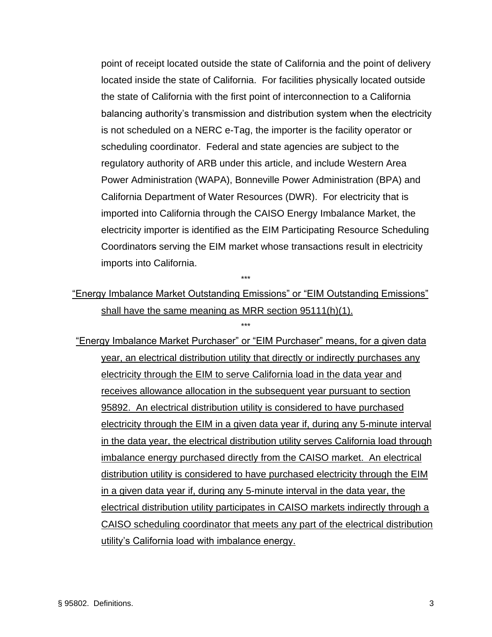point of receipt located outside the state of California and the point of delivery located inside the state of California. For facilities physically located outside the state of California with the first point of interconnection to a California balancing authority's transmission and distribution system when the electricity is not scheduled on a NERC e-Tag, the importer is the facility operator or scheduling coordinator. Federal and state agencies are subject to the regulatory authority of ARB under this article, and include Western Area Power Administration (WAPA), Bonneville Power Administration (BPA) and California Department of Water Resources (DWR). For electricity that is imported into California through the CAISO Energy Imbalance Market, the electricity importer is identified as the EIM Participating Resource Scheduling Coordinators serving the EIM market whose transactions result in electricity imports into California.

"Energy Imbalance Market Outstanding Emissions" or "EIM Outstanding Emissions" shall have the same meaning as MRR section 95111(h)(1).

\*\*\*

\*\*\*

"Energy Imbalance Market Purchaser" or "EIM Purchaser" means, for a given data year, an electrical distribution utility that directly or indirectly purchases any electricity through the EIM to serve California load in the data year and receives allowance allocation in the subsequent year pursuant to section 95892. An electrical distribution utility is considered to have purchased electricity through the EIM in a given data year if, during any 5-minute interval in the data year, the electrical distribution utility serves California load through imbalance energy purchased directly from the CAISO market. An electrical distribution utility is considered to have purchased electricity through the EIM in a given data year if, during any 5-minute interval in the data year, the electrical distribution utility participates in CAISO markets indirectly through a CAISO scheduling coordinator that meets any part of the electrical distribution utility's California load with imbalance energy.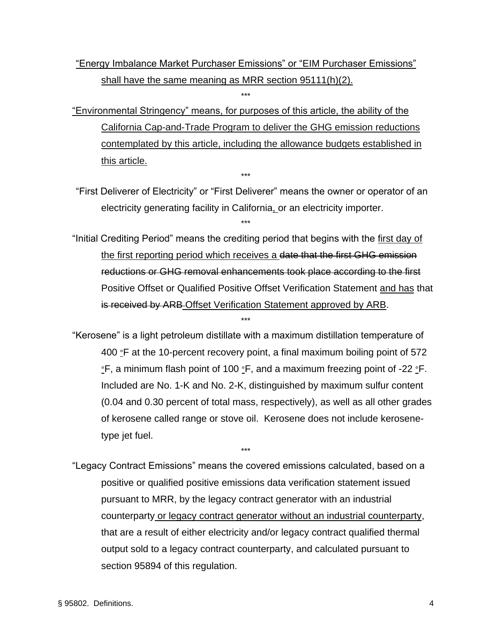# "Energy Imbalance Market Purchaser Emissions" or "EIM Purchaser Emissions" shall have the same meaning as MRR section 95111(h)(2).

\*\*\*

"Environmental Stringency" means, for purposes of this article, the ability of the California Cap-and-Trade Program to deliver the GHG emission reductions contemplated by this article, including the allowance budgets established in this article.

\*\*\*

"First Deliverer of Electricity" or "First Deliverer" means the owner or operator of an electricity generating facility in California, or an electricity importer.

\*\*\*

"Initial Crediting Period" means the crediting period that begins with the first day of the first reporting period which receives a date that the first GHG emission reductions or GHG removal enhancements took place according to the first Positive Offset or Qualified Positive Offset Verification Statement and has that is received by ARB-Offset Verification Statement approved by ARB.

\*\*\*

"Kerosene" is a light petroleum distillate with a maximum distillation temperature of 400  $\degree$ F at the 10-percent recovery point, a final maximum boiling point of 572 °F, a minimum flash point of 100 °F, and a maximum freezing point of -22 °F. Included are No. 1-K and No. 2-K, distinguished by maximum sulfur content (0.04 and 0.30 percent of total mass, respectively), as well as all other grades of kerosene called range or stove oil. Kerosene does not include kerosenetype jet fuel.

"Legacy Contract Emissions" means the covered emissions calculated, based on a positive or qualified positive emissions data verification statement issued pursuant to MRR, by the legacy contract generator with an industrial counterparty or legacy contract generator without an industrial counterparty, that are a result of either electricity and/or legacy contract qualified thermal output sold to a legacy contract counterparty, and calculated pursuant to section 95894 of this regulation.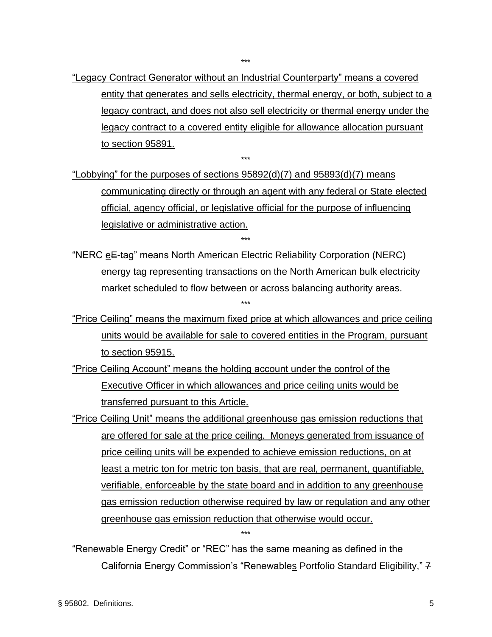"Legacy Contract Generator without an Industrial Counterparty" means a covered entity that generates and sells electricity, thermal energy, or both, subject to a legacy contract, and does not also sell electricity or thermal energy under the legacy contract to a covered entity eligible for allowance allocation pursuant to section 95891.

"Lobbying" for the purposes of sections 95892(d)(7) and 95893(d)(7) means communicating directly or through an agent with any federal or State elected official, agency official, or legislative official for the purpose of influencing legislative or administrative action.

\*\*\*

"NERC eE-tag" means North American Electric Reliability Corporation (NERC) energy tag representing transactions on the North American bulk electricity market scheduled to flow between or across balancing authority areas.

\*\*\*

\*\*\*

- "Price Ceiling" means the maximum fixed price at which allowances and price ceiling units would be available for sale to covered entities in the Program, pursuant to section 95915.
- "Price Ceiling Account" means the holding account under the control of the Executive Officer in which allowances and price ceiling units would be transferred pursuant to this Article.

"Price Ceiling Unit" means the additional greenhouse gas emission reductions that are offered for sale at the price ceiling. Moneys generated from issuance of price ceiling units will be expended to achieve emission reductions, on at least a metric ton for metric ton basis, that are real, permanent, quantifiable, verifiable, enforceable by the state board and in addition to any greenhouse gas emission reduction otherwise required by law or regulation and any other greenhouse gas emission reduction that otherwise would occur.

"Renewable Energy Credit" or "REC" has the same meaning as defined in the California Energy Commission's "Renewables Portfolio Standard Eligibility," 7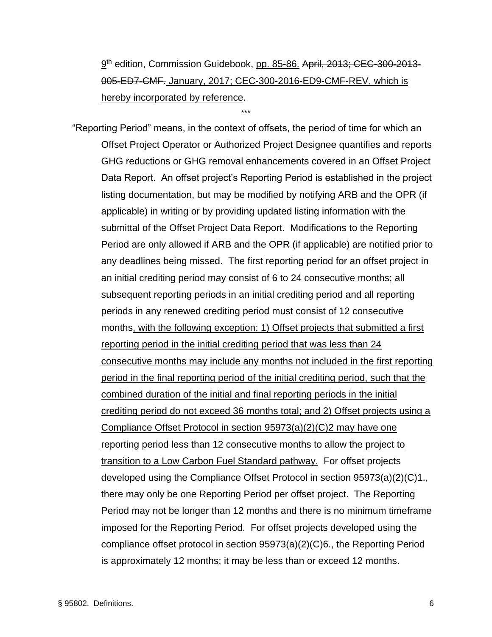9<sup>th</sup> edition, Commission Guidebook, pp. 85-86. April<del>, 2013; CEC-300-2013</del>-005‐ED7‐CMF. January, 2017; CEC-300-2016-ED9-CMF-REV, which is hereby incorporated by reference.

\*\*\*

"Reporting Period" means, in the context of offsets, the period of time for which an Offset Project Operator or Authorized Project Designee quantifies and reports GHG reductions or GHG removal enhancements covered in an Offset Project Data Report. An offset project's Reporting Period is established in the project listing documentation, but may be modified by notifying ARB and the OPR (if applicable) in writing or by providing updated listing information with the submittal of the Offset Project Data Report. Modifications to the Reporting Period are only allowed if ARB and the OPR (if applicable) are notified prior to any deadlines being missed. The first reporting period for an offset project in an initial crediting period may consist of 6 to 24 consecutive months; all subsequent reporting periods in an initial crediting period and all reporting periods in any renewed crediting period must consist of 12 consecutive months, with the following exception: 1) Offset projects that submitted a first reporting period in the initial crediting period that was less than 24 consecutive months may include any months not included in the first reporting period in the final reporting period of the initial crediting period, such that the combined duration of the initial and final reporting periods in the initial crediting period do not exceed 36 months total; and 2) Offset projects using a Compliance Offset Protocol in section 95973(a)(2)(C)2 may have one reporting period less than 12 consecutive months to allow the project to transition to a Low Carbon Fuel Standard pathway. For offset projects developed using the Compliance Offset Protocol in section 95973(a)(2)(C)1., there may only be one Reporting Period per offset project. The Reporting Period may not be longer than 12 months and there is no minimum timeframe imposed for the Reporting Period. For offset projects developed using the compliance offset protocol in section 95973(a)(2)(C)6., the Reporting Period is approximately 12 months; it may be less than or exceed 12 months.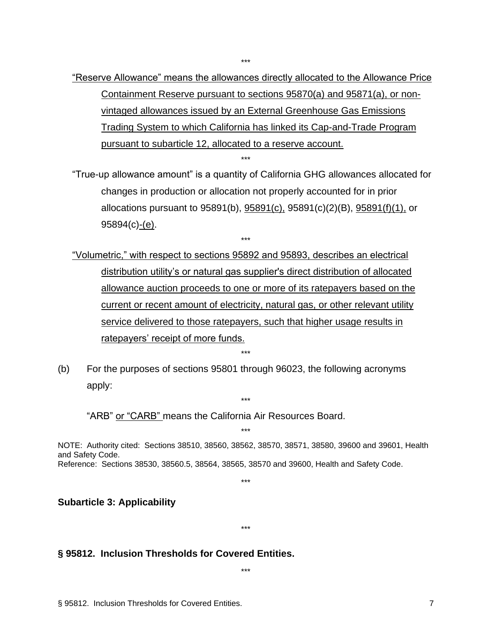"Reserve Allowance" means the allowances directly allocated to the Allowance Price Containment Reserve pursuant to sections 95870(a) and 95871(a), or nonvintaged allowances issued by an External Greenhouse Gas Emissions Trading System to which California has linked its Cap-and-Trade Program

\*\*\*

pursuant to subarticle 12, allocated to a reserve account.

"True-up allowance amount" is a quantity of California GHG allowances allocated for changes in production or allocation not properly accounted for in prior allocations pursuant to 95891(b), 95891(c), 95891(c)(2)(B), 95891(f)(1), or 95894(c)-(e).

\*\*\*

"Volumetric," with respect to sections 95892 and 95893, describes an electrical distribution utility's or natural gas supplier's direct distribution of allocated allowance auction proceeds to one or more of its ratepayers based on the current or recent amount of electricity, natural gas, or other relevant utility service delivered to those ratepayers, such that higher usage results in ratepayers' receipt of more funds.

\*\*\*

\*\*\*

\*\*\*

(b) For the purposes of sections 95801 through 96023, the following acronyms apply:

"ARB" or "CARB" means the California Air Resources Board.

NOTE: Authority cited: Sections 38510, 38560, 38562, 38570, 38571, 38580, 39600 and 39601, Health and Safety Code. Reference: Sections 38530, 38560.5, 38564, 38565, 38570 and 39600, Health and Safety Code.

\*\*\*

\*\*\*

#### **Subarticle 3: Applicability**

#### **§ 95812. Inclusion Thresholds for Covered Entities.**

\*\*\*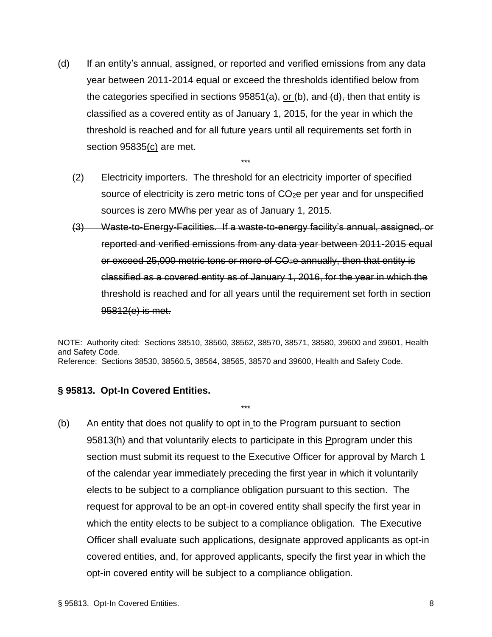- (d) If an entity's annual, assigned, or reported and verified emissions from any data year between 2011-2014 equal or exceed the thresholds identified below from the categories specified in sections  $95851(a)$ , or (b), and (d), then that entity is classified as a covered entity as of January 1, 2015, for the year in which the threshold is reached and for all future years until all requirements set forth in section 95835(c) are met.
	- (2) Electricity importers. The threshold for an electricity importer of specified source of electricity is zero metric tons of CO<sub>2</sub>e per year and for unspecified sources is zero MWhs per year as of January 1, 2015.

\*\*\*

(3) Waste-to-Energy-Facilities. If a waste-to-energy facility's annual, assigned, or reported and verified emissions from any data year between 2011-2015 equal or exceed 25,000 metric tons or more of CO<sub>2</sub>e annually, then that entity is classified as a covered entity as of January 1, 2016, for the year in which the threshold is reached and for all years until the requirement set forth in section 95812(e) is met.

NOTE: Authority cited: Sections 38510, 38560, 38562, 38570, 38571, 38580, 39600 and 39601, Health and Safety Code. Reference: Sections 38530, 38560.5, 38564, 38565, 38570 and 39600, Health and Safety Code.

\*\*\*

#### **§ 95813. Opt-In Covered Entities.**

(b) An entity that does not qualify to opt in to the Program pursuant to section 95813(h) and that voluntarily elects to participate in this Perogram under this section must submit its request to the Executive Officer for approval by March 1 of the calendar year immediately preceding the first year in which it voluntarily elects to be subject to a compliance obligation pursuant to this section. The request for approval to be an opt-in covered entity shall specify the first year in which the entity elects to be subject to a compliance obligation. The Executive Officer shall evaluate such applications, designate approved applicants as opt-in covered entities, and, for approved applicants, specify the first year in which the opt-in covered entity will be subject to a compliance obligation.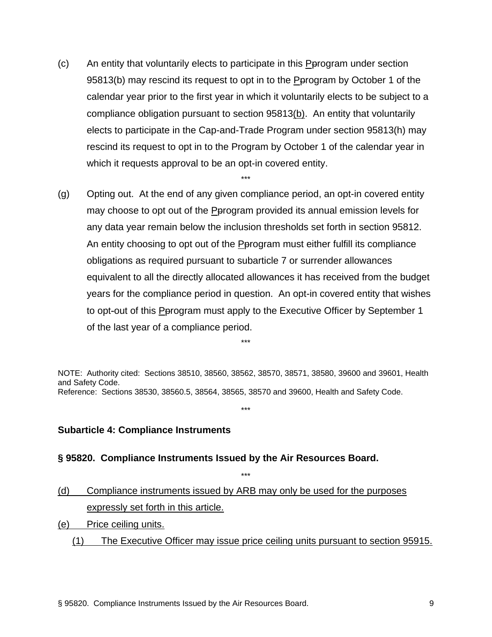(c) An entity that voluntarily elects to participate in this Pprogram under section 95813(b) may rescind its request to opt in to the Pprogram by October 1 of the calendar year prior to the first year in which it voluntarily elects to be subject to a compliance obligation pursuant to section 95813(b). An entity that voluntarily elects to participate in the Cap-and-Trade Program under section 95813(h) may rescind its request to opt in to the Program by October 1 of the calendar year in which it requests approval to be an opt-in covered entity.

\*\*\*

(g) Opting out. At the end of any given compliance period, an opt-in covered entity may choose to opt out of the **Perogram provided its annual emission levels for** any data year remain below the inclusion thresholds set forth in section 95812. An entity choosing to opt out of the Pprogram must either fulfill its compliance obligations as required pursuant to subarticle 7 or surrender allowances equivalent to all the directly allocated allowances it has received from the budget years for the compliance period in question. An opt-in covered entity that wishes to opt-out of this Pprogram must apply to the Executive Officer by September 1 of the last year of a compliance period.

NOTE: Authority cited: Sections 38510, 38560, 38562, 38570, 38571, 38580, 39600 and 39601, Health and Safety Code. Reference: Sections 38530, 38560.5, 38564, 38565, 38570 and 39600, Health and Safety Code.

\*\*\*

\*\*\*

\*\*\*

#### **Subarticle 4: Compliance Instruments**

#### **§ 95820. Compliance Instruments Issued by the Air Resources Board.**

- (d) Compliance instruments issued by ARB may only be used for the purposes expressly set forth in this article.
- (e) Price ceiling units.
	- (1) The Executive Officer may issue price ceiling units pursuant to section 95915.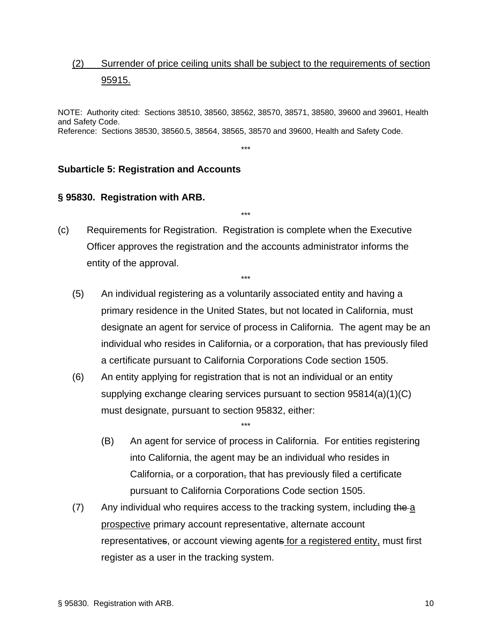## (2) Surrender of price ceiling units shall be subject to the requirements of section 95915.

NOTE: Authority cited: Sections 38510, 38560, 38562, 38570, 38571, 38580, 39600 and 39601, Health and Safety Code. Reference: Sections 38530, 38560.5, 38564, 38565, 38570 and 39600, Health and Safety Code.

\*\*\*

\*\*\*

\*\*\*

### **Subarticle 5: Registration and Accounts**

#### **§ 95830. Registration with ARB.**

- (c) Requirements for Registration. Registration is complete when the Executive Officer approves the registration and the accounts administrator informs the entity of the approval.
	- (5) An individual registering as a voluntarily associated entity and having a primary residence in the United States, but not located in California, must designate an agent for service of process in California. The agent may be an individual who resides in California, or a corporation, that has previously filed a certificate pursuant to California Corporations Code section 1505.
	- (6) An entity applying for registration that is not an individual or an entity supplying exchange clearing services pursuant to section 95814(a)(1)(C) must designate, pursuant to section 95832, either:

- (B) An agent for service of process in California. For entities registering into California, the agent may be an individual who resides in California, or a corporation, that has previously filed a certificate pursuant to California Corporations Code section 1505.
- $(7)$  Any individual who requires access to the tracking system, including the a prospective primary account representative, alternate account representatives, or account viewing agents for a registered entity, must first register as a user in the tracking system.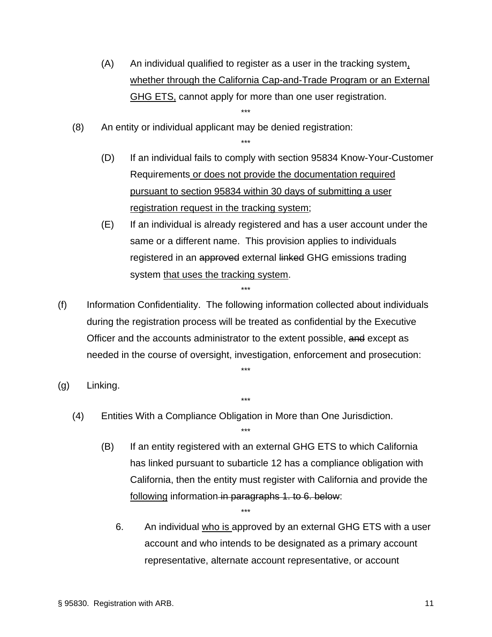- (A) An individual qualified to register as a user in the tracking system, whether through the California Cap-and-Trade Program or an External GHG ETS, cannot apply for more than one user registration. \*\*\*
- (8) An entity or individual applicant may be denied registration:
	- (D) If an individual fails to comply with section 95834 Know-Your-Customer Requirements or does not provide the documentation required pursuant to section 95834 within 30 days of submitting a user registration request in the tracking system;

\*\*\*

- (E) If an individual is already registered and has a user account under the same or a different name. This provision applies to individuals registered in an approved external linked GHG emissions trading system that uses the tracking system.
- (f) Information Confidentiality. The following information collected about individuals during the registration process will be treated as confidential by the Executive Officer and the accounts administrator to the extent possible, and except as needed in the course of oversight, investigation, enforcement and prosecution:

\*\*\*

\*\*\*

\*\*\*

\*\*\*

- (g) Linking.
	- (4) Entities With a Compliance Obligation in More than One Jurisdiction.
		- (B) If an entity registered with an external GHG ETS to which California has linked pursuant to subarticle 12 has a compliance obligation with California, then the entity must register with California and provide the following information in paragraphs 1. to 6. below:
			- 6. An individual who is approved by an external GHG ETS with a user account and who intends to be designated as a primary account representative, alternate account representative, or account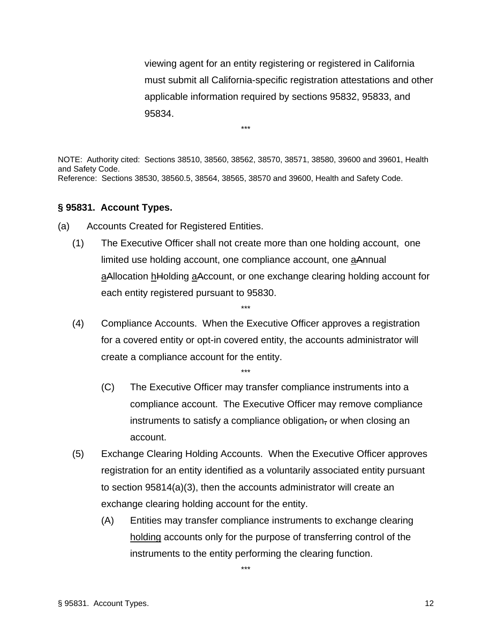viewing agent for an entity registering or registered in California must submit all California-specific registration attestations and other applicable information required by sections 95832, 95833, and 95834.

NOTE: Authority cited: Sections 38510, 38560, 38562, 38570, 38571, 38580, 39600 and 39601, Health and Safety Code. Reference: Sections 38530, 38560.5, 38564, 38565, 38570 and 39600, Health and Safety Code.

\*\*\*

#### **§ 95831. Account Types.**

- (a) Accounts Created for Registered Entities.
	- (1) The Executive Officer shall not create more than one holding account, one limited use holding account, one compliance account, one aAnnual aAllocation hHolding aAccount, or one exchange clearing holding account for each entity registered pursuant to 95830.
	- (4) Compliance Accounts. When the Executive Officer approves a registration for a covered entity or opt-in covered entity, the accounts administrator will create a compliance account for the entity.

\*\*\*

\*\*\*

- (C) The Executive Officer may transfer compliance instruments into a compliance account. The Executive Officer may remove compliance instruments to satisfy a compliance obligation, or when closing an account.
- (5) Exchange Clearing Holding Accounts. When the Executive Officer approves registration for an entity identified as a voluntarily associated entity pursuant to section 95814(a)(3), then the accounts administrator will create an exchange clearing holding account for the entity.
	- (A) Entities may transfer compliance instruments to exchange clearing holding accounts only for the purpose of transferring control of the instruments to the entity performing the clearing function.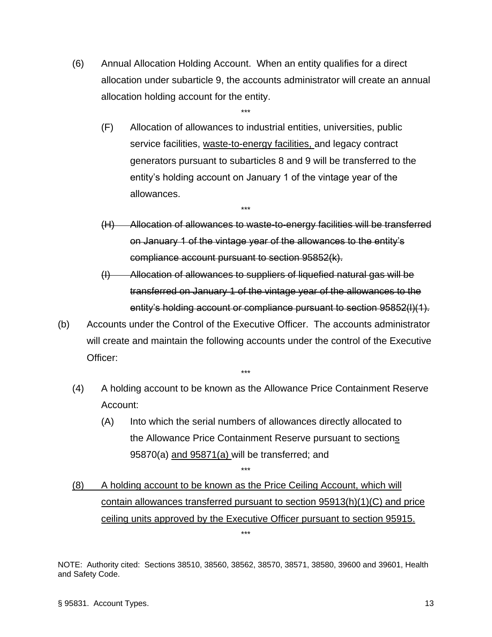(6) Annual Allocation Holding Account. When an entity qualifies for a direct allocation under subarticle 9, the accounts administrator will create an annual allocation holding account for the entity.

\*\*\*

\*\*\*

- (F) Allocation of allowances to industrial entities, universities, public service facilities, waste-to-energy facilities, and legacy contract generators pursuant to subarticles 8 and 9 will be transferred to the entity's holding account on January 1 of the vintage year of the allowances.
- (H) Allocation of allowances to waste-to-energy facilities will be transferred on January 1 of the vintage year of the allowances to the entity's compliance account pursuant to section 95852(k).
- (I) Allocation of allowances to suppliers of liquefied natural gas will be transferred on January 1 of the vintage year of the allowances to the entity's holding account or compliance pursuant to section 95852(l)(1).
- (b) Accounts under the Control of the Executive Officer. The accounts administrator will create and maintain the following accounts under the control of the Executive Officer:
	- \*\*\*
	- (4) A holding account to be known as the Allowance Price Containment Reserve Account:
		- (A) Into which the serial numbers of allowances directly allocated to the Allowance Price Containment Reserve pursuant to sections 95870(a) and 95871(a) will be transferred; and
	- (8) A holding account to be known as the Price Ceiling Account, which will contain allowances transferred pursuant to section 95913(h)(1)(C) and price ceiling units approved by the Executive Officer pursuant to section 95915.

\*\*\*

NOTE: Authority cited: Sections 38510, 38560, 38562, 38570, 38571, 38580, 39600 and 39601, Health and Safety Code.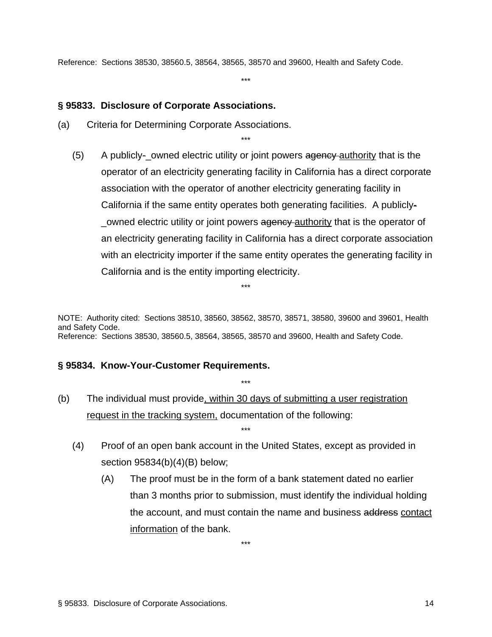Reference: Sections 38530, 38560.5, 38564, 38565, 38570 and 39600, Health and Safety Code.

\*\*\*

\*\*\*

#### **§ 95833. Disclosure of Corporate Associations.**

- (a) Criteria for Determining Corporate Associations.
	- (5) A publicly-\_owned electric utility or joint powers agency authority that is the operator of an electricity generating facility in California has a direct corporate association with the operator of another electricity generating facility in California if the same entity operates both generating facilities. A publicly owned electric utility or joint powers agency authority that is the operator of an electricity generating facility in California has a direct corporate association with an electricity importer if the same entity operates the generating facility in California and is the entity importing electricity.

NOTE: Authority cited: Sections 38510, 38560, 38562, 38570, 38571, 38580, 39600 and 39601, Health and Safety Code. Reference: Sections 38530, 38560.5, 38564, 38565, 38570 and 39600, Health and Safety Code.

\*\*\*

\*\*\*

#### **§ 95834. Know-Your-Customer Requirements.**

- (b) The individual must provide, within 30 days of submitting a user registration request in the tracking system, documentation of the following:
	- (4) Proof of an open bank account in the United States, except as provided in section 95834(b)(4)(B) below;

\*\*\*

(A) The proof must be in the form of a bank statement dated no earlier than 3 months prior to submission, must identify the individual holding the account, and must contain the name and business address contact information of the bank.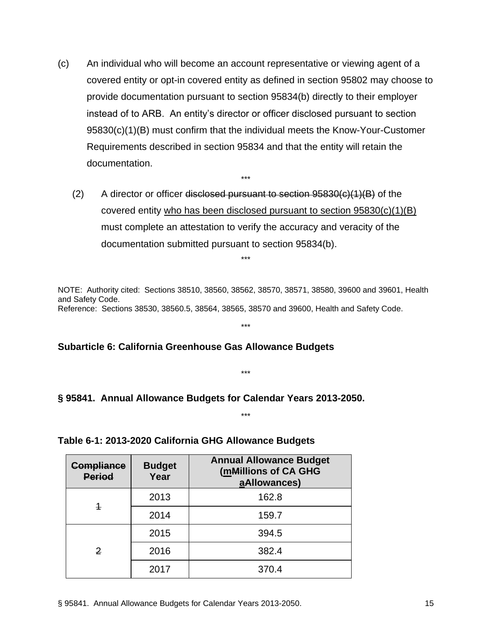- (c) An individual who will become an account representative or viewing agent of a covered entity or opt-in covered entity as defined in section 95802 may choose to provide documentation pursuant to section 95834(b) directly to their employer instead of to ARB. An entity's director or officer disclosed pursuant to section 95830(c)(1)(B) must confirm that the individual meets the Know-Your-Customer Requirements described in section 95834 and that the entity will retain the documentation.
	- $(2)$  A director or officer disclosed pursuant to section 95830 $(c)(1)(B)$  of the covered entity who has been disclosed pursuant to section  $95830(c)(1)(B)$ must complete an attestation to verify the accuracy and veracity of the documentation submitted pursuant to section 95834(b).

\*\*\*

\*\*\*

NOTE: Authority cited: Sections 38510, 38560, 38562, 38570, 38571, 38580, 39600 and 39601, Health and Safety Code. Reference: Sections 38530, 38560.5, 38564, 38565, 38570 and 39600, Health and Safety Code.

\*\*\*

#### **Subarticle 6: California Greenhouse Gas Allowance Budgets**

\*\*\*

\*\*\*

#### **§ 95841. Annual Allowance Budgets for Calendar Years 2013-2050.**

### **Table 6-1: 2013-2020 California GHG Allowance Budgets**

| <b>Compliance</b><br><b>Period</b> | <b>Budget</b><br>Year | <b>Annual Allowance Budget</b><br>(mMillions of CA GHG<br>aAllowances) |
|------------------------------------|-----------------------|------------------------------------------------------------------------|
|                                    | 2013                  | 162.8                                                                  |
| 4                                  | 2014                  | 159.7                                                                  |
|                                    | 2015                  | 394.5                                                                  |
| 2                                  | 2016                  | 382.4                                                                  |
|                                    | 2017                  | 370.4                                                                  |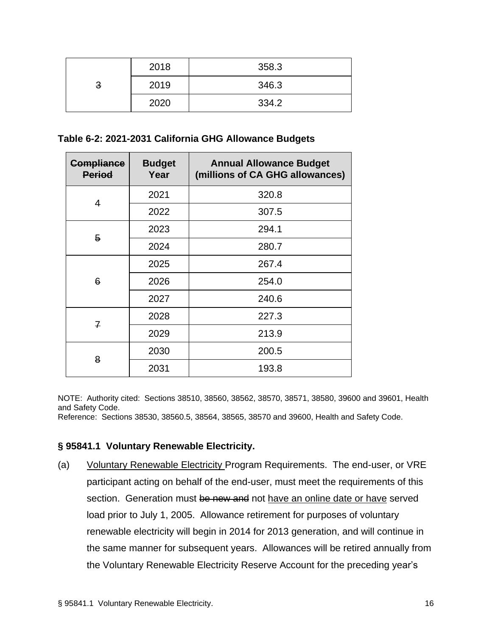|   | 2018 | 358.3 |
|---|------|-------|
| 3 | 2019 | 346.3 |
|   | 2020 | 334.2 |

#### **Table 6-2: 2021-2031 California GHG Allowance Budgets**

| <b>Compliance</b><br><b>Period</b> | <b>Budget</b><br>Year | <b>Annual Allowance Budget</b><br>(millions of CA GHG allowances) |
|------------------------------------|-----------------------|-------------------------------------------------------------------|
| 4                                  | 2021                  | 320.8                                                             |
|                                    | 2022                  | 307.5                                                             |
| 5                                  | 2023                  | 294.1                                                             |
|                                    | 2024                  | 280.7                                                             |
| 6                                  | 2025                  | 267.4                                                             |
|                                    | 2026                  | 254.0                                                             |
|                                    | 2027                  | 240.6                                                             |
|                                    | 2028                  | 227.3                                                             |
| $\overline{f}$                     | 2029                  | 213.9                                                             |
| 8                                  | 2030                  | 200.5                                                             |
|                                    | 2031                  | 193.8                                                             |

NOTE: Authority cited: Sections 38510, 38560, 38562, 38570, 38571, 38580, 39600 and 39601, Health and Safety Code.

Reference: Sections 38530, 38560.5, 38564, 38565, 38570 and 39600, Health and Safety Code.

#### **§ 95841.1 Voluntary Renewable Electricity.**

(a) Voluntary Renewable Electricity Program Requirements. The end-user, or VRE participant acting on behalf of the end-user, must meet the requirements of this section. Generation must be new and not have an online date or have served load prior to July 1, 2005. Allowance retirement for purposes of voluntary renewable electricity will begin in 2014 for 2013 generation, and will continue in the same manner for subsequent years. Allowances will be retired annually from the Voluntary Renewable Electricity Reserve Account for the preceding year's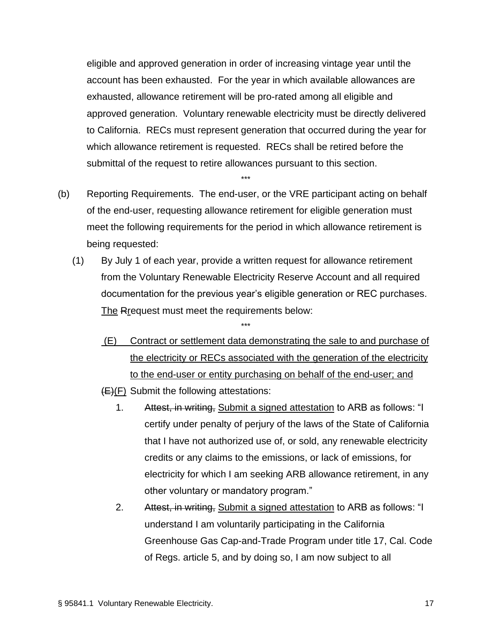eligible and approved generation in order of increasing vintage year until the account has been exhausted. For the year in which available allowances are exhausted, allowance retirement will be pro-rated among all eligible and approved generation. Voluntary renewable electricity must be directly delivered to California. RECs must represent generation that occurred during the year for which allowance retirement is requested. RECs shall be retired before the submittal of the request to retire allowances pursuant to this section.

(b) Reporting Requirements. The end-user, or the VRE participant acting on behalf of the end-user, requesting allowance retirement for eligible generation must meet the following requirements for the period in which allowance retirement is being requested:

\*\*\*

(1) By July 1 of each year, provide a written request for allowance retirement from the Voluntary Renewable Electricity Reserve Account and all required documentation for the previous year's eligible generation or REC purchases. The Rrequest must meet the requirements below:

- (E) Contract or settlement data demonstrating the sale to and purchase of the electricity or RECs associated with the generation of the electricity to the end-user or entity purchasing on behalf of the end-user; and
- $(E)(F)$  Submit the following attestations:
	- 1. Attest, in writing, Submit a signed attestation to ARB as follows: "I certify under penalty of perjury of the laws of the State of California that I have not authorized use of, or sold, any renewable electricity credits or any claims to the emissions, or lack of emissions, for electricity for which I am seeking ARB allowance retirement, in any other voluntary or mandatory program."
	- 2. Attest, in writing, Submit a signed attestation to ARB as follows: "I understand I am voluntarily participating in the California Greenhouse Gas Cap-and-Trade Program under title 17, Cal. Code of Regs. article 5, and by doing so, I am now subject to all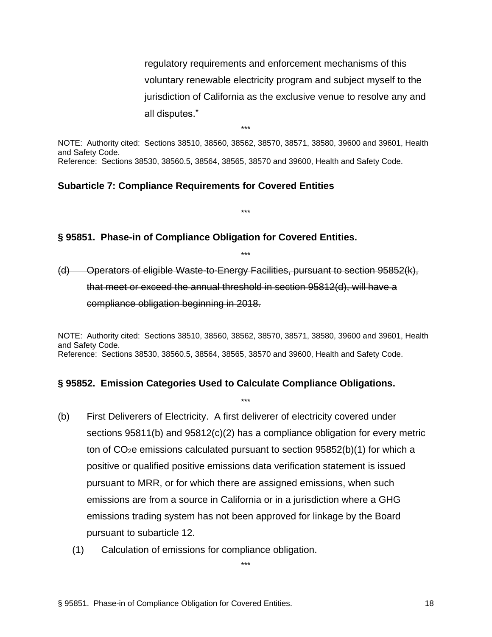regulatory requirements and enforcement mechanisms of this voluntary renewable electricity program and subject myself to the jurisdiction of California as the exclusive venue to resolve any and all disputes."

NOTE: Authority cited: Sections 38510, 38560, 38562, 38570, 38571, 38580, 39600 and 39601, Health and Safety Code. Reference: Sections 38530, 38560.5, 38564, 38565, 38570 and 39600, Health and Safety Code.

\*\*\*

\*\*\*

\*\*\*

#### **Subarticle 7: Compliance Requirements for Covered Entities**

#### **§ 95851. Phase-in of Compliance Obligation for Covered Entities.**

(d) Operators of eligible Waste-to-Energy Facilities, pursuant to section 95852(k), that meet or exceed the annual threshold in section 95812(d), will have a compliance obligation beginning in 2018.

NOTE: Authority cited: Sections 38510, 38560, 38562, 38570, 38571, 38580, 39600 and 39601, Health and Safety Code. Reference: Sections 38530, 38560.5, 38564, 38565, 38570 and 39600, Health and Safety Code.

\*\*\*

#### **§ 95852. Emission Categories Used to Calculate Compliance Obligations.**

- (b) First Deliverers of Electricity. A first deliverer of electricity covered under sections 95811(b) and 95812(c)(2) has a compliance obligation for every metric ton of CO2e emissions calculated pursuant to section 95852(b)(1) for which a positive or qualified positive emissions data verification statement is issued pursuant to MRR, or for which there are assigned emissions, when such emissions are from a source in California or in a jurisdiction where a GHG emissions trading system has not been approved for linkage by the Board pursuant to subarticle 12.
	- (1) Calculation of emissions for compliance obligation.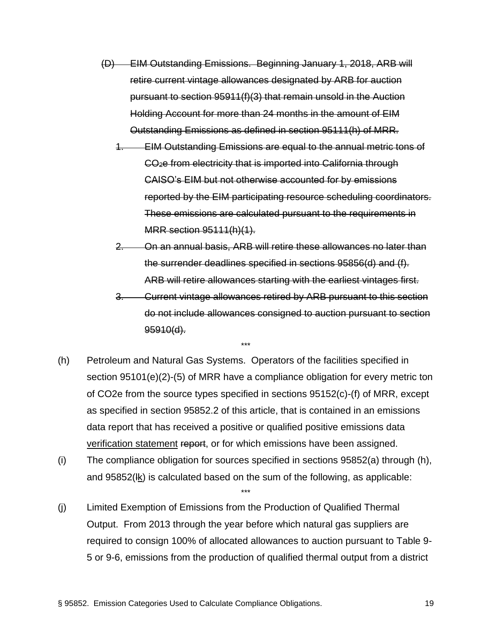- (D) EIM Outstanding Emissions. Beginning January 1, 2018, ARB will retire current vintage allowances designated by ARB for auction pursuant to section 95911(f)(3) that remain unsold in the Auction Holding Account for more than 24 months in the amount of EIM Outstanding Emissions as defined in section 95111(h) of MRR.
	- 1. EIM Outstanding Emissions are equal to the annual metric tons of CO2e from electricity that is imported into California through CAISO's EIM but not otherwise accounted for by emissions reported by the EIM participating resource scheduling coordinators. These emissions are calculated pursuant to the requirements in MRR section 95111(h)(1).
	- 2. On an annual basis, ARB will retire these allowances no later than the surrender deadlines specified in sections 95856(d) and (f). ARB will retire allowances starting with the earliest vintages first.

3. Current vintage allowances retired by ARB pursuant to this section do not include allowances consigned to auction pursuant to section 95910(d).

(h) Petroleum and Natural Gas Systems. Operators of the facilities specified in section 95101(e)(2)-(5) of MRR have a compliance obligation for every metric ton of CO2e from the source types specified in sections 95152(c)-(f) of MRR, except as specified in section 95852.2 of this article, that is contained in an emissions data report that has received a positive or qualified positive emissions data verification statement report, or for which emissions have been assigned.

\*\*\*

(i) The compliance obligation for sources specified in sections 95852(a) through (h), and 95852(lk) is calculated based on the sum of the following, as applicable:

\*\*\*

(j) Limited Exemption of Emissions from the Production of Qualified Thermal Output. From 2013 through the year before which natural gas suppliers are required to consign 100% of allocated allowances to auction pursuant to Table 9- 5 or 9-6, emissions from the production of qualified thermal output from a district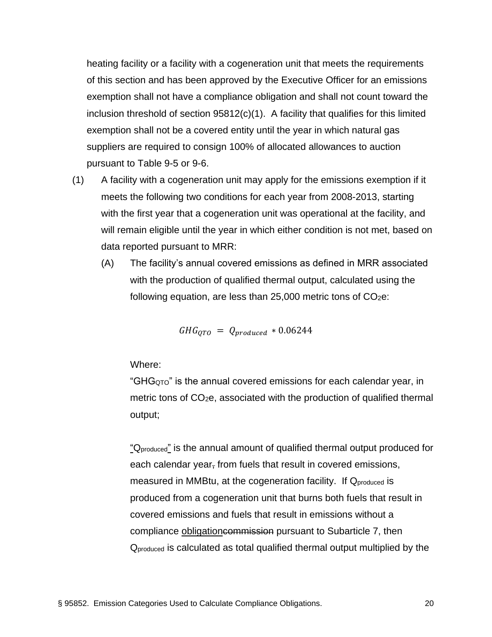heating facility or a facility with a cogeneration unit that meets the requirements of this section and has been approved by the Executive Officer for an emissions exemption shall not have a compliance obligation and shall not count toward the inclusion threshold of section  $95812(c)(1)$ . A facility that qualifies for this limited exemption shall not be a covered entity until the year in which natural gas suppliers are required to consign 100% of allocated allowances to auction pursuant to Table 9-5 or 9-6.

- (1) A facility with a cogeneration unit may apply for the emissions exemption if it meets the following two conditions for each year from 2008-2013, starting with the first year that a cogeneration unit was operational at the facility, and will remain eligible until the year in which either condition is not met, based on data reported pursuant to MRR:
	- (A) The facility's annual covered emissions as defined in MRR associated with the production of qualified thermal output, calculated using the following equation, are less than  $25,000$  metric tons of  $CO<sub>2</sub>e$ .

$$
GHG_{QTO} = Q_{produced} * 0.06244
$$

Where:

"GH $G<sub>QTO</sub>$ " is the annual covered emissions for each calendar year, in metric tons of CO2e, associated with the production of qualified thermal output;

"Q<sub>produced</sub>" is the annual amount of qualified thermal output produced for each calendar year, from fuels that result in covered emissions, measured in MMBtu, at the cogeneration facility. If Qproduced is produced from a cogeneration unit that burns both fuels that result in covered emissions and fuels that result in emissions without a compliance obligationcommission pursuant to Subarticle 7, then Qproduced is calculated as total qualified thermal output multiplied by the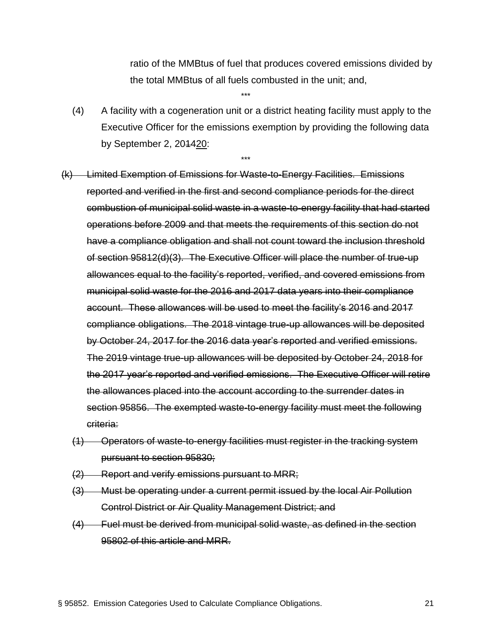ratio of the MMBtus of fuel that produces covered emissions divided by the total MMBtus of all fuels combusted in the unit; and,

(4) A facility with a cogeneration unit or a district heating facility must apply to the Executive Officer for the emissions exemption by providing the following data by September 2, 201420:

\*\*\*

\*\*\*

(k) Limited Exemption of Emissions for Waste-to-Energy Facilities. Emissions reported and verified in the first and second compliance periods for the direct combustion of municipal solid waste in a waste-to-energy facility that had started operations before 2009 and that meets the requirements of this section do not have a compliance obligation and shall not count toward the inclusion threshold of section 95812(d)(3). The Executive Officer will place the number of true-up allowances equal to the facility's reported, verified, and covered emissions from municipal solid waste for the 2016 and 2017 data years into their compliance account. These allowances will be used to meet the facility's 2016 and 2017 compliance obligations. The 2018 vintage true-up allowances will be deposited by October 24, 2017 for the 2016 data year's reported and verified emissions. The 2019 vintage true-up allowances will be deposited by October 24, 2018 for the 2017 year's reported and verified emissions. The Executive Officer will retire the allowances placed into the account according to the surrender dates in section 95856. The exempted waste-to-energy facility must meet the following criteria:

- (1) Operators of waste-to-energy facilities must register in the tracking system pursuant to section 95830;
- (2) Report and verify emissions pursuant to MRR;
- (3) Must be operating under a current permit issued by the local Air Pollution Control District or Air Quality Management District; and
- (4) Fuel must be derived from municipal solid waste, as defined in the section 95802 of this article and MRR.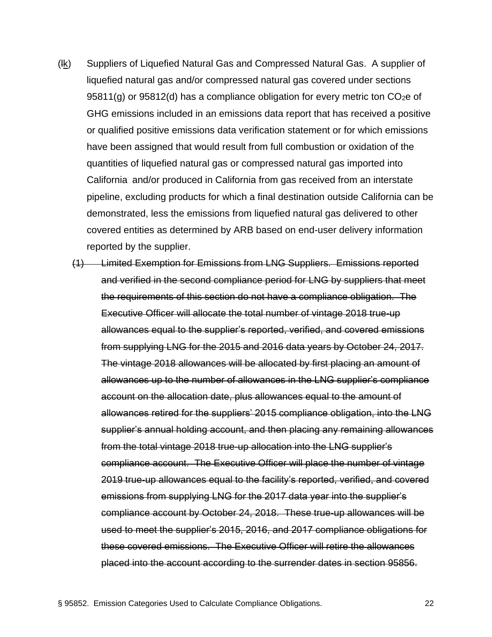- (lk) Suppliers of Liquefied Natural Gas and Compressed Natural Gas. A supplier of liquefied natural gas and/or compressed natural gas covered under sections  $95811(g)$  or  $95812(d)$  has a compliance obligation for every metric ton CO<sub>2</sub>e of GHG emissions included in an emissions data report that has received a positive or qualified positive emissions data verification statement or for which emissions have been assigned that would result from full combustion or oxidation of the quantities of liquefied natural gas or compressed natural gas imported into California and/or produced in California from gas received from an interstate pipeline, excluding products for which a final destination outside California can be demonstrated, less the emissions from liquefied natural gas delivered to other covered entities as determined by ARB based on end-user delivery information reported by the supplier.
	- (1) Limited Exemption for Emissions from LNG Suppliers. Emissions reported and verified in the second compliance period for LNG by suppliers that meet the requirements of this section do not have a compliance obligation. The Executive Officer will allocate the total number of vintage 2018 true-up allowances equal to the supplier's reported, verified, and covered emissions from supplying LNG for the 2015 and 2016 data years by October 24, 2017. The vintage 2018 allowances will be allocated by first placing an amount of allowances up to the number of allowances in the LNG supplier's compliance account on the allocation date, plus allowances equal to the amount of allowances retired for the suppliers' 2015 compliance obligation, into the LNG supplier's annual holding account, and then placing any remaining allowances from the total vintage 2018 true-up allocation into the LNG supplier's compliance account. The Executive Officer will place the number of vintage 2019 true-up allowances equal to the facility's reported, verified, and covered emissions from supplying LNG for the 2017 data year into the supplier's compliance account by October 24, 2018. These true-up allowances will be used to meet the supplier's 2015, 2016, and 2017 compliance obligations for these covered emissions. The Executive Officer will retire the allowances placed into the account according to the surrender dates in section 95856.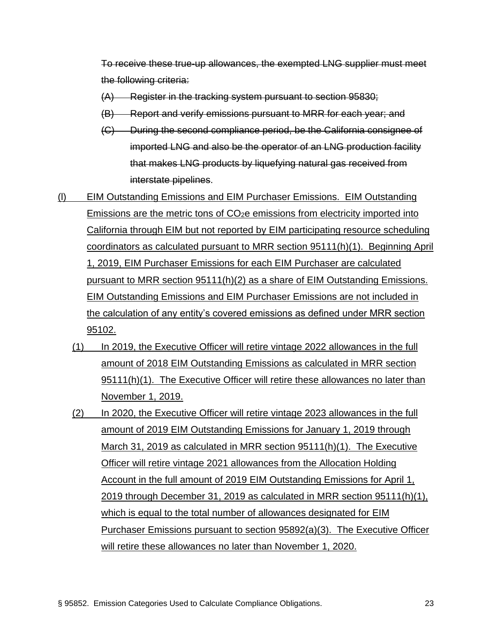To receive these true-up allowances, the exempted LNG supplier must meet the following criteria:

- (A) Register in the tracking system pursuant to section 95830;
- (B) Report and verify emissions pursuant to MRR for each year; and
- (C) During the second compliance period, be the California consignee of imported LNG and also be the operator of an LNG production facility that makes LNG products by liquefying natural gas received from interstate pipelines.
- (l) EIM Outstanding Emissions and EIM Purchaser Emissions. EIM Outstanding Emissions are the metric tons of CO2e emissions from electricity imported into California through EIM but not reported by EIM participating resource scheduling coordinators as calculated pursuant to MRR section 95111(h)(1). Beginning April 1, 2019, EIM Purchaser Emissions for each EIM Purchaser are calculated pursuant to MRR section 95111(h)(2) as a share of EIM Outstanding Emissions. EIM Outstanding Emissions and EIM Purchaser Emissions are not included in the calculation of any entity's covered emissions as defined under MRR section 95102.
	- (1) In 2019, the Executive Officer will retire vintage 2022 allowances in the full amount of 2018 EIM Outstanding Emissions as calculated in MRR section 95111(h)(1). The Executive Officer will retire these allowances no later than November 1, 2019.
	- (2) In 2020, the Executive Officer will retire vintage 2023 allowances in the full amount of 2019 EIM Outstanding Emissions for January 1, 2019 through March 31, 2019 as calculated in MRR section 95111(h)(1). The Executive Officer will retire vintage 2021 allowances from the Allocation Holding Account in the full amount of 2019 EIM Outstanding Emissions for April 1, 2019 through December 31, 2019 as calculated in MRR section 95111(h)(1), which is equal to the total number of allowances designated for EIM Purchaser Emissions pursuant to section 95892(a)(3). The Executive Officer will retire these allowances no later than November 1, 2020.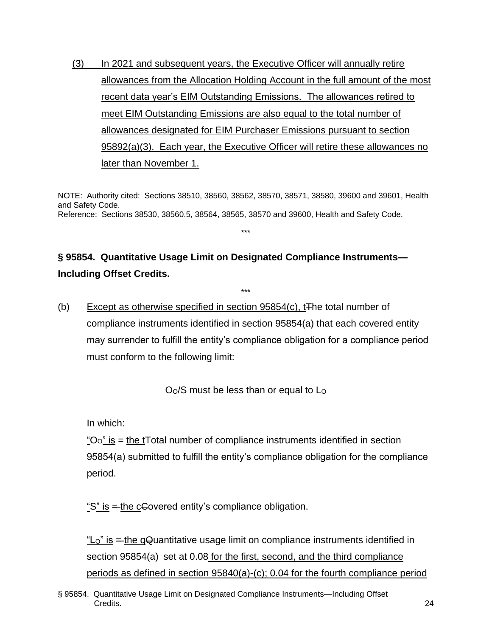(3) In 2021 and subsequent years, the Executive Officer will annually retire allowances from the Allocation Holding Account in the full amount of the most recent data year's EIM Outstanding Emissions. The allowances retired to meet EIM Outstanding Emissions are also equal to the total number of allowances designated for EIM Purchaser Emissions pursuant to section 95892(a)(3). Each year, the Executive Officer will retire these allowances no later than November 1.

NOTE: Authority cited: Sections 38510, 38560, 38562, 38570, 38571, 38580, 39600 and 39601, Health and Safety Code. Reference: Sections 38530, 38560.5, 38564, 38565, 38570 and 39600, Health and Safety Code.

\*\*\*

## **§ 95854. Quantitative Usage Limit on Designated Compliance Instruments— Including Offset Credits.**

(b) Except as otherwise specified in section  $95854(c)$ , t<sub>The total number of</sub> compliance instruments identified in section 95854(a) that each covered entity may surrender to fulfill the entity's compliance obligation for a compliance period must conform to the following limit:

\*\*\*

 $O<sub>O</sub>/S$  must be less than or equal to  $L<sub>O</sub>$ 

In which:

" $\overline{O}$ " is = the t<sub>r</sub>otal number of compliance instruments identified in section 95854(a) submitted to fulfill the entity's compliance obligation for the compliance period.

"S" is  $=$  the cGovered entity's compliance obligation.

"LO" is = the qQuantitative usage limit on compliance instruments identified in section 95854(a) set at 0.08 for the first, second, and the third compliance periods as defined in section 95840(a)-(c); 0.04 for the fourth compliance period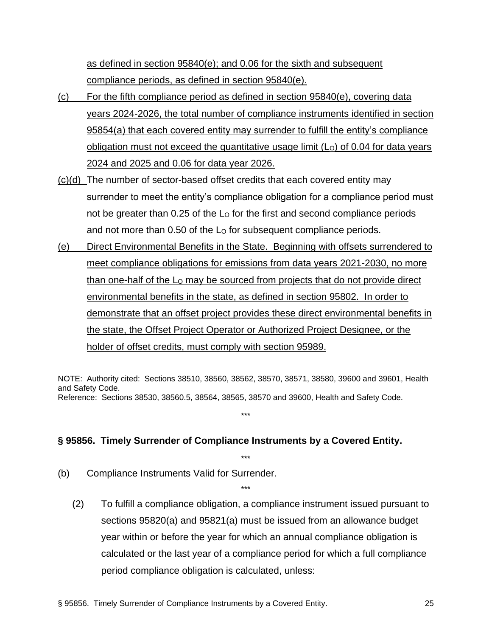as defined in section 95840(e); and 0.06 for the sixth and subsequent compliance periods, as defined in section 95840(e).

- (c) For the fifth compliance period as defined in section 95840(e), covering data years 2024-2026, the total number of compliance instruments identified in section 95854(a) that each covered entity may surrender to fulfill the entity's compliance obligation must not exceed the quantitative usage limit  $(L<sub>o</sub>)$  of 0.04 for data years 2024 and 2025 and 0.06 for data year 2026.
- $\left\langle \Theta \right\rangle$ (d) The number of sector-based offset credits that each covered entity may surrender to meet the entity's compliance obligation for a compliance period must not be greater than 0.25 of the L<sub>o</sub> for the first and second compliance periods and not more than 0.50 of the L<sub>o</sub> for subsequent compliance periods.
- (e) Direct Environmental Benefits in the State. Beginning with offsets surrendered to meet compliance obligations for emissions from data years 2021-2030, no more than one-half of the  $L<sub>O</sub>$  may be sourced from projects that do not provide direct environmental benefits in the state, as defined in section 95802. In order to demonstrate that an offset project provides these direct environmental benefits in the state, the Offset Project Operator or Authorized Project Designee, or the holder of offset credits, must comply with section 95989.

NOTE: Authority cited: Sections 38510, 38560, 38562, 38570, 38571, 38580, 39600 and 39601, Health and Safety Code. Reference: Sections 38530, 38560.5, 38564, 38565, 38570 and 39600, Health and Safety Code.

\*\*\*

\*\*\*

\*\*\*

#### **§ 95856. Timely Surrender of Compliance Instruments by a Covered Entity.**

- (b) Compliance Instruments Valid for Surrender.
	- (2) To fulfill a compliance obligation, a compliance instrument issued pursuant to sections 95820(a) and 95821(a) must be issued from an allowance budget year within or before the year for which an annual compliance obligation is calculated or the last year of a compliance period for which a full compliance period compliance obligation is calculated, unless: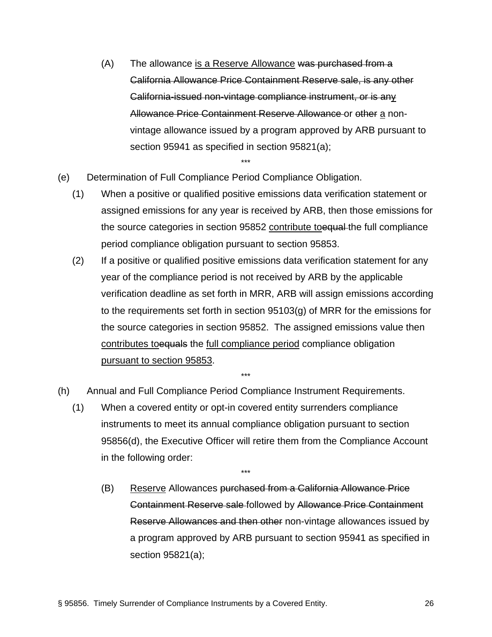- (A) The allowance is a Reserve Allowance was purchased from a California Allowance Price Containment Reserve sale, is any other California-issued non-vintage compliance instrument, or is any Allowance Price Containment Reserve Allowance or other a nonvintage allowance issued by a program approved by ARB pursuant to section 95941 as specified in section 95821(a);
- (e) Determination of Full Compliance Period Compliance Obligation.
	- (1) When a positive or qualified positive emissions data verification statement or assigned emissions for any year is received by ARB, then those emissions for the source categories in section 95852 contribute to equal the full compliance period compliance obligation pursuant to section 95853.

\*\*\*

- (2) If a positive or qualified positive emissions data verification statement for any year of the compliance period is not received by ARB by the applicable verification deadline as set forth in MRR, ARB will assign emissions according to the requirements set forth in section 95103(g) of MRR for the emissions for the source categories in section 95852. The assigned emissions value then contributes to equals the full compliance period compliance obligation pursuant to section 95853.
- (h) Annual and Full Compliance Period Compliance Instrument Requirements.
	- (1) When a covered entity or opt-in covered entity surrenders compliance instruments to meet its annual compliance obligation pursuant to section 95856(d), the Executive Officer will retire them from the Compliance Account in the following order:

\*\*\*

\*\*\*

(B) Reserve Allowances purchased from a California Allowance Price Containment Reserve sale followed by Allowance Price Containment Reserve Allowances and then other non-vintage allowances issued by a program approved by ARB pursuant to section 95941 as specified in section 95821(a);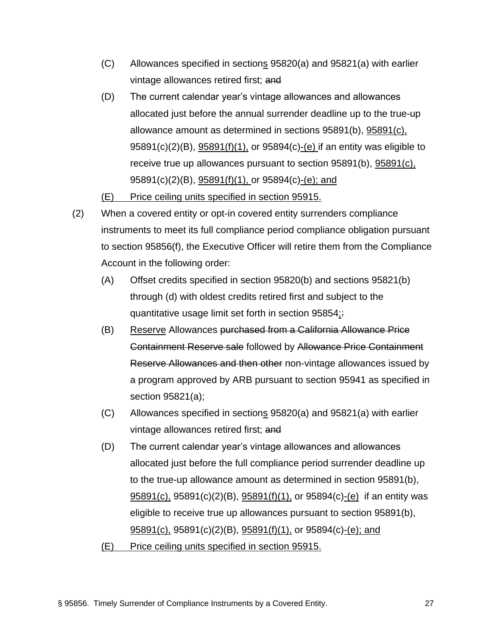- (C) Allowances specified in sections 95820(a) and 95821(a) with earlier vintage allowances retired first; and
- (D) The current calendar year's vintage allowances and allowances allocated just before the annual surrender deadline up to the true-up allowance amount as determined in sections 95891(b), 95891(c), 95891(c)(2)(B), 95891(f)(1), or 95894(c)-(e) if an entity was eligible to receive true up allowances pursuant to section 95891(b), 95891(c), 95891(c)(2)(B), 95891(f)(1), or 95894(c)-(e); and

(E) Price ceiling units specified in section 95915.

- (2) When a covered entity or opt-in covered entity surrenders compliance instruments to meet its full compliance period compliance obligation pursuant to section 95856(f), the Executive Officer will retire them from the Compliance Account in the following order:
	- (A) Offset credits specified in section 95820(b) and sections 95821(b) through (d) with oldest credits retired first and subject to the quantitative usage limit set forth in section 95854:
	- (B) Reserve Allowances purchased from a California Allowance Price Containment Reserve sale followed by Allowance Price Containment Reserve Allowances and then other non-vintage allowances issued by a program approved by ARB pursuant to section 95941 as specified in section 95821(a);
	- (C) Allowances specified in sections 95820(a) and 95821(a) with earlier vintage allowances retired first; and
	- (D) The current calendar year's vintage allowances and allowances allocated just before the full compliance period surrender deadline up to the true-up allowance amount as determined in section 95891(b), 95891(c), 95891(c)(2)(B), 95891(f)(1), or 95894(c)-(e) if an entity was eligible to receive true up allowances pursuant to section 95891(b),  $95891(c)$ , 95891(c)(2)(B),  $95891(f)(1)$ , or 95894(c)-(e); and
	- (E) Price ceiling units specified in section 95915.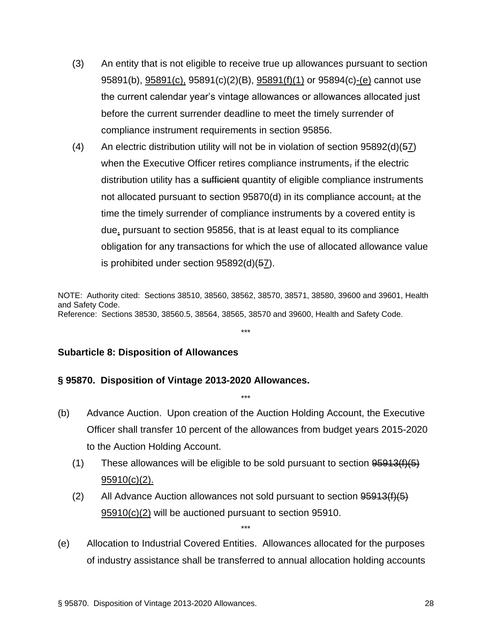- (3) An entity that is not eligible to receive true up allowances pursuant to section 95891(b), 95891(c), 95891(c)(2)(B), 95891(f)(1) or 95894(c)-(e) cannot use the current calendar year's vintage allowances or allowances allocated just before the current surrender deadline to meet the timely surrender of compliance instrument requirements in section 95856.
- $(4)$  An electric distribution utility will not be in violation of section 95892(d)(57) when the Executive Officer retires compliance instruments, if the electric distribution utility has a sufficient quantity of eligible compliance instruments not allocated pursuant to section  $95870(d)$  in its compliance account, at the time the timely surrender of compliance instruments by a covered entity is due, pursuant to section 95856, that is at least equal to its compliance obligation for any transactions for which the use of allocated allowance value is prohibited under section 95892(d)(57).

NOTE: Authority cited: Sections 38510, 38560, 38562, 38570, 38571, 38580, 39600 and 39601, Health and Safety Code. Reference: Sections 38530, 38560.5, 38564, 38565, 38570 and 39600, Health and Safety Code.

\*\*\*

#### **Subarticle 8: Disposition of Allowances**

#### **§ 95870. Disposition of Vintage 2013-2020 Allowances.**

(b) Advance Auction. Upon creation of the Auction Holding Account, the Executive Officer shall transfer 10 percent of the allowances from budget years 2015-2020 to the Auction Holding Account.

\*\*\*

- (1) These allowances will be eligible to be sold pursuant to section  $95913(f)(5)$ 95910(c)(2).
- (2) All Advance Auction allowances not sold pursuant to section  $95913(f)(5)$ 95910(c)(2) will be auctioned pursuant to section 95910.

\*\*\*

(e) Allocation to Industrial Covered Entities. Allowances allocated for the purposes of industry assistance shall be transferred to annual allocation holding accounts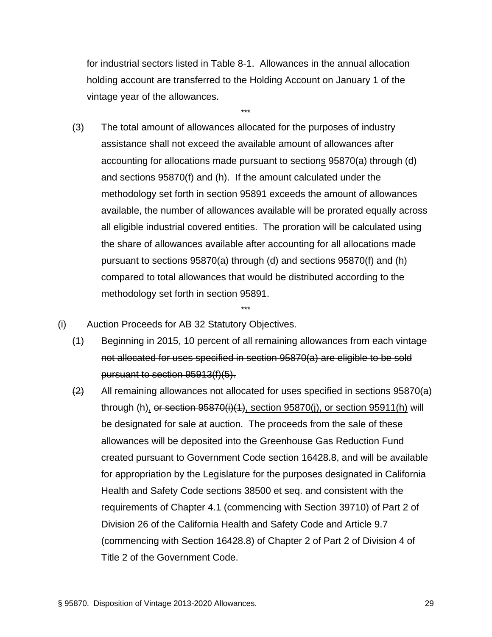for industrial sectors listed in Table 8-1. Allowances in the annual allocation holding account are transferred to the Holding Account on January 1 of the vintage year of the allowances.

\*\*\*

- (3) The total amount of allowances allocated for the purposes of industry assistance shall not exceed the available amount of allowances after accounting for allocations made pursuant to sections 95870(a) through (d) and sections 95870(f) and (h). If the amount calculated under the methodology set forth in section 95891 exceeds the amount of allowances available, the number of allowances available will be prorated equally across all eligible industrial covered entities. The proration will be calculated using the share of allowances available after accounting for all allocations made pursuant to sections 95870(a) through (d) and sections 95870(f) and (h) compared to total allowances that would be distributed according to the methodology set forth in section 95891.
- (i) Auction Proceeds for AB 32 Statutory Objectives.
	- (1) Beginning in 2015, 10 percent of all remaining allowances from each vintage not allocated for uses specified in section 95870(a) are eligible to be sold pursuant to section 95913(f)(5).

\*\*\*

 $\left(2\right)$  All remaining allowances not allocated for uses specified in sections 95870(a) through (h), or section 95870(i)(1), section 95870(i), or section 95911(h) will be designated for sale at auction. The proceeds from the sale of these allowances will be deposited into the Greenhouse Gas Reduction Fund created pursuant to Government Code section 16428.8, and will be available for appropriation by the Legislature for the purposes designated in California Health and Safety Code sections 38500 et seq. and consistent with the requirements of Chapter 4.1 (commencing with Section 39710) of Part 2 of Division 26 of the California Health and Safety Code and Article 9.7 (commencing with Section 16428.8) of Chapter 2 of Part 2 of Division 4 of Title 2 of the Government Code.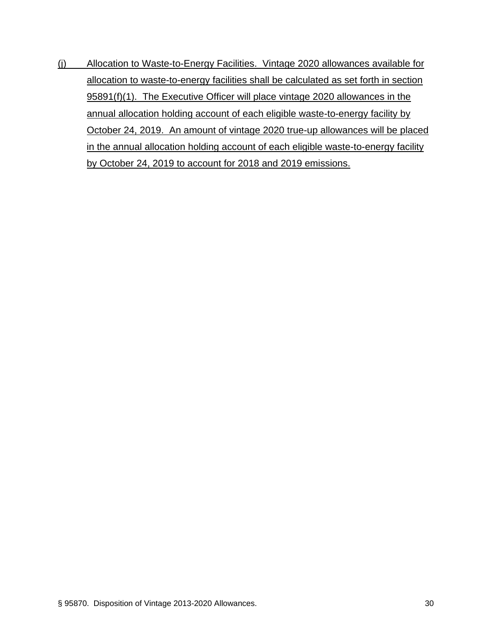(j) Allocation to Waste-to-Energy Facilities. Vintage 2020 allowances available for allocation to waste-to-energy facilities shall be calculated as set forth in section 95891(f)(1). The Executive Officer will place vintage 2020 allowances in the annual allocation holding account of each eligible waste-to-energy facility by October 24, 2019. An amount of vintage 2020 true-up allowances will be placed in the annual allocation holding account of each eligible waste-to-energy facility by October 24, 2019 to account for 2018 and 2019 emissions.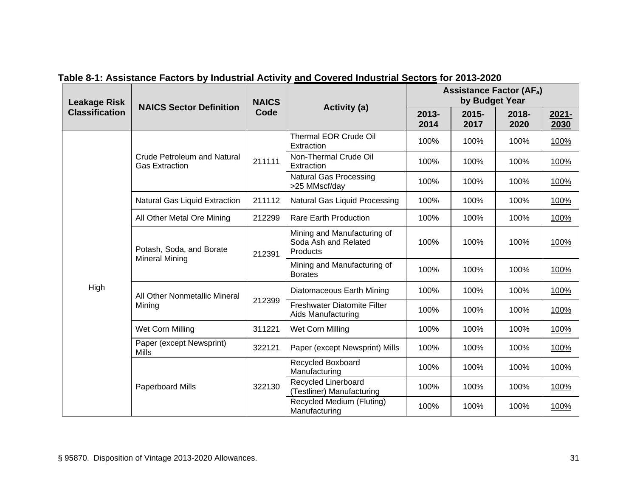| <b>Leakage Risk</b><br><b>Classification</b> | <b>NAICS Sector Definition</b>                              | <b>NAICS</b> |                                                                 | <b>Assistance Factor (AFa)</b><br>by Budget Year |                  |                  |                  |  |
|----------------------------------------------|-------------------------------------------------------------|--------------|-----------------------------------------------------------------|--------------------------------------------------|------------------|------------------|------------------|--|
|                                              |                                                             | Code         | <b>Activity (a)</b>                                             | $2013 -$<br>2014                                 | $2015 -$<br>2017 | $2018 -$<br>2020 | $2021 -$<br>2030 |  |
|                                              |                                                             |              | Thermal EOR Crude Oil<br>Extraction                             | 100%                                             | 100%             | 100%             | 100%             |  |
|                                              | <b>Crude Petroleum and Natural</b><br><b>Gas Extraction</b> | 211111       | Non-Thermal Crude Oil<br>Extraction                             | 100%                                             | 100%             | 100%             | 100%             |  |
|                                              |                                                             |              | <b>Natural Gas Processing</b><br>>25 MMscf/day                  | 100%                                             | 100%             | 100%             | 100%             |  |
|                                              | Natural Gas Liquid Extraction                               | 211112       | Natural Gas Liquid Processing                                   | 100%                                             | 100%             | 100%             | 100%             |  |
|                                              | All Other Metal Ore Mining                                  | 212299       | <b>Rare Earth Production</b>                                    | 100%                                             | 100%             | 100%             | 100%             |  |
|                                              | Potash, Soda, and Borate<br><b>Mineral Mining</b>           | 212391       | Mining and Manufacturing of<br>Soda Ash and Related<br>Products | 100%                                             | 100%             | 100%             | 100%             |  |
|                                              |                                                             |              | Mining and Manufacturing of<br><b>Borates</b>                   | 100%                                             | 100%             | 100%             | 100%             |  |
| High                                         | All Other Nonmetallic Mineral<br>Mining                     |              | Diatomaceous Earth Mining<br>100%<br>100%                       |                                                  | 100%             | 100%             |                  |  |
|                                              |                                                             | 212399       | Freshwater Diatomite Filter<br>Aids Manufacturing               | 100%                                             | 100%             | 100%             | 100%             |  |
|                                              | Wet Corn Milling                                            | 311221       | Wet Corn Milling                                                | 100%                                             | 100%             | 100%             | 100%             |  |
|                                              | Paper (except Newsprint)<br><b>Mills</b>                    | 322121       | Paper (except Newsprint) Mills                                  | 100%                                             | 100%             | 100%             | 100%             |  |
|                                              |                                                             |              | Recycled Boxboard<br>Manufacturing                              | 100%                                             | 100%             | 100%             | 100%             |  |
|                                              | Paperboard Mills                                            | 322130       | Recycled Linerboard<br>(Testliner) Manufacturing                | 100%                                             | 100%             | 100%             | 100%             |  |
|                                              |                                                             |              | Recycled Medium (Fluting)<br>Manufacturing                      | 100%                                             | 100%             | 100%             | 100%             |  |

**Table 8-1: Assistance Factors by Industrial Activity and Covered Industrial Sectors for 2013-2020**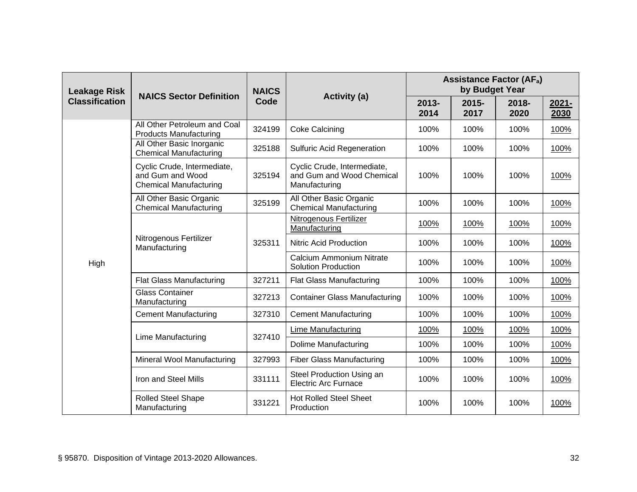| <b>Leakage Risk</b><br><b>Classification</b> | <b>NAICS Sector Definition</b>                                                   | <b>NAICS</b> | <b>Activity (a)</b>                                                       | <b>Assistance Factor (AFa)</b><br>by Budget Year |                  |               |                  |  |
|----------------------------------------------|----------------------------------------------------------------------------------|--------------|---------------------------------------------------------------------------|--------------------------------------------------|------------------|---------------|------------------|--|
|                                              |                                                                                  | Code         |                                                                           | $2013 -$<br>2014                                 | $2015 -$<br>2017 | 2018-<br>2020 | $2021 -$<br>2030 |  |
|                                              | All Other Petroleum and Coal<br><b>Products Manufacturing</b>                    | 324199       | <b>Coke Calcining</b>                                                     | 100%                                             | 100%             | 100%          | 100%             |  |
|                                              | All Other Basic Inorganic<br><b>Chemical Manufacturing</b>                       | 325188       | <b>Sulfuric Acid Regeneration</b>                                         | 100%                                             | 100%             | 100%          | 100%             |  |
|                                              | Cyclic Crude, Intermediate,<br>and Gum and Wood<br><b>Chemical Manufacturing</b> | 325194       | Cyclic Crude, Intermediate,<br>and Gum and Wood Chemical<br>Manufacturing | 100%                                             | 100%             | 100%          | 100%             |  |
|                                              | All Other Basic Organic<br><b>Chemical Manufacturing</b>                         | 325199       | All Other Basic Organic<br><b>Chemical Manufacturing</b>                  | 100%                                             | 100%             | 100%          | 100%             |  |
|                                              | Nitrogenous Fertilizer<br>Manufacturing                                          | 325311       | Nitrogenous Fertilizer<br>Manufacturing                                   | 100%                                             | 100%             | 100%          | 100%             |  |
|                                              |                                                                                  |              | Nitric Acid Production                                                    | 100%                                             | 100%             | 100%          | 100%             |  |
| High                                         |                                                                                  |              | Calcium Ammonium Nitrate<br><b>Solution Production</b>                    | 100%                                             | 100%             | 100%          | 100%             |  |
|                                              | <b>Flat Glass Manufacturing</b>                                                  | 327211       | <b>Flat Glass Manufacturing</b>                                           | 100%                                             | 100%             | 100%          | 100%             |  |
|                                              | <b>Glass Container</b><br>Manufacturing                                          | 327213       | <b>Container Glass Manufacturing</b>                                      | 100%                                             | 100%             | 100%          | 100%             |  |
|                                              | <b>Cement Manufacturing</b>                                                      | 327310       | <b>Cement Manufacturing</b>                                               | 100%                                             | 100%             | 100%          | 100%             |  |
|                                              |                                                                                  |              | <b>Lime Manufacturing</b>                                                 | 100%                                             | 100%             | 100%          | 100%             |  |
|                                              | <b>Lime Manufacturing</b>                                                        | 327410       | Dolime Manufacturing                                                      | 100%                                             | 100%             | 100%          | 100%             |  |
|                                              | Mineral Wool Manufacturing                                                       | 327993       | <b>Fiber Glass Manufacturing</b>                                          | 100%                                             | 100%             | 100%          | 100%             |  |
|                                              | Iron and Steel Mills                                                             | 331111       | Steel Production Using an<br><b>Electric Arc Furnace</b>                  | 100%                                             | 100%             | 100%          | 100%             |  |
|                                              | <b>Rolled Steel Shape</b><br>Manufacturing                                       | 331221       | <b>Hot Rolled Steel Sheet</b><br>Production                               | 100%                                             | 100%             | 100%          | 100%             |  |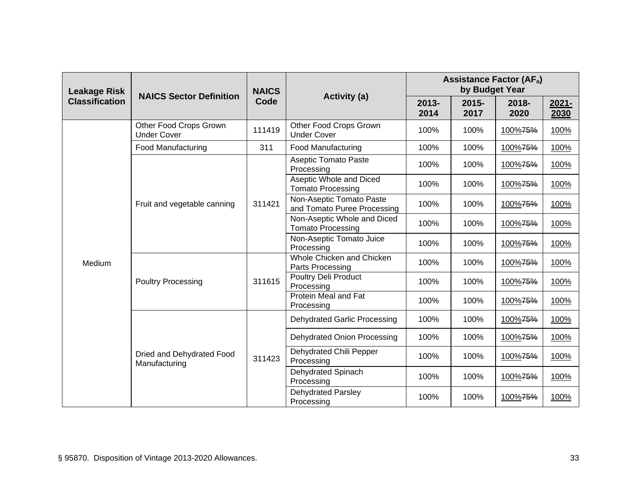| <b>Leakage Risk</b>   | <b>NAICS Sector Definition</b>               | <b>NAICS</b> | <b>Activity (a)</b>                                             | <b>Assistance Factor (AFa)</b><br>by Budget Year |               |               |                  |  |
|-----------------------|----------------------------------------------|--------------|-----------------------------------------------------------------|--------------------------------------------------|---------------|---------------|------------------|--|
| <b>Classification</b> |                                              | Code         |                                                                 | 2013-<br>2014                                    | 2015-<br>2017 | 2018-<br>2020 | $2021 -$<br>2030 |  |
|                       | Other Food Crops Grown<br><b>Under Cover</b> | 111419       | Other Food Crops Grown<br><b>Under Cover</b>                    | 100%                                             | 100%          | 100%75%       | 100%             |  |
|                       | <b>Food Manufacturing</b>                    | 311          | <b>Food Manufacturing</b>                                       | 100%                                             | 100%          | 100%75%       | 100%             |  |
|                       |                                              |              | <b>Aseptic Tomato Paste</b><br>Processing                       | 100%                                             | 100%          | 100%75%       | 100%             |  |
|                       |                                              |              | Aseptic Whole and Diced<br><b>Tomato Processing</b>             | 100%                                             | 100%<br>100%  | 100%75%       | 100%             |  |
|                       | Fruit and vegetable canning                  | 311421       | Non-Aseptic Tomato Paste<br>100%<br>and Tomato Puree Processing |                                                  | 100%75%       | 100%          |                  |  |
|                       |                                              |              | Non-Aseptic Whole and Diced<br><b>Tomato Processing</b>         | 100%                                             | 100%          | 100%75%       | 100%             |  |
|                       |                                              |              | Non-Aseptic Tomato Juice<br>Processing                          | 100%                                             | 100%          | 100%75%       | 100%             |  |
| Medium                | <b>Poultry Processing</b>                    |              | Whole Chicken and Chicken<br>Parts Processing                   | 100%                                             | 100%          | 100%75%       | 100%             |  |
|                       |                                              | 311615       | Poultry Deli Product<br>Processing                              | 100%                                             | 100%          | 100%75%       | 100%             |  |
|                       |                                              |              | Protein Meal and Fat<br>Processing                              | 100%                                             | 100%          | 100%75%       | 100%             |  |
|                       |                                              |              | Dehydrated Garlic Processing                                    | 100%                                             | 100%          | 100%75%       | 100%             |  |
|                       |                                              |              | Dehydrated Onion Processing                                     | 100%                                             | 100%          | 100%75%       | 100%             |  |
|                       | Dried and Dehydrated Food<br>Manufacturing   | 311423       | Dehydrated Chili Pepper<br>Processing                           | 100%                                             | 100%          | 100%75%       | 100%             |  |
|                       |                                              |              | Dehydrated Spinach<br>Processing                                | 100%                                             | 100%          | 100%75%       | 100%             |  |
|                       |                                              |              | Dehydrated Parsley<br>Processing                                | 100%                                             | 100%          | 100%75%       | 100%             |  |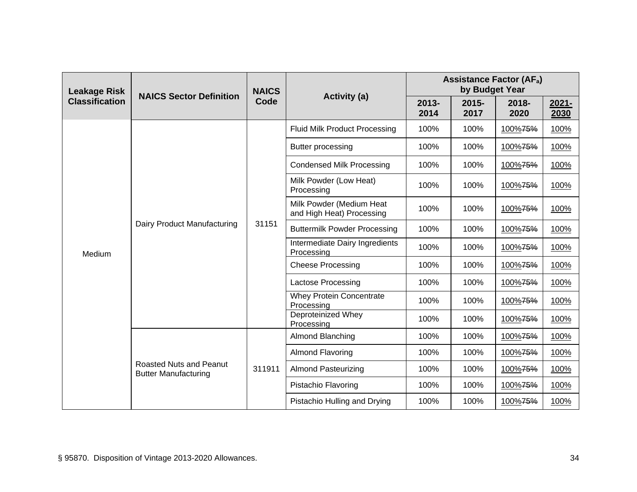| <b>Leakage Risk</b>   | <b>NAICS Sector Definition</b>                         | <b>NAICS</b> |                                                       | <b>Assistance Factor (AFa)</b><br>by Budget Year |                  |                  |                  |  |
|-----------------------|--------------------------------------------------------|--------------|-------------------------------------------------------|--------------------------------------------------|------------------|------------------|------------------|--|
| <b>Classification</b> |                                                        | Code         | <b>Activity (a)</b>                                   | 2013-<br>2014                                    | $2015 -$<br>2017 | $2018 -$<br>2020 | $2021 -$<br>2030 |  |
|                       |                                                        |              | <b>Fluid Milk Product Processing</b>                  | 100%                                             | 100%             | 100%75%          | 100%             |  |
|                       |                                                        | 31151        | Butter processing                                     | 100%                                             | 100%             | 100%75%          | 100%             |  |
|                       |                                                        |              | <b>Condensed Milk Processing</b>                      | 100%                                             | 100%             | 100%75%          | 100%             |  |
|                       | Dairy Product Manufacturing                            |              | Milk Powder (Low Heat)<br>Processing                  | 100%                                             | 100%             | 100%75%          | 100%             |  |
| Medium                |                                                        |              | Milk Powder (Medium Heat<br>and High Heat) Processing | 100%                                             | 100%             | 100%75%          | 100%             |  |
|                       |                                                        |              | <b>Buttermilk Powder Processing</b>                   | 100%                                             | 100%             | 100%75%          | 100%             |  |
|                       |                                                        |              | Intermediate Dairy Ingredients<br>Processing          | 100%                                             | 100%             | 100%75%          | 100%             |  |
|                       |                                                        |              | <b>Cheese Processing</b>                              | 100%                                             | 100%             | 100%75%          | 100%             |  |
|                       |                                                        |              | Lactose Processing                                    | 100%                                             | 100%             | 100%75%          | 100%             |  |
|                       |                                                        |              | <b>Whey Protein Concentrate</b><br>Processing         | 100%                                             | 100%             | 100%75%          | 100%             |  |
|                       |                                                        |              | Deproteinized Whey<br>Processing                      | 100%                                             | 100%             | 100%75%          | 100%             |  |
|                       |                                                        |              | Almond Blanching                                      | 100%                                             | 100%             | 100%75%          | 100%             |  |
|                       |                                                        |              | <b>Almond Flavoring</b>                               | 100%                                             | 100%             | 100%75%          | 100%             |  |
|                       | Roasted Nuts and Peanut<br><b>Butter Manufacturing</b> | 311911       | <b>Almond Pasteurizing</b>                            | 100%                                             | 100%             | 100%75%          | 100%             |  |
|                       |                                                        |              | Pistachio Flavoring                                   | 100%                                             | 100%             | 100%75%          | 100%             |  |
|                       |                                                        |              | Pistachio Hulling and Drying                          | 100%                                             | 100%             | 100%75%          | 100%             |  |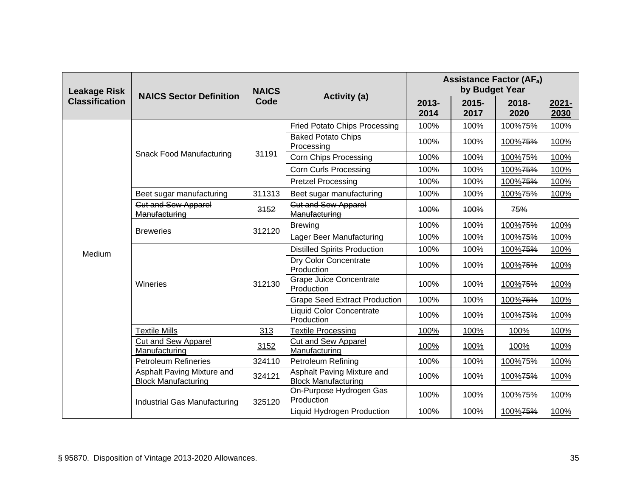| <b>Leakage Risk</b>   | <b>NAICS Sector Definition</b>                           | <b>NAICS</b><br>Code |                                                          | <b>Assistance Factor (AFa)</b><br>by Budget Year |                  |               |                  |  |
|-----------------------|----------------------------------------------------------|----------------------|----------------------------------------------------------|--------------------------------------------------|------------------|---------------|------------------|--|
| <b>Classification</b> |                                                          |                      | <b>Activity (a)</b>                                      | $2013 -$<br>2014                                 | $2015 -$<br>2017 | 2018-<br>2020 | $2021 -$<br>2030 |  |
|                       |                                                          |                      | <b>Fried Potato Chips Processing</b>                     | 100%                                             | 100%             | 100%75%       | 100%             |  |
|                       |                                                          |                      | <b>Baked Potato Chips</b><br>Processing                  | 100%                                             | 100%             | 100%75%       | 100%             |  |
|                       | <b>Snack Food Manufacturing</b>                          | 31191                | <b>Corn Chips Processing</b>                             | 100%                                             | 100%             | 100%75%       | 100%             |  |
|                       |                                                          |                      | <b>Corn Curls Processing</b>                             | 100%                                             | 100%             | 100%75%       | 100%             |  |
|                       |                                                          |                      | <b>Pretzel Processing</b>                                | 100%                                             | 100%             | 100%75%       | 100%             |  |
|                       | Beet sugar manufacturing                                 | 311313               | Beet sugar manufacturing                                 | 100%                                             | 100%             | 100%75%       | 100%             |  |
|                       | <b>Cut and Sew Apparel</b><br>Manufacturing              | 3152                 | <b>Cut and Sew Apparel</b><br>Manufacturing              | 100%                                             | 100%             | 75%           |                  |  |
|                       | <b>Breweries</b>                                         | 312120               | <b>Brewing</b>                                           | 100%                                             | 100%             | 100%75%       | 100%             |  |
|                       |                                                          |                      | Lager Beer Manufacturing                                 | 100%                                             | 100%             | 100%75%       | 100%             |  |
| Medium                | Wineries                                                 |                      | <b>Distilled Spirits Production</b>                      | 100%<br>100%                                     |                  | 100%75%       | 100%             |  |
|                       |                                                          | 312130               | Dry Color Concentrate<br>Production                      | 100%                                             | 100%             | 100%75%       | 100%             |  |
|                       |                                                          |                      | <b>Grape Juice Concentrate</b><br>Production             | 100%                                             | 100%             | 100%75%       | 100%             |  |
|                       |                                                          |                      | <b>Grape Seed Extract Production</b>                     | 100%                                             | 100%             | 100%75%       | 100%             |  |
|                       |                                                          |                      | <b>Liquid Color Concentrate</b><br>Production            | 100%                                             | 100%             | 100%75%       | 100%             |  |
|                       | <b>Textile Mills</b>                                     | 313                  | <b>Textile Processing</b>                                | 100%                                             | 100%             | 100%          | 100%             |  |
|                       | Cut and Sew Apparel<br>Manufacturing                     | 3152                 | Cut and Sew Apparel<br>Manufacturing                     | 100%                                             | 100%             | 100%          | 100%             |  |
|                       | <b>Petroleum Refineries</b>                              | 324110               | <b>Petroleum Refining</b>                                | 100%                                             | 100%             | 100%75%       | 100%             |  |
|                       | Asphalt Paving Mixture and<br><b>Block Manufacturing</b> | 324121               | Asphalt Paving Mixture and<br><b>Block Manufacturing</b> | 100%                                             | 100%             | 100%75%       | 100%             |  |
|                       | Industrial Gas Manufacturing                             | 325120               | On-Purpose Hydrogen Gas<br>Production                    | 100%                                             | 100%             | 100%75%       | 100%             |  |
|                       |                                                          |                      | Liquid Hydrogen Production                               | 100%                                             | 100%             | 100%75%       | 100%             |  |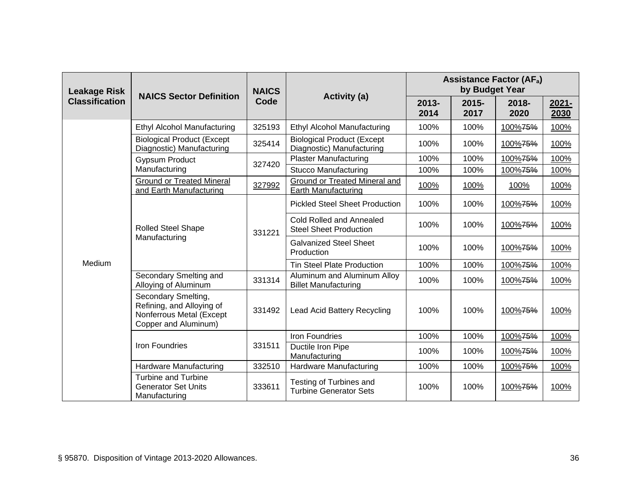| <b>Leakage Risk</b>   | <b>NAICS Sector Definition</b>                                                                       | <b>NAICS</b> |                                                                | <b>Assistance Factor (AFa)</b><br>by Budget Year |                  |                  |                  |  |
|-----------------------|------------------------------------------------------------------------------------------------------|--------------|----------------------------------------------------------------|--------------------------------------------------|------------------|------------------|------------------|--|
| <b>Classification</b> |                                                                                                      | Code         | <b>Activity (a)</b>                                            | $2013 -$<br>2014                                 | $2015 -$<br>2017 | $2018 -$<br>2020 | $2021 -$<br>2030 |  |
|                       | <b>Ethyl Alcohol Manufacturing</b>                                                                   | 325193       | Ethyl Alcohol Manufacturing                                    | 100%                                             | 100%             | 100%75%          | 100%             |  |
|                       | <b>Biological Product (Except</b><br>Diagnostic) Manufacturing                                       | 325414       | <b>Biological Product (Except</b><br>Diagnostic) Manufacturing | 100%                                             | 100%             | 100%75%          | 100%             |  |
|                       | <b>Gypsum Product</b>                                                                                | 327420       | <b>Plaster Manufacturing</b>                                   | 100%                                             | 100%             | 100%75%          | 100%             |  |
|                       | Manufacturing                                                                                        |              | <b>Stucco Manufacturing</b>                                    | 100%                                             | 100%             | 100%75%          | 100%             |  |
|                       | <b>Ground or Treated Mineral</b><br>and Earth Manufacturing                                          | 327992       | Ground or Treated Mineral and<br>Earth Manufacturing           | 100%                                             | 100%             | 100%             | 100%             |  |
|                       | <b>Rolled Steel Shape</b><br>Manufacturing                                                           |              | <b>Pickled Steel Sheet Production</b>                          | 100%                                             | 100%             | 100%75%          | 100%             |  |
|                       |                                                                                                      | 331221       | Cold Rolled and Annealed<br><b>Steel Sheet Production</b>      | 100%                                             | 100%             | 100%75%          | 100%             |  |
|                       |                                                                                                      |              | <b>Galvanized Steel Sheet</b><br>Production                    | 100%                                             | 100%             | 100%75%          | 100%             |  |
| Medium                |                                                                                                      |              | <b>Tin Steel Plate Production</b>                              | 100%                                             | 100%             | 100%75%          | 100%             |  |
|                       | Secondary Smelting and<br>Alloying of Aluminum                                                       | 331314       | Aluminum and Aluminum Alloy<br><b>Billet Manufacturing</b>     | 100%                                             | 100%             | 100%75%          | 100%             |  |
|                       | Secondary Smelting,<br>Refining, and Alloying of<br>Nonferrous Metal (Except<br>Copper and Aluminum) | 331492       | <b>Lead Acid Battery Recycling</b>                             | 100%                                             | 100%             | 100%75%          | 100%             |  |
|                       |                                                                                                      |              | Iron Foundries                                                 | 100%                                             | 100%             | 100%75%          | 100%             |  |
|                       | Iron Foundries                                                                                       | 331511       | Ductile Iron Pipe<br>Manufacturing                             | 100%                                             | 100%             | 100%75%          | 100%             |  |
|                       | Hardware Manufacturing                                                                               | 332510       | Hardware Manufacturing                                         | 100%                                             | 100%             | 100%75%          | 100%             |  |
|                       | <b>Turbine and Turbine</b><br><b>Generator Set Units</b><br>Manufacturing                            | 333611       | Testing of Turbines and<br><b>Turbine Generator Sets</b>       | 100%                                             | 100%             | 100%75%          | 100%             |  |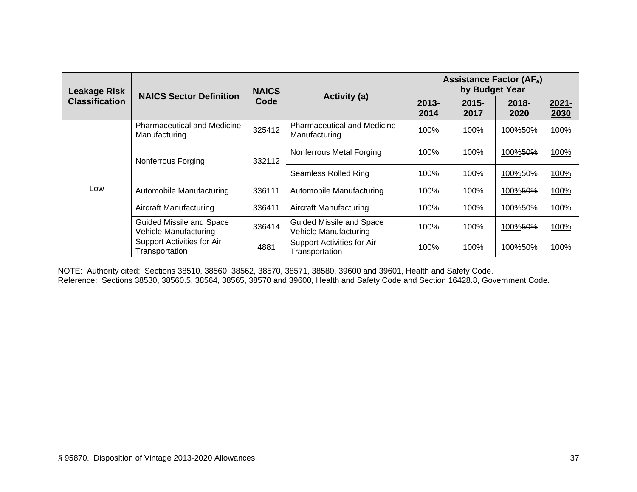| <b>Leakage Risk</b>   | <b>NAICS Sector Definition</b>                           | <b>NAICS</b><br>Code | Activity (a)                                             | <b>Assistance Factor (AFa)</b><br>by Budget Year |                  |                     |               |
|-----------------------|----------------------------------------------------------|----------------------|----------------------------------------------------------|--------------------------------------------------|------------------|---------------------|---------------|
| <b>Classification</b> |                                                          |                      |                                                          | $2013 -$<br>2014                                 | $2015 -$<br>2017 | $2018 -$<br>2020    | 2021-<br>2030 |
|                       | <b>Pharmaceutical and Medicine</b><br>Manufacturing      | 325412               | <b>Pharmaceutical and Medicine</b><br>Manufacturing      | 100%                                             | 100%             | 100% <del>50%</del> | 100%          |
|                       | Nonferrous Forging                                       | 332112               | Nonferrous Metal Forging                                 | 100%                                             | 100%             | 100%50%             | 100%          |
|                       |                                                          |                      | Seamless Rolled Ring                                     | 100%                                             | 100%             | 100% <del>50%</del> | 100%          |
| Low                   | Automobile Manufacturing                                 | 336111               | Automobile Manufacturing                                 | 100%                                             | 100%             | 100%50%             | 100%          |
|                       | Aircraft Manufacturing                                   | 336411               | Aircraft Manufacturing                                   | 100%                                             | 100%             | 100% <del>50%</del> | 100%          |
|                       | Guided Missile and Space<br><b>Vehicle Manufacturing</b> | 336414               | <b>Guided Missile and Space</b><br>Vehicle Manufacturing | 100%                                             | 100%             | 100% <del>50%</del> | 100%          |
|                       | Support Activities for Air<br>Transportation             | 4881                 | Support Activities for Air<br>Transportation             | 100%                                             | 100%             | 100%50%             | 100%          |

NOTE: Authority cited: Sections 38510, 38560, 38562, 38570, 38571, 38580, 39600 and 39601, Health and Safety Code. Reference: Sections 38530, 38560.5, 38564, 38565, 38570 and 39600, Health and Safety Code and Section 16428.8, Government Code.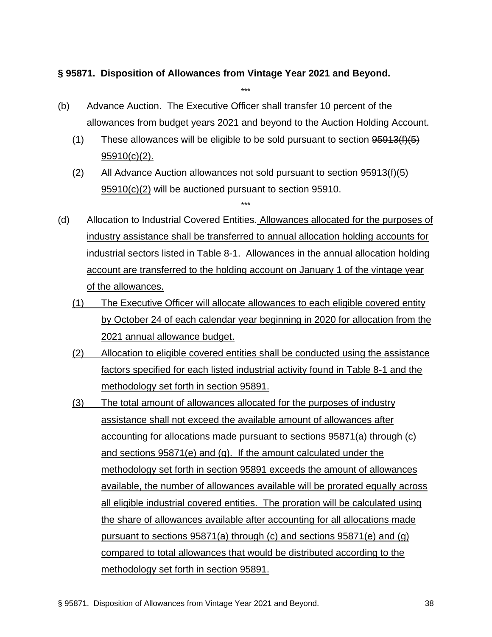#### **§ 95871. Disposition of Allowances from Vintage Year 2021 and Beyond.**

(b) Advance Auction. The Executive Officer shall transfer 10 percent of the allowances from budget years 2021 and beyond to the Auction Holding Account.

\*\*\*

- (1) These allowances will be eligible to be sold pursuant to section  $95913(f)(5)$ 95910(c)(2).
- (2) All Advance Auction allowances not sold pursuant to section  $95913(f)(5)$ 95910(c)(2) will be auctioned pursuant to section 95910.

- (d) Allocation to Industrial Covered Entities. Allowances allocated for the purposes of industry assistance shall be transferred to annual allocation holding accounts for industrial sectors listed in Table 8-1. Allowances in the annual allocation holding account are transferred to the holding account on January 1 of the vintage year of the allowances.
	- (1) The Executive Officer will allocate allowances to each eligible covered entity by October 24 of each calendar year beginning in 2020 for allocation from the 2021 annual allowance budget.
	- (2) Allocation to eligible covered entities shall be conducted using the assistance factors specified for each listed industrial activity found in Table 8-1 and the methodology set forth in section 95891.
	- (3) The total amount of allowances allocated for the purposes of industry assistance shall not exceed the available amount of allowances after accounting for allocations made pursuant to sections 95871(a) through (c) and sections 95871(e) and (g). If the amount calculated under the methodology set forth in section 95891 exceeds the amount of allowances available, the number of allowances available will be prorated equally across all eligible industrial covered entities. The proration will be calculated using the share of allowances available after accounting for all allocations made pursuant to sections 95871(a) through (c) and sections 95871(e) and (g) compared to total allowances that would be distributed according to the methodology set forth in section 95891.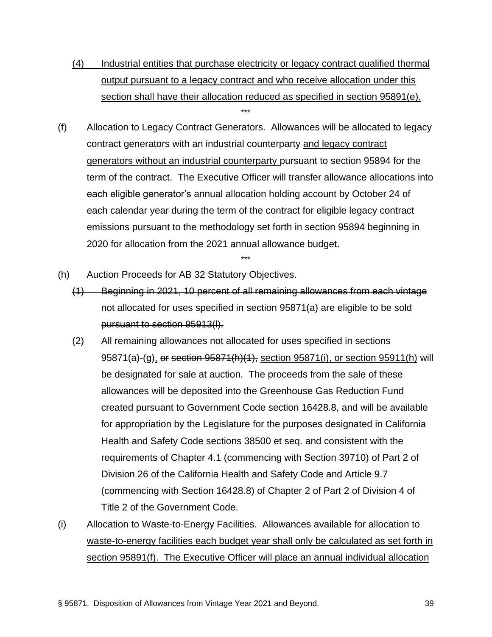- (4) Industrial entities that purchase electricity or legacy contract qualified thermal output pursuant to a legacy contract and who receive allocation under this section shall have their allocation reduced as specified in section 95891(e). \*\*\*
- (f) Allocation to Legacy Contract Generators. Allowances will be allocated to legacy contract generators with an industrial counterparty and legacy contract generators without an industrial counterparty pursuant to section 95894 for the term of the contract. The Executive Officer will transfer allowance allocations into each eligible generator's annual allocation holding account by October 24 of each calendar year during the term of the contract for eligible legacy contract emissions pursuant to the methodology set forth in section 95894 beginning in 2020 for allocation from the 2021 annual allowance budget.
- (h) Auction Proceeds for AB 32 Statutory Objectives.
	- (1) Beginning in 2021, 10 percent of all remaining allowances from each vintage not allocated for uses specified in section 95871(a) are eligible to be sold pursuant to section 95913(l).

- $\left(2\right)$  All remaining allowances not allocated for uses specified in sections 95871(a)-(g), or section 95871(h)(1), section 95871(i), or section 95911(h) will be designated for sale at auction. The proceeds from the sale of these allowances will be deposited into the Greenhouse Gas Reduction Fund created pursuant to Government Code section 16428.8, and will be available for appropriation by the Legislature for the purposes designated in California Health and Safety Code sections 38500 et seq. and consistent with the requirements of Chapter 4.1 (commencing with Section 39710) of Part 2 of Division 26 of the California Health and Safety Code and Article 9.7 (commencing with Section 16428.8) of Chapter 2 of Part 2 of Division 4 of Title 2 of the Government Code.
- (i) Allocation to Waste-to-Energy Facilities. Allowances available for allocation to waste-to-energy facilities each budget year shall only be calculated as set forth in section 95891(f). The Executive Officer will place an annual individual allocation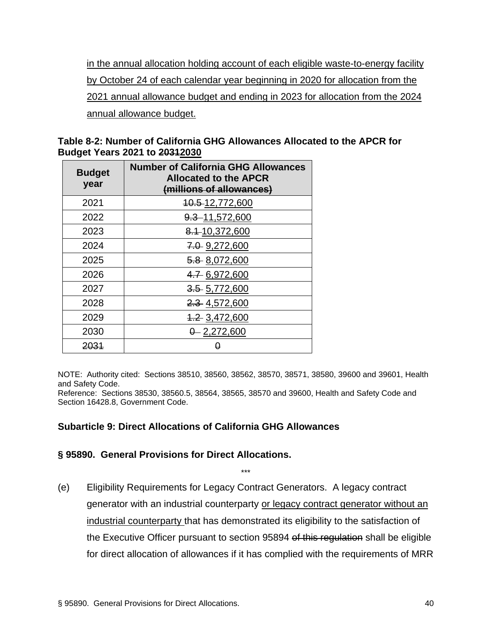in the annual allocation holding account of each eligible waste-to-energy facility by October 24 of each calendar year beginning in 2020 for allocation from the 2021 annual allowance budget and ending in 2023 for allocation from the 2024 annual allowance budget.

|                                      | Table 8-2: Number of California GHG Allowances Allocated to the APCR for |
|--------------------------------------|--------------------------------------------------------------------------|
| <b>Budget Years 2021 to 20312030</b> |                                                                          |

| <b>Budget</b><br>year | <b>Number of California GHG Allowances</b><br><b>Allocated to the APCR</b><br>(millions of allowances) |
|-----------------------|--------------------------------------------------------------------------------------------------------|
| 2021                  | 40.5-12,772,600                                                                                        |
| 2022                  | 9.3 - 11,572,600                                                                                       |
| 2023                  | 8.1-10,372,600                                                                                         |
| 2024                  | 7.0 9,272,600                                                                                          |
| 2025                  | 5.8 8,072,600                                                                                          |
| 2026                  | 4.7 6,972,600                                                                                          |
| 2027                  | $3.5$ 5,772,600                                                                                        |
| 2028                  | 2.3 4,572,600                                                                                          |
| 2029                  | 4.2 3,472,600                                                                                          |
| 2030                  | $0 - 2,272,600$                                                                                        |
| 2031                  |                                                                                                        |

NOTE: Authority cited: Sections 38510, 38560, 38562, 38570, 38571, 38580, 39600 and 39601, Health and Safety Code.

Reference: Sections 38530, 38560.5, 38564, 38565, 38570 and 39600, Health and Safety Code and Section 16428.8, Government Code.

## **Subarticle 9: Direct Allocations of California GHG Allowances**

#### **§ 95890. General Provisions for Direct Allocations.**

(e) Eligibility Requirements for Legacy Contract Generators. A legacy contract generator with an industrial counterparty or legacy contract generator without an industrial counterparty that has demonstrated its eligibility to the satisfaction of the Executive Officer pursuant to section 95894 of this regulation shall be eligible for direct allocation of allowances if it has complied with the requirements of MRR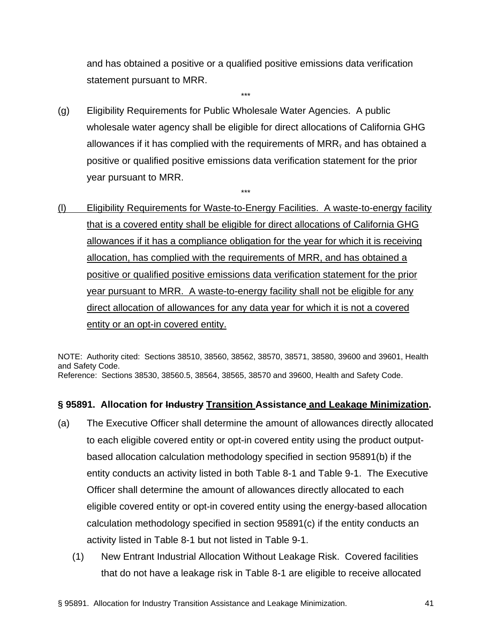and has obtained a positive or a qualified positive emissions data verification statement pursuant to MRR.

\*\*\*

(g) Eligibility Requirements for Public Wholesale Water Agencies. A public wholesale water agency shall be eligible for direct allocations of California GHG allowances if it has complied with the requirements of MRR, and has obtained a positive or qualified positive emissions data verification statement for the prior year pursuant to MRR.

\*\*\*

(l) Eligibility Requirements for Waste-to-Energy Facilities. A waste-to-energy facility that is a covered entity shall be eligible for direct allocations of California GHG allowances if it has a compliance obligation for the year for which it is receiving allocation, has complied with the requirements of MRR, and has obtained a positive or qualified positive emissions data verification statement for the prior year pursuant to MRR. A waste-to-energy facility shall not be eligible for any direct allocation of allowances for any data year for which it is not a covered entity or an opt-in covered entity.

NOTE: Authority cited: Sections 38510, 38560, 38562, 38570, 38571, 38580, 39600 and 39601, Health and Safety Code. Reference: Sections 38530, 38560.5, 38564, 38565, 38570 and 39600, Health and Safety Code.

## **§ 95891. Allocation for Industry Transition Assistance and Leakage Minimization.**

- (a) The Executive Officer shall determine the amount of allowances directly allocated to each eligible covered entity or opt-in covered entity using the product outputbased allocation calculation methodology specified in section 95891(b) if the entity conducts an activity listed in both Table 8-1 and Table 9-1. The Executive Officer shall determine the amount of allowances directly allocated to each eligible covered entity or opt-in covered entity using the energy-based allocation calculation methodology specified in section 95891(c) if the entity conducts an activity listed in Table 8-1 but not listed in Table 9-1.
	- (1) New Entrant Industrial Allocation Without Leakage Risk. Covered facilities that do not have a leakage risk in Table 8-1 are eligible to receive allocated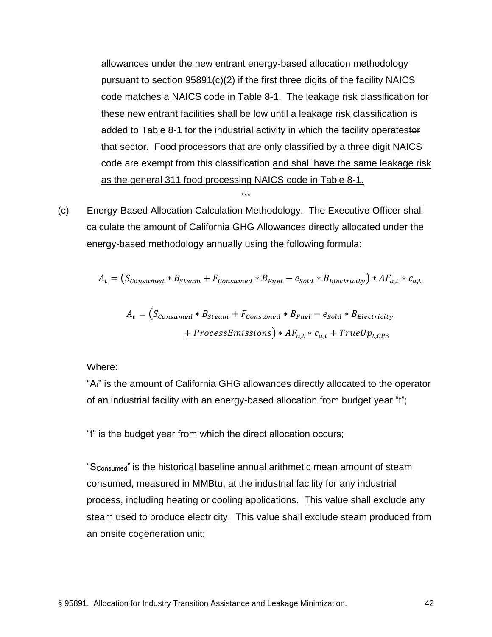allowances under the new entrant energy-based allocation methodology pursuant to section 95891(c)(2) if the first three digits of the facility NAICS code matches a NAICS code in Table 8-1. The leakage risk classification for these new entrant facilities shall be low until a leakage risk classification is added to Table 8-1 for the industrial activity in which the facility operatesfor that sector. Food processors that are only classified by a three digit NAICS code are exempt from this classification and shall have the same leakage risk as the general 311 food processing NAICS code in Table 8-1.

(c) Energy-Based Allocation Calculation Methodology. The Executive Officer shall calculate the amount of California GHG Allowances directly allocated under the energy-based methodology annually using the following formula:

\*\*\*

$$
A_{\epsilon} = (S_{\epsilon onsumed} * B_{\epsilon mean} + F_{\epsilon onsumed} * B_{\epsilon rate} - e_{\epsilon data} * B_{\epsilon hetericity}) * AF_{\epsilon \epsilon} * e_{\epsilon \epsilon}
$$

$$
A_t = (S_{consumed} * B_{Steam} + F_{consumed} * B_{Fuel} - e_{Sold} * B_{Electricity}
$$
  
+ *ProcessEmissions*)\*  $AF_{a,t} * c_{a,t} + TrueUp_{t, CP3}$ 

Where:

"A<sub>t</sub>" is the amount of California GHG allowances directly allocated to the operator of an industrial facility with an energy-based allocation from budget year "t";

"t" is the budget year from which the direct allocation occurs;

"SConsumed" is the historical baseline annual arithmetic mean amount of steam consumed, measured in MMBtu, at the industrial facility for any industrial process, including heating or cooling applications. This value shall exclude any steam used to produce electricity. This value shall exclude steam produced from an onsite cogeneration unit;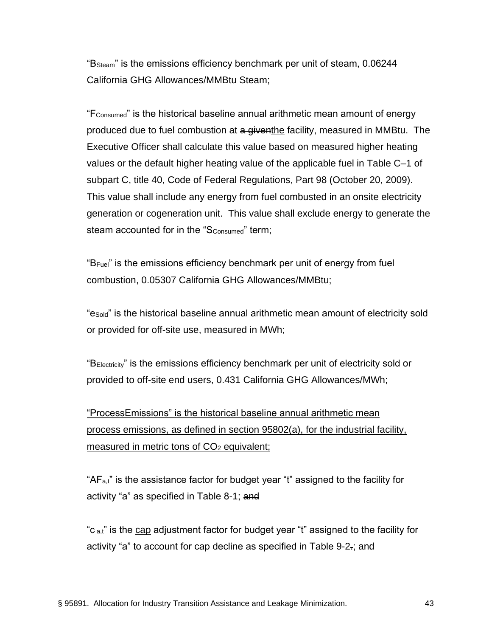"BSteam" is the emissions efficiency benchmark per unit of steam, 0.06244 California GHG Allowances/MMBtu Steam;

 $F_{\text{Consumed}}$ " is the historical baseline annual arithmetic mean amount of energy produced due to fuel combustion at a giventhe facility, measured in MMBtu. The Executive Officer shall calculate this value based on measured higher heating values or the default higher heating value of the applicable fuel in Table C–1 of subpart C, title 40, Code of Federal Regulations, Part 98 (October 20, 2009). This value shall include any energy from fuel combusted in an onsite electricity generation or cogeneration unit. This value shall exclude energy to generate the steam accounted for in the "S<sub>Consumed</sub>" term;

"BFuel" is the emissions efficiency benchmark per unit of energy from fuel combustion, 0.05307 California GHG Allowances/MMBtu;

"eSold" is the historical baseline annual arithmetic mean amount of electricity sold or provided for off-site use, measured in MWh;

"BElectricity" is the emissions efficiency benchmark per unit of electricity sold or provided to off-site end users, 0.431 California GHG Allowances/MWh;

"ProcessEmissions" is the historical baseline annual arithmetic mean process emissions, as defined in section 95802(a), for the industrial facility, measured in metric tons of CO<sub>2</sub> equivalent;

"AFa,t" is the assistance factor for budget year "t" assigned to the facility for activity "a" as specified in Table 8-1; and

"c  $_{a,t}$ " is the cap adjustment factor for budget year "t" assigned to the facility for activity "a" to account for cap decline as specified in Table 9-2.; and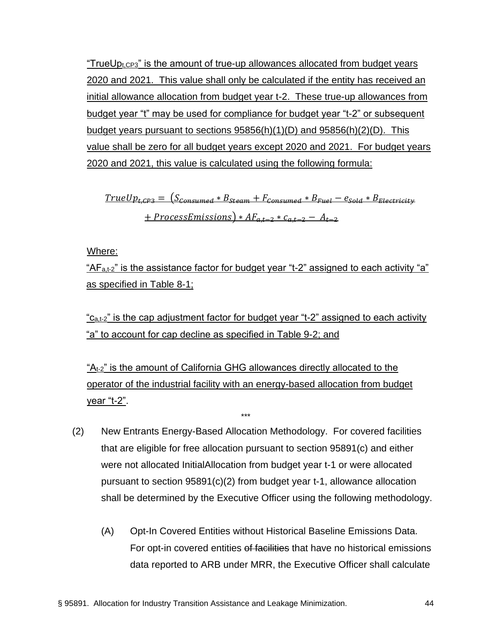"TrueU $p_{t,CP3}$ " is the amount of true-up allowances allocated from budget years 2020 and 2021. This value shall only be calculated if the entity has received an initial allowance allocation from budget year t-2. These true-up allowances from budget year "t" may be used for compliance for budget year "t-2" or subsequent budget years pursuant to sections 95856(h)(1)(D) and 95856(h)(2)(D). This value shall be zero for all budget years except 2020 and 2021. For budget years 2020 and 2021, this value is calculated using the following formula:

 $TrueUp<sub>t,CP3</sub> = (S<sub>consumed</sub> * B<sub>Steam</sub> + F<sub>consumed</sub> * B<sub>Full</sub> - e<sub>Sold</sub> * B<sub>Electricity</sub>$  $+ ProcessEmissions$ ) \*  $AF_{a,t-2}$  \*  $c_{a,t-2} - A_{t-2}$ 

Where:

" $AF<sub>a,t-2</sub>$ " is the assistance factor for budget year "t-2" assigned to each activity "a" as specified in Table 8-1;

"C<sub>a,t-2</sub>" is the cap adjustment factor for budget year "t-2" assigned to each activity "a" to account for cap decline as specified in Table 9-2; and

 $A_{t-2}$ " is the amount of California GHG allowances directly allocated to the operator of the industrial facility with an energy-based allocation from budget year "t-2".

- (2) New Entrants Energy-Based Allocation Methodology. For covered facilities that are eligible for free allocation pursuant to section 95891(c) and either were not allocated InitialAllocation from budget year t-1 or were allocated pursuant to section 95891(c)(2) from budget year t-1, allowance allocation shall be determined by the Executive Officer using the following methodology.
	- (A) Opt-In Covered Entities without Historical Baseline Emissions Data. For opt-in covered entities of facilities that have no historical emissions data reported to ARB under MRR, the Executive Officer shall calculate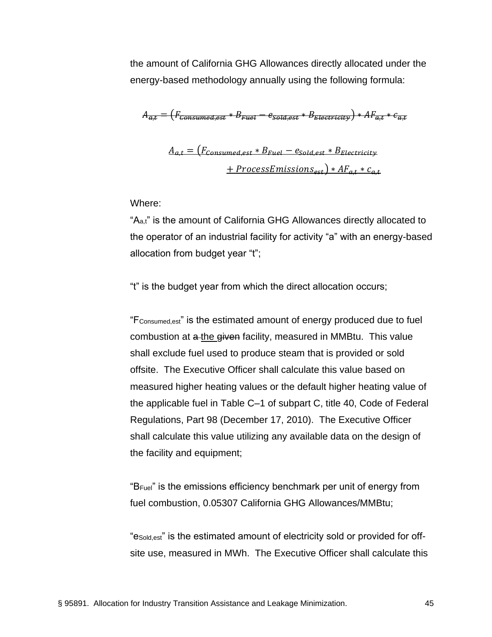the amount of California GHG Allowances directly allocated under the energy-based methodology annually using the following formula:

$$
A_{a,t} = \left(F_{\text{consumed,est}} * B_{\text{Eucl}} - e_{\text{sold,est}} * B_{\text{Electricity}}\right) * A F_{a,t} * c_{a,t}
$$

$$
A_{a,t} = (F_{consumed, est} * B_{Full} - e_{Sold, est} * B_{Electricity}
$$
  
+ *ProcessEmissions<sub>est</sub>* ) \*  $AF_{a,t} * c_{a,t}$ 

Where:

"Aa,t" is the amount of California GHG Allowances directly allocated to the operator of an industrial facility for activity "a" with an energy-based allocation from budget year "t";

"t" is the budget year from which the direct allocation occurs;

"FConsumed,est" is the estimated amount of energy produced due to fuel combustion at a the given facility, measured in MMBtu. This value shall exclude fuel used to produce steam that is provided or sold offsite. The Executive Officer shall calculate this value based on measured higher heating values or the default higher heating value of the applicable fuel in Table C–1 of subpart C, title 40, Code of Federal Regulations, Part 98 (December 17, 2010). The Executive Officer shall calculate this value utilizing any available data on the design of the facility and equipment;

"BFuel" is the emissions efficiency benchmark per unit of energy from fuel combustion, 0.05307 California GHG Allowances/MMBtu;

"eSold,est" is the estimated amount of electricity sold or provided for offsite use, measured in MWh. The Executive Officer shall calculate this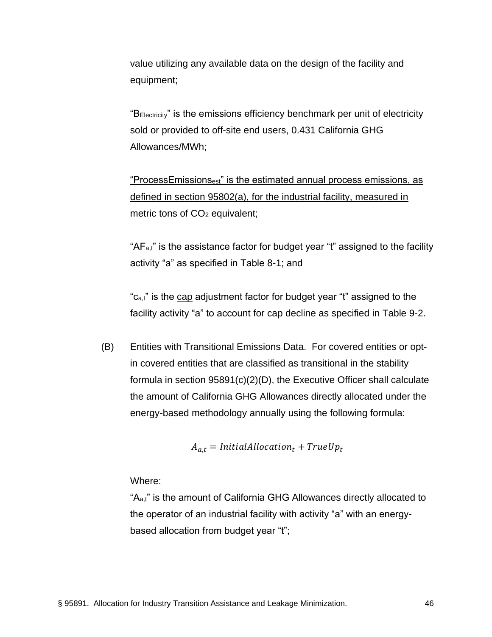value utilizing any available data on the design of the facility and equipment;

"BElectricity" is the emissions efficiency benchmark per unit of electricity sold or provided to off-site end users, 0.431 California GHG Allowances/MWh;

"ProcessEmissionsest" is the estimated annual process emissions, as defined in section 95802(a), for the industrial facility, measured in metric tons of CO<sub>2</sub> equivalent;

" $AF_{a,t}$ " is the assistance factor for budget year "t" assigned to the facility activity "a" as specified in Table 8-1; and

"c<sub>a,t</sub>" is the cap adjustment factor for budget year "t" assigned to the facility activity "a" to account for cap decline as specified in Table 9-2.

(B) Entities with Transitional Emissions Data. For covered entities or optin covered entities that are classified as transitional in the stability formula in section 95891(c)(2)(D), the Executive Officer shall calculate the amount of California GHG Allowances directly allocated under the energy-based methodology annually using the following formula:

$$
A_{a,t} = InitialAllocation_t + TrueUp_t
$$

Where:

"A<sub>a,t</sub>" is the amount of California GHG Allowances directly allocated to the operator of an industrial facility with activity "a" with an energybased allocation from budget year "t";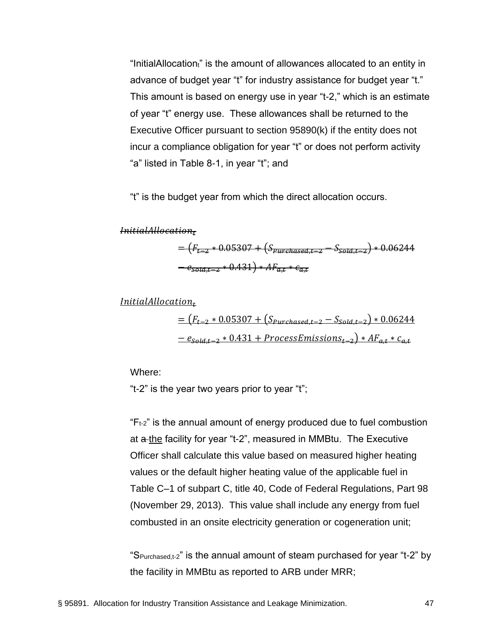"InitialAllocationt" is the amount of allowances allocated to an entity in advance of budget year "t" for industry assistance for budget year "t." This amount is based on energy use in year "t-2," which is an estimate of year "t" energy use. These allowances shall be returned to the Executive Officer pursuant to section 95890(k) if the entity does not incur a compliance obligation for year "t" or does not perform activity "a" listed in Table 8-1, in year "t"; and

"t" is the budget year from which the direct allocation occurs.

*InitialAllocation*<sub>z</sub>

 $=\left(F_{t-2} * 0.05307 + \left(S_{purehased,t-2} - S_{sola,t-2}\right) * 0.06244\right)$  $-e_{sola,t-2} * 0.431) * AF_{a,t} * c_{a,t}$ 

 $Initial Allocation<sub>t</sub>$ 

$$
\begin{aligned} &= \left(F_{t-2} * 0.05307 + \left(S_{Purchased,t-2} - S_{Sold,t-2}\right) * 0.06244\right) \\ &- e_{Sold,t-2} * 0.431 + ProcessEmissions_{t-2}\right) * AF_{a,t} * c_{a,t} \end{aligned}
$$

Where:

"t-2" is the year two years prior to year "t";

 $F_{t-2}$ " is the annual amount of energy produced due to fuel combustion at a the facility for year "t-2", measured in MMBtu. The Executive Officer shall calculate this value based on measured higher heating values or the default higher heating value of the applicable fuel in Table C–1 of subpart C, title 40, Code of Federal Regulations, Part 98 (November 29, 2013). This value shall include any energy from fuel combusted in an onsite electricity generation or cogeneration unit;

"SPurchased,t-2" is the annual amount of steam purchased for year "t-2" by the facility in MMBtu as reported to ARB under MRR;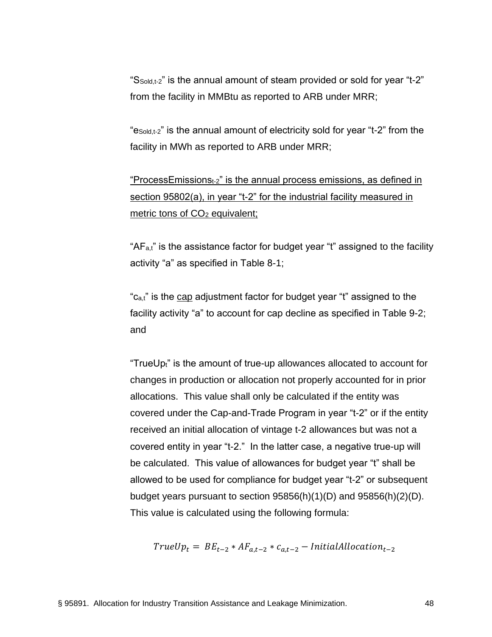"SSold,t-2" is the annual amount of steam provided or sold for year "t-2" from the facility in MMBtu as reported to ARB under MRR;

"eSold,t-2" is the annual amount of electricity sold for year "t-2" from the facility in MWh as reported to ARB under MRR;

"ProcessEmissionst-2" is the annual process emissions, as defined in section 95802(a), in year "t-2" for the industrial facility measured in metric tons of CO<sub>2</sub> equivalent;

" $AF<sub>a,t</sub>$ " is the assistance factor for budget year "t" assigned to the facility activity "a" as specified in Table 8-1;

"c<sub>a,t</sub>" is the cap adjustment factor for budget year "t" assigned to the facility activity "a" to account for cap decline as specified in Table 9-2; and

"TrueUp<sub>t</sub>" is the amount of true-up allowances allocated to account for changes in production or allocation not properly accounted for in prior allocations. This value shall only be calculated if the entity was covered under the Cap-and-Trade Program in year "t-2" or if the entity received an initial allocation of vintage t-2 allowances but was not a covered entity in year "t-2." In the latter case, a negative true-up will be calculated. This value of allowances for budget year "t" shall be allowed to be used for compliance for budget year "t-2" or subsequent budget years pursuant to section 95856(h)(1)(D) and 95856(h)(2)(D). This value is calculated using the following formula:

$$
TrueUp_t = BE_{t-2} * AF_{a,t-2} * c_{a,t-2} - Initial Allocation_{t-2}
$$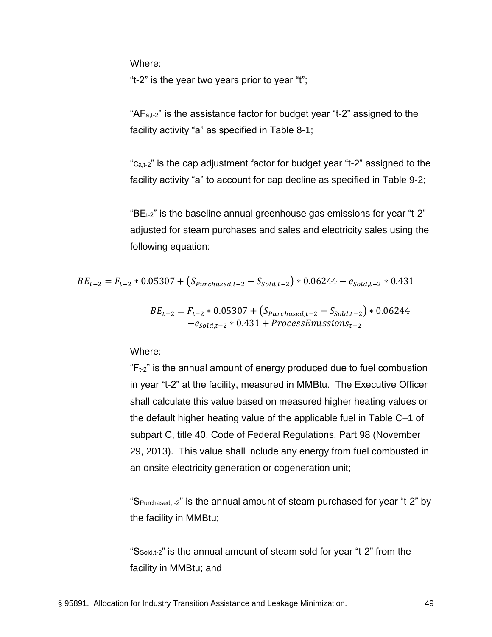Where:

"t-2" is the year two years prior to year "t";

" $AF<sub>a,t-2</sub>$ " is the assistance factor for budget year "t-2" assigned to the facility activity "a" as specified in Table 8-1;

"c<sub>a,t-2</sub>" is the cap adjustment factor for budget year "t-2" assigned to the facility activity "a" to account for cap decline as specified in Table 9-2;

" $BE<sub>t-2</sub>$ " is the baseline annual greenhouse gas emissions for year "t-2" adjusted for steam purchases and sales and electricity sales using the following equation:

$$
BE_{t=2} = F_{t=2} * 0.05307 + (S_{purehased,t=2} - S_{sold,t=2}) * 0.06244 - e_{sold,t=2} * 0.431
$$

$$
\frac{BE_{t-2} = F_{t-2} * 0.05307 + (S_{Purrelased,t-2} - S_{\text{old,t-2}}) * 0.06244}{-e_{\text{old,t-2}} * 0.431 + ProcessEmissions_{t-2}}
$$

Where:

 $F_{t-2}$ " is the annual amount of energy produced due to fuel combustion in year "t-2" at the facility, measured in MMBtu. The Executive Officer shall calculate this value based on measured higher heating values or the default higher heating value of the applicable fuel in Table C–1 of subpart C, title 40, Code of Federal Regulations, Part 98 (November 29, 2013). This value shall include any energy from fuel combusted in an onsite electricity generation or cogeneration unit;

"SPurchased,t-2" is the annual amount of steam purchased for year "t-2" by the facility in MMBtu;

"SSold,t-2" is the annual amount of steam sold for year "t-2" from the facility in MMBtu; and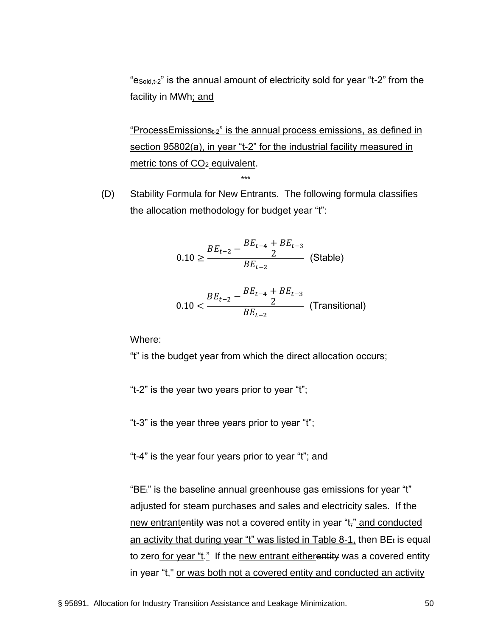"eSold,t-2" is the annual amount of electricity sold for year "t-2" from the facility in MWh; and

"ProcessEmissions $t_2$ " is the annual process emissions, as defined in section 95802(a), in year "t-2" for the industrial facility measured in metric tons of CO<sub>2</sub> equivalent.

(D) Stability Formula for New Entrants. The following formula classifies the allocation methodology for budget year "t":

\*\*\*

$$
0.10 \ge \frac{BE_{t-2} - \frac{BE_{t-4} + BE_{t-3}}{2}}{BE_{t-2}}
$$
 (Stable)  

$$
0.10 < \frac{BE_{t-2} - \frac{BE_{t-4} + BE_{t-3}}{2}}{BF_{t-2}}
$$
 (Transitional)

Where:

"t" is the budget year from which the direct allocation occurs;

 $BE_{t-2}$ 

"t-2" is the year two years prior to year "t";

"t-3" is the year three years prior to year "t";

"t-4" is the year four years prior to year "t"; and

"BEt" is the baseline annual greenhouse gas emissions for year "t" adjusted for steam purchases and sales and electricity sales. If the new entrantentity was not a covered entity in year "t<sub>r</sub>" and conducted an activity that during year "t" was listed in Table 8-1, then  $BE<sub>t</sub>$  is equal to zero for year "t." If the new entrant eitherentity was a covered entity in year "t<sub>r</sub>" or was both not a covered entity and conducted an activity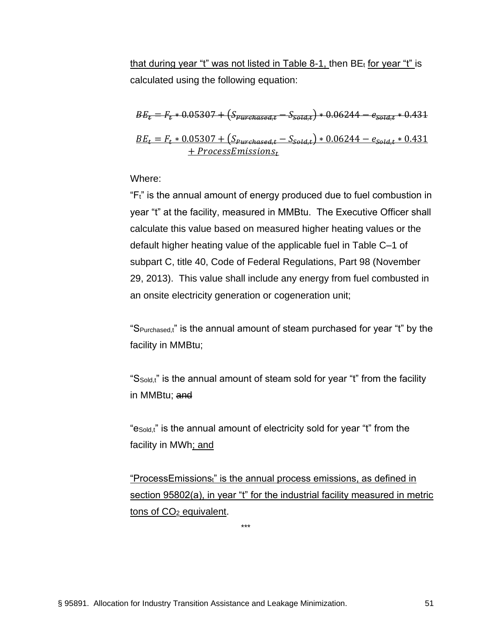that during year "t" was not listed in Table 8-1, then  $BE<sub>t</sub>$  for year "t" is calculated using the following equation:

$$
BE_t = F_t * 0.05307 + (S_{purehased,t} - S_{sota,t}) * 0.06244 - e_{sota,t} * 0.431
$$
  

$$
BE_t = F_t * 0.05307 + (S_{Purchased,t} - S_{sola,t}) * 0.06244 - e_{sola,t} * 0.431
$$
  

$$
+ Process Emissions_t
$$

Where:

"Ft" is the annual amount of energy produced due to fuel combustion in year "t" at the facility, measured in MMBtu. The Executive Officer shall calculate this value based on measured higher heating values or the default higher heating value of the applicable fuel in Table C–1 of subpart C, title 40, Code of Federal Regulations, Part 98 (November 29, 2013). This value shall include any energy from fuel combusted in an onsite electricity generation or cogeneration unit;

"S<sub>Purchased,t</sub>" is the annual amount of steam purchased for year "t" by the facility in MMBtu;

"SSold,t" is the annual amount of steam sold for year "t" from the facility in MMBtu; and

"eSold,t" is the annual amount of electricity sold for year "t" from the facility in MWh; and

"ProcessEmissions;" is the annual process emissions, as defined in section 95802(a), in year "t" for the industrial facility measured in metric tons of CO<sup>2</sup> equivalent.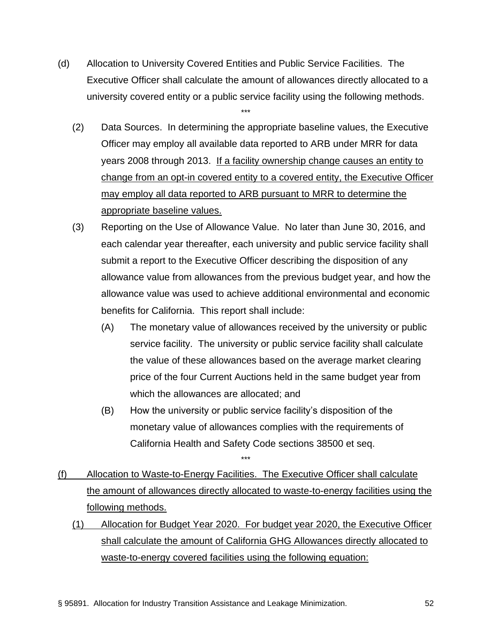(d) Allocation to University Covered Entities and Public Service Facilities. The Executive Officer shall calculate the amount of allowances directly allocated to a university covered entity or a public service facility using the following methods.

- (2) Data Sources. In determining the appropriate baseline values, the Executive Officer may employ all available data reported to ARB under MRR for data years 2008 through 2013. If a facility ownership change causes an entity to change from an opt-in covered entity to a covered entity, the Executive Officer may employ all data reported to ARB pursuant to MRR to determine the appropriate baseline values.
- (3) Reporting on the Use of Allowance Value. No later than June 30, 2016, and each calendar year thereafter, each university and public service facility shall submit a report to the Executive Officer describing the disposition of any allowance value from allowances from the previous budget year, and how the allowance value was used to achieve additional environmental and economic benefits for California. This report shall include:
	- (A) The monetary value of allowances received by the university or public service facility. The university or public service facility shall calculate the value of these allowances based on the average market clearing price of the four Current Auctions held in the same budget year from which the allowances are allocated; and
	- (B) How the university or public service facility's disposition of the monetary value of allowances complies with the requirements of California Health and Safety Code sections 38500 et seq. \*\*\*
- (f) Allocation to Waste-to-Energy Facilities. The Executive Officer shall calculate the amount of allowances directly allocated to waste-to-energy facilities using the following methods.
	- (1) Allocation for Budget Year 2020. For budget year 2020, the Executive Officer shall calculate the amount of California GHG Allowances directly allocated to waste-to-energy covered facilities using the following equation: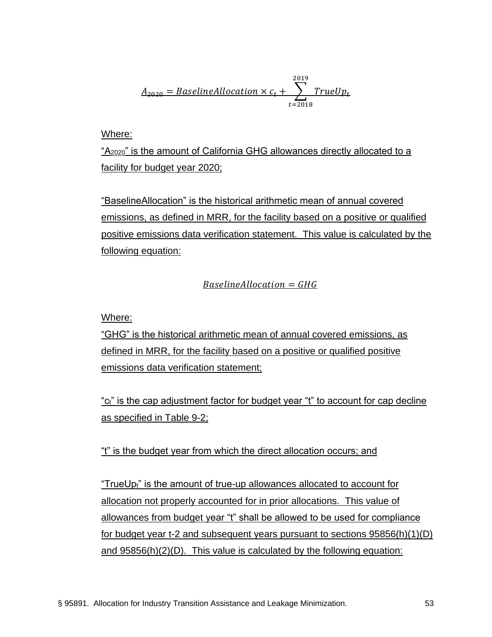$$
\underline{A}_{2020} = Baseline Allocation \times c_t + \sum_{t=2018}^{2019} TrueUp_t
$$

Where:

"A2020" is the amount of California GHG allowances directly allocated to a facility for budget year 2020;

"BaselineAllocation" is the historical arithmetic mean of annual covered emissions, as defined in MRR, for the facility based on a positive or qualified positive emissions data verification statement. This value is calculated by the following equation:

 $Base line Allocation = GHG$ 

Where:

"GHG" is the historical arithmetic mean of annual covered emissions, as defined in MRR, for the facility based on a positive or qualified positive emissions data verification statement;

"c<sub>t</sub>" is the cap adjustment factor for budget year "t" to account for cap decline as specified in Table 9-2;

"t" is the budget year from which the direct allocation occurs; and

"TrueUp<sub>t</sub>" is the amount of true-up allowances allocated to account for allocation not properly accounted for in prior allocations. This value of allowances from budget year "t" shall be allowed to be used for compliance for budget year t-2 and subsequent years pursuant to sections 95856(h)(1)(D) and 95856(h)(2)(D). This value is calculated by the following equation: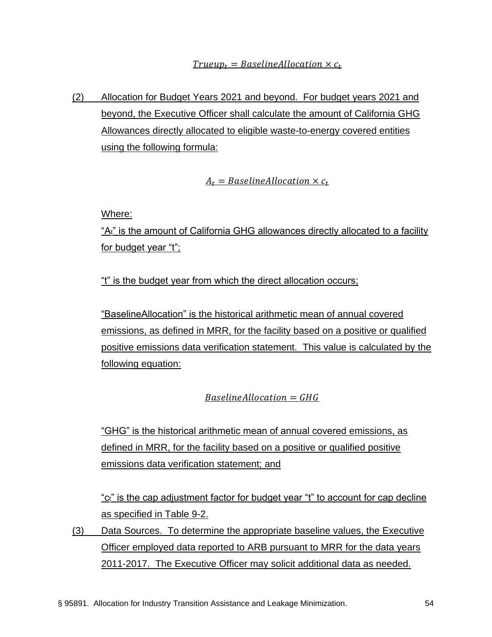(2) Allocation for Budget Years 2021 and beyond. For budget years 2021 and beyond, the Executive Officer shall calculate the amount of California GHG Allowances directly allocated to eligible waste-to-energy covered entities using the following formula:

 $A_t = BaselineAllocation \times c_t$ 

Where:

"At" is the amount of California GHG allowances directly allocated to a facility for budget year "t";

"t" is the budget year from which the direct allocation occurs;

"BaselineAllocation" is the historical arithmetic mean of annual covered emissions, as defined in MRR, for the facility based on a positive or qualified positive emissions data verification statement. This value is calculated by the following equation:

 $Base line Allocation = GHG$ 

"GHG" is the historical arithmetic mean of annual covered emissions, as defined in MRR, for the facility based on a positive or qualified positive emissions data verification statement; and

"ct" is the cap adjustment factor for budget year "t" to account for cap decline as specified in Table 9-2.

(3) Data Sources. To determine the appropriate baseline values, the Executive Officer employed data reported to ARB pursuant to MRR for the data years 2011-2017. The Executive Officer may solicit additional data as needed.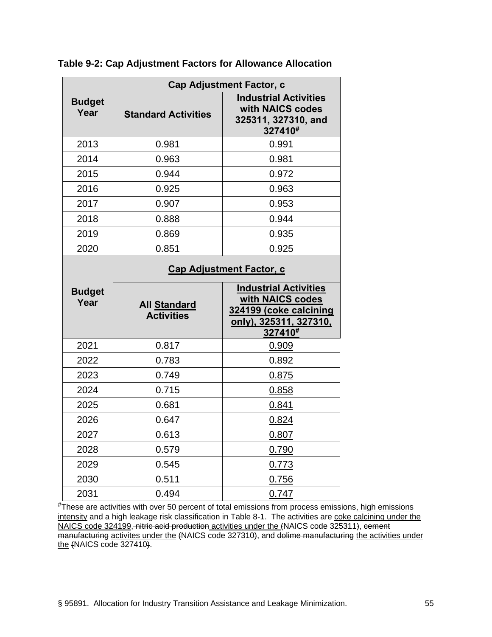|                       | <b>Cap Adjustment Factor, c</b>          |                                                                                                                        |  |  |  |
|-----------------------|------------------------------------------|------------------------------------------------------------------------------------------------------------------------|--|--|--|
| <b>Budget</b><br>Year | <b>Standard Activities</b>               | <b>Industrial Activities</b><br>with NAICS codes<br>325311, 327310, and<br>327410#                                     |  |  |  |
| 2013                  | 0.981                                    | 0.991                                                                                                                  |  |  |  |
| 2014                  | 0.963                                    | 0.981                                                                                                                  |  |  |  |
| 2015                  | 0.944                                    | 0.972                                                                                                                  |  |  |  |
| 2016                  | 0.925                                    | 0.963                                                                                                                  |  |  |  |
| 2017                  | 0.907                                    | 0.953                                                                                                                  |  |  |  |
| 2018                  | 0.888                                    | 0.944                                                                                                                  |  |  |  |
| 2019                  | 0.869                                    | 0.935                                                                                                                  |  |  |  |
| 2020                  | 0.851                                    | 0.925                                                                                                                  |  |  |  |
|                       | <b>Cap Adjustment Factor, c</b>          |                                                                                                                        |  |  |  |
| <b>Budget</b><br>Year | <b>All Standard</b><br><b>Activities</b> | <b>Industrial Activities</b><br>with NAICS codes<br>324199 (coke calcining<br><u>only), 325311, 327310,</u><br>327410# |  |  |  |
| 2021                  | 0.817                                    | 0.909                                                                                                                  |  |  |  |
| 2022                  | 0.783                                    | 0.892                                                                                                                  |  |  |  |
| 2023                  | 0.749                                    | 0.875                                                                                                                  |  |  |  |
| 2024                  | 0.715                                    | 0.858                                                                                                                  |  |  |  |
| 2025                  | 0.681                                    | 0.841                                                                                                                  |  |  |  |
| 2026                  | 0.647                                    | 0.824                                                                                                                  |  |  |  |
| 2027                  | 0.613                                    | 0.807                                                                                                                  |  |  |  |
| 2028                  | 0.579                                    | 0.790                                                                                                                  |  |  |  |
| 2029                  | 0.545                                    |                                                                                                                        |  |  |  |
|                       |                                          | 0.773                                                                                                                  |  |  |  |
| 2030                  | 0.511                                    | 0.756                                                                                                                  |  |  |  |

**Table 9-2: Cap Adjustment Factors for Allowance Allocation**

#These are activities with over 50 percent of total emissions from process emissions, high emissions intensity and a high leakage risk classification in Table 8-1. The activities are coke calcining under the NAICS code 324199, nitric acid production activities under the (NAICS code 325311), cement manufacturing activites under the (NAICS code 327310), and dolime manufacturing the activities under the (NAICS code 327410).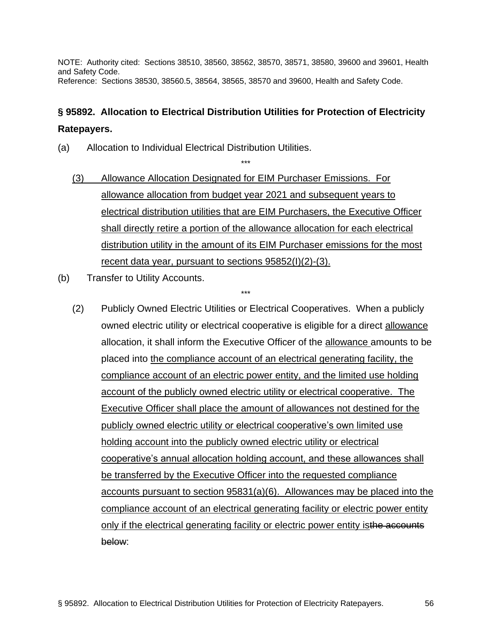NOTE: Authority cited: Sections 38510, 38560, 38562, 38570, 38571, 38580, 39600 and 39601, Health and Safety Code. Reference: Sections 38530, 38560.5, 38564, 38565, 38570 and 39600, Health and Safety Code.

## **§ 95892. Allocation to Electrical Distribution Utilities for Protection of Electricity Ratepayers.**

- (a) Allocation to Individual Electrical Distribution Utilities.
	- (3) Allowance Allocation Designated for EIM Purchaser Emissions. For allowance allocation from budget year 2021 and subsequent years to electrical distribution utilities that are EIM Purchasers, the Executive Officer shall directly retire a portion of the allowance allocation for each electrical distribution utility in the amount of its EIM Purchaser emissions for the most recent data year, pursuant to sections 95852(I)(2)-(3).

\*\*\*

- (b) Transfer to Utility Accounts.
	- (2) Publicly Owned Electric Utilities or Electrical Cooperatives. When a publicly owned electric utility or electrical cooperative is eligible for a direct allowance allocation, it shall inform the Executive Officer of the allowance amounts to be placed into the compliance account of an electrical generating facility, the compliance account of an electric power entity, and the limited use holding account of the publicly owned electric utility or electrical cooperative. The Executive Officer shall place the amount of allowances not destined for the publicly owned electric utility or electrical cooperative's own limited use holding account into the publicly owned electric utility or electrical cooperative's annual allocation holding account, and these allowances shall be transferred by the Executive Officer into the requested compliance accounts pursuant to section 95831(a)(6). Allowances may be placed into the compliance account of an electrical generating facility or electric power entity only if the electrical generating facility or electric power entity isthe accounts below: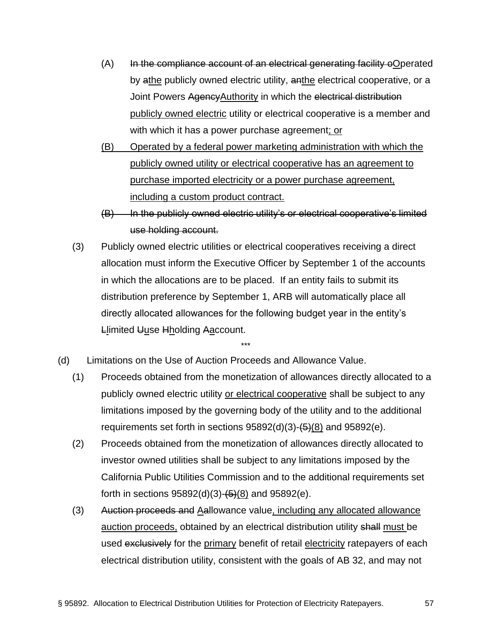- $(A)$  In the compliance account of an electrical generating facility oOperated by athe publicly owned electric utility, anthe electrical cooperative, or a Joint Powers Agency Authority in which the electrical distribution publicly owned electric utility or electrical cooperative is a member and with which it has a power purchase agreement; or
- (B) Operated by a federal power marketing administration with which the publicly owned utility or electrical cooperative has an agreement to purchase imported electricity or a power purchase agreement, including a custom product contract.
- (B) In the publicly owned electric utility's or electrical cooperative's limited use holding account.
- (3) Publicly owned electric utilities or electrical cooperatives receiving a direct allocation must inform the Executive Officer by September 1 of the accounts in which the allocations are to be placed. If an entity fails to submit its distribution preference by September 1, ARB will automatically place all directly allocated allowances for the following budget year in the entity's Llimited Uuse Hholding Aaccount.

- (d) Limitations on the Use of Auction Proceeds and Allowance Value.
	- (1) Proceeds obtained from the monetization of allowances directly allocated to a publicly owned electric utility or electrical cooperative shall be subject to any limitations imposed by the governing body of the utility and to the additional requirements set forth in sections  $95892(d)(3)-6$  $(6)$  and  $95892(e)$ .
	- (2) Proceeds obtained from the monetization of allowances directly allocated to investor owned utilities shall be subject to any limitations imposed by the California Public Utilities Commission and to the additional requirements set forth in sections  $95892(d)(3) - (5)(8)$  and  $95892(e)$ .
	- (3) Auction proceeds and Aallowance value, including any allocated allowance auction proceeds, obtained by an electrical distribution utility shall must be used exclusively for the primary benefit of retail electricity ratepayers of each electrical distribution utility, consistent with the goals of AB 32, and may not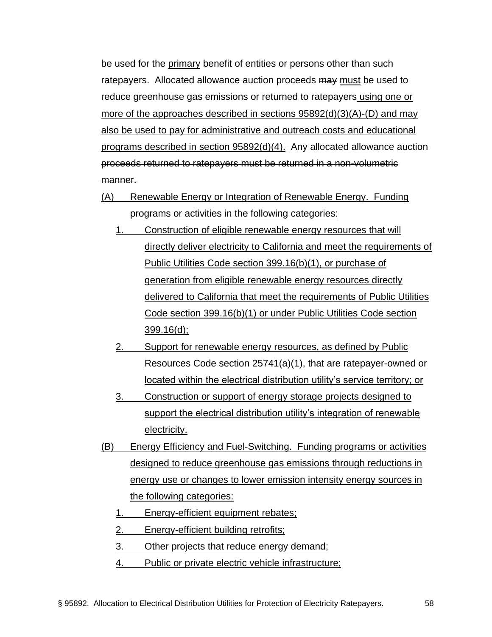be used for the primary benefit of entities or persons other than such ratepayers. Allocated allowance auction proceeds may must be used to reduce greenhouse gas emissions or returned to ratepayers using one or more of the approaches described in sections 95892(d)(3)(A)-(D) and may also be used to pay for administrative and outreach costs and educational programs described in section 95892(d)(4). Any allocated allowance auction proceeds returned to ratepayers must be returned in a non-volumetric manner.

- (A) Renewable Energy or Integration of Renewable Energy. Funding programs or activities in the following categories:
	- 1. Construction of eligible renewable energy resources that will directly deliver electricity to California and meet the requirements of Public Utilities Code section 399.16(b)(1), or purchase of generation from eligible renewable energy resources directly delivered to California that meet the requirements of Public Utilities Code section 399.16(b)(1) or under Public Utilities Code section 399.16(d);
	- 2. Support for renewable energy resources, as defined by Public Resources Code section 25741(a)(1), that are ratepayer-owned or located within the electrical distribution utility's service territory; or
	- 3. Construction or support of energy storage projects designed to support the electrical distribution utility's integration of renewable electricity.
- (B) Energy Efficiency and Fuel-Switching. Funding programs or activities designed to reduce greenhouse gas emissions through reductions in energy use or changes to lower emission intensity energy sources in the following categories:
	- 1. Energy-efficient equipment rebates;
	- 2. Energy-efficient building retrofits;
	- 3. Other projects that reduce energy demand;
	- 4. Public or private electric vehicle infrastructure;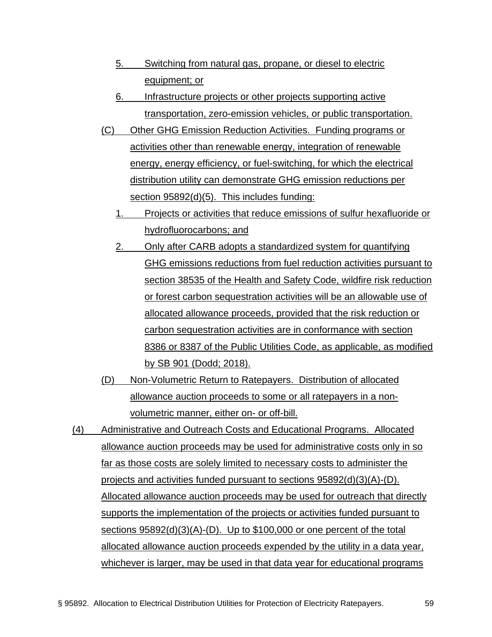- 5. Switching from natural gas, propane, or diesel to electric equipment; or
- 6. Infrastructure projects or other projects supporting active transportation, zero-emission vehicles, or public transportation.
- (C) Other GHG Emission Reduction Activities. Funding programs or activities other than renewable energy, integration of renewable energy, energy efficiency, or fuel-switching, for which the electrical distribution utility can demonstrate GHG emission reductions per section 95892(d)(5). This includes funding:
	- 1. Projects or activities that reduce emissions of sulfur hexafluoride or hydrofluorocarbons; and
	- 2. Only after CARB adopts a standardized system for quantifying GHG emissions reductions from fuel reduction activities pursuant to section 38535 of the Health and Safety Code, wildfire risk reduction or forest carbon sequestration activities will be an allowable use of allocated allowance proceeds, provided that the risk reduction or carbon sequestration activities are in conformance with section 8386 or 8387 of the Public Utilities Code, as applicable, as modified by SB 901 (Dodd; 2018).
- (D) Non-Volumetric Return to Ratepayers. Distribution of allocated allowance auction proceeds to some or all ratepayers in a nonvolumetric manner, either on- or off-bill.
- (4) Administrative and Outreach Costs and Educational Programs. Allocated allowance auction proceeds may be used for administrative costs only in so far as those costs are solely limited to necessary costs to administer the projects and activities funded pursuant to sections 95892(d)(3)(A)-(D). Allocated allowance auction proceeds may be used for outreach that directly supports the implementation of the projects or activities funded pursuant to sections 95892(d)(3)(A)-(D). Up to \$100,000 or one percent of the total allocated allowance auction proceeds expended by the utility in a data year, whichever is larger, may be used in that data year for educational programs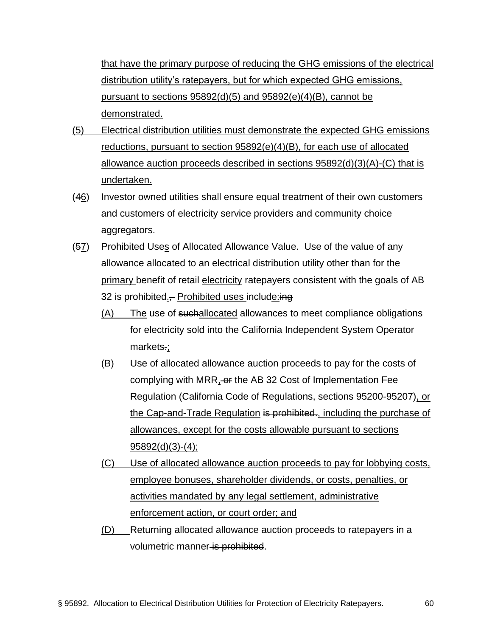that have the primary purpose of reducing the GHG emissions of the electrical distribution utility's ratepayers, but for which expected GHG emissions, pursuant to sections 95892(d)(5) and 95892(e)(4)(B), cannot be demonstrated.

- (5) Electrical distribution utilities must demonstrate the expected GHG emissions reductions, pursuant to section 95892(e)(4)(B), for each use of allocated allowance auction proceeds described in sections 95892(d)(3)(A)-(C) that is undertaken.
- (46) Investor owned utilities shall ensure equal treatment of their own customers and customers of electricity service providers and community choice aggregators.
- (57) Prohibited Uses of Allocated Allowance Value. Use of the value of any allowance allocated to an electrical distribution utility other than for the primary benefit of retail electricity ratepayers consistent with the goals of AB 32 is prohibited. Prohibited uses include: ing
	- (A) The use of suchallocated allowances to meet compliance obligations for electricity sold into the California Independent System Operator markets.;
	- (B) Use of allocated allowance auction proceeds to pay for the costs of complying with MRR, or the AB 32 Cost of Implementation Fee Regulation (California Code of Regulations, sections 95200-95207), or the Cap-and-Trade Regulation is prohibited., including the purchase of allowances, except for the costs allowable pursuant to sections 95892(d)(3)-(4);
	- (C) Use of allocated allowance auction proceeds to pay for lobbying costs, employee bonuses, shareholder dividends, or costs, penalties, or activities mandated by any legal settlement, administrative enforcement action, or court order; and
	- (D) Returning allocated allowance auction proceeds to ratepayers in a volumetric manner is prohibited.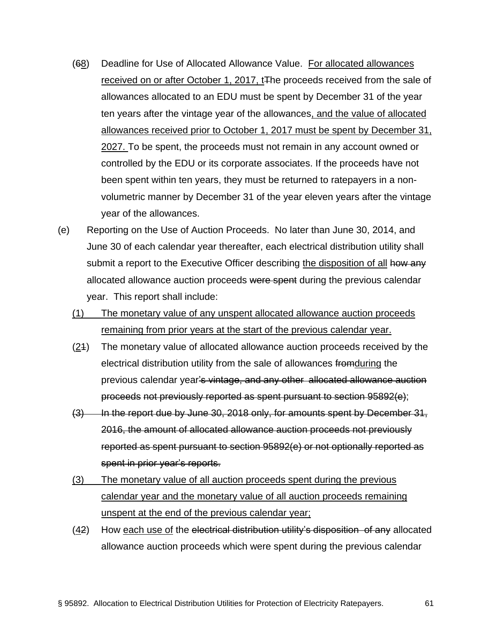- (68) Deadline for Use of Allocated Allowance Value. For allocated allowances received on or after October 1, 2017, t<sub>The proceeds received from the sale of</sub> allowances allocated to an EDU must be spent by December 31 of the year ten years after the vintage year of the allowances, and the value of allocated allowances received prior to October 1, 2017 must be spent by December 31, 2027. To be spent, the proceeds must not remain in any account owned or controlled by the EDU or its corporate associates. If the proceeds have not been spent within ten years, they must be returned to ratepayers in a nonvolumetric manner by December 31 of the year eleven years after the vintage year of the allowances.
- (e) Reporting on the Use of Auction Proceeds. No later than June 30, 2014, and June 30 of each calendar year thereafter, each electrical distribution utility shall submit a report to the Executive Officer describing the disposition of all how any allocated allowance auction proceeds were spent during the previous calendar year. This report shall include:
	- (1) The monetary value of any unspent allocated allowance auction proceeds remaining from prior years at the start of the previous calendar year.
	- $(24)$  The monetary value of allocated allowance auction proceeds received by the electrical distribution utility from the sale of allowances fromduring the previous calendar year's vintage, and any other allocated allowance auction proceeds not previously reported as spent pursuant to section 95892(e);
	- $(3)$  In the report due by June 30, 2018 only, for amounts spent by December 31, 2016, the amount of allocated allowance auction proceeds not previously reported as spent pursuant to section 95892(e) or not optionally reported as spent in prior year's reports.
	- (3) The monetary value of all auction proceeds spent during the previous calendar year and the monetary value of all auction proceeds remaining unspent at the end of the previous calendar year;
	- $(42)$  How each use of the electrical distribution utility's disposition of any allocated allowance auction proceeds which were spent during the previous calendar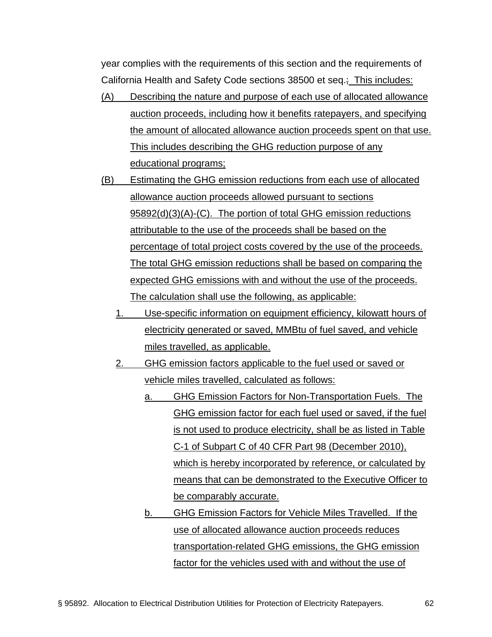year complies with the requirements of this section and the requirements of California Health and Safety Code sections 38500 et seq.; This includes:

- (A) Describing the nature and purpose of each use of allocated allowance auction proceeds, including how it benefits ratepayers, and specifying the amount of allocated allowance auction proceeds spent on that use. This includes describing the GHG reduction purpose of any educational programs;
- (B) Estimating the GHG emission reductions from each use of allocated allowance auction proceeds allowed pursuant to sections 95892(d)(3)(A)-(C). The portion of total GHG emission reductions attributable to the use of the proceeds shall be based on the percentage of total project costs covered by the use of the proceeds. The total GHG emission reductions shall be based on comparing the expected GHG emissions with and without the use of the proceeds. The calculation shall use the following, as applicable:
	- 1. Use-specific information on equipment efficiency, kilowatt hours of electricity generated or saved, MMBtu of fuel saved, and vehicle miles travelled, as applicable.
	- 2. GHG emission factors applicable to the fuel used or saved or vehicle miles travelled, calculated as follows:
		- a. GHG Emission Factors for Non-Transportation Fuels. The GHG emission factor for each fuel used or saved, if the fuel is not used to produce electricity, shall be as listed in Table C-1 of Subpart C of 40 CFR Part 98 (December 2010), which is hereby incorporated by reference, or calculated by means that can be demonstrated to the Executive Officer to be comparably accurate.
		- b. GHG Emission Factors for Vehicle Miles Travelled. If the use of allocated allowance auction proceeds reduces transportation-related GHG emissions, the GHG emission factor for the vehicles used with and without the use of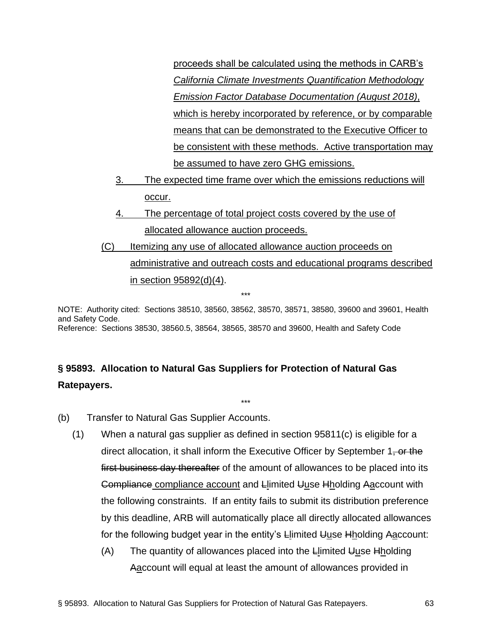proceeds shall be calculated using the methods in CARB's *[California Climate Investments Quantification Methodology](https://www.arb.ca.gov/cc/capandtrade/auctionproceeds/cci_emissionfactordatabase_documentation.pdf?_ga=2.137230960.113837584.1529510539-1537488426.1509379618)  [Emission Factor Database Documentation](https://www.arb.ca.gov/cc/capandtrade/auctionproceeds/cci_emissionfactordatabase_documentation.pdf?_ga=2.137230960.113837584.1529510539-1537488426.1509379618) (August 2018)*, which is hereby incorporated by reference, or by comparable means that can be demonstrated to the Executive Officer to be consistent with these methods. Active transportation may be assumed to have zero GHG emissions.

- 3. The expected time frame over which the emissions reductions will occur.
- 4. The percentage of total project costs covered by the use of allocated allowance auction proceeds.
- (C) Itemizing any use of allocated allowance auction proceeds on administrative and outreach costs and educational programs described in section 95892(d)(4).

NOTE: Authority cited: Sections 38510, 38560, 38562, 38570, 38571, 38580, 39600 and 39601, Health and Safety Code. Reference: Sections 38530, 38560.5, 38564, 38565, 38570 and 39600, Health and Safety Code

\*\*\*

\*\*\*

# **§ 95893. Allocation to Natural Gas Suppliers for Protection of Natural Gas Ratepayers.**

- (b) Transfer to Natural Gas Supplier Accounts.
	- (1) When a natural gas supplier as defined in section 95811(c) is eligible for a direct allocation, it shall inform the Executive Officer by September 1, or the first business day thereafter of the amount of allowances to be placed into its Compliance compliance account and Llimited Uuse Hholding Aaccount with the following constraints. If an entity fails to submit its distribution preference by this deadline, ARB will automatically place all directly allocated allowances for the following budget year in the entity's Llimited Uuse Hholding Aaccount:
		- $(A)$  The quantity of allowances placed into the Llimited Uuse Hholding Aaccount will equal at least the amount of allowances provided in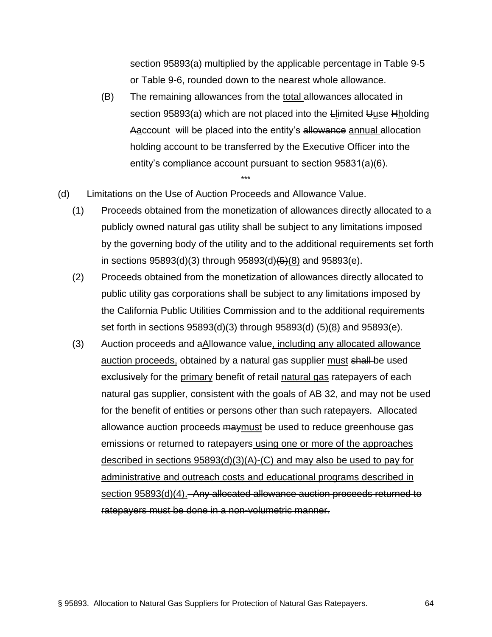section 95893(a) multiplied by the applicable percentage in Table 9-5 or Table 9-6, rounded down to the nearest whole allowance.

- (B) The remaining allowances from the total allowances allocated in section 95893(a) which are not placed into the Llimited Uuse Hholding Aaccount will be placed into the entity's allowance annual allocation holding account to be transferred by the Executive Officer into the entity's compliance account pursuant to section 95831(a)(6).
- (d) Limitations on the Use of Auction Proceeds and Allowance Value.
	- (1) Proceeds obtained from the monetization of allowances directly allocated to a publicly owned natural gas utility shall be subject to any limitations imposed by the governing body of the utility and to the additional requirements set forth in sections  $95893(d)(3)$  through  $95893(d)(5)(8)$  and  $95893(e)$ .

- (2) Proceeds obtained from the monetization of allowances directly allocated to public utility gas corporations shall be subject to any limitations imposed by the California Public Utilities Commission and to the additional requirements set forth in sections  $95893(d)(3)$  through  $95893(d)(5)(8)$  and  $95893(e)$ .
- (3) Auction proceeds and aAllowance value, including any allocated allowance auction proceeds, obtained by a natural gas supplier must shall be used exclusively for the primary benefit of retail natural gas ratepayers of each natural gas supplier, consistent with the goals of AB 32, and may not be used for the benefit of entities or persons other than such ratepayers. Allocated allowance auction proceeds maymust be used to reduce greenhouse gas emissions or returned to ratepayers using one or more of the approaches described in sections 95893(d)(3)(A)-(C) and may also be used to pay for administrative and outreach costs and educational programs described in section 95893(d)(4). Any allocated allowance auction proceeds returned to ratepayers must be done in a non-volumetric manner.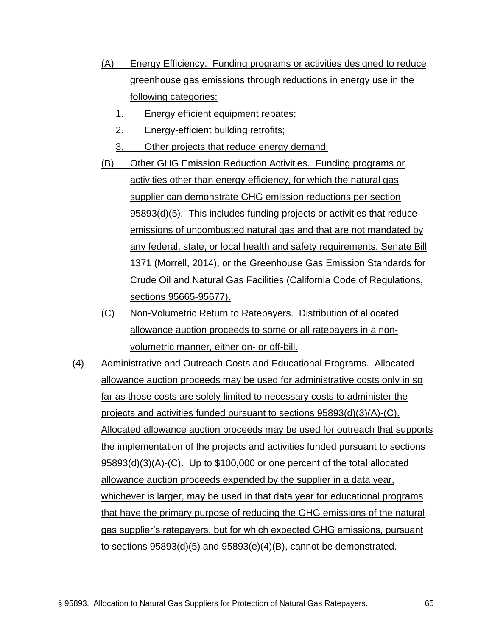- (A) Energy Efficiency. Funding programs or activities designed to reduce greenhouse gas emissions through reductions in energy use in the following categories:
	- 1. Energy efficient equipment rebates;
	- 2. Energy-efficient building retrofits;
	- 3. Other projects that reduce energy demand;
- (B) Other GHG Emission Reduction Activities. Funding programs or activities other than energy efficiency, for which the natural gas supplier can demonstrate GHG emission reductions per section 95893(d)(5). This includes funding projects or activities that reduce emissions of uncombusted natural gas and that are not mandated by any federal, state, or local health and safety requirements, Senate Bill 1371 (Morrell, 2014), or the Greenhouse Gas Emission Standards for Crude Oil and Natural Gas Facilities (California Code of Regulations, sections 95665-95677).
- (C) Non-Volumetric Return to Ratepayers. Distribution of allocated allowance auction proceeds to some or all ratepayers in a nonvolumetric manner, either on- or off-bill.
- (4) Administrative and Outreach Costs and Educational Programs. Allocated allowance auction proceeds may be used for administrative costs only in so far as those costs are solely limited to necessary costs to administer the projects and activities funded pursuant to sections 95893(d)(3)(A)-(C). Allocated allowance auction proceeds may be used for outreach that supports the implementation of the projects and activities funded pursuant to sections 95893(d)(3)(A)-(C). Up to \$100,000 or one percent of the total allocated allowance auction proceeds expended by the supplier in a data year, whichever is larger, may be used in that data year for educational programs that have the primary purpose of reducing the GHG emissions of the natural gas supplier's ratepayers, but for which expected GHG emissions, pursuant to sections 95893(d)(5) and 95893(e)(4)(B), cannot be demonstrated.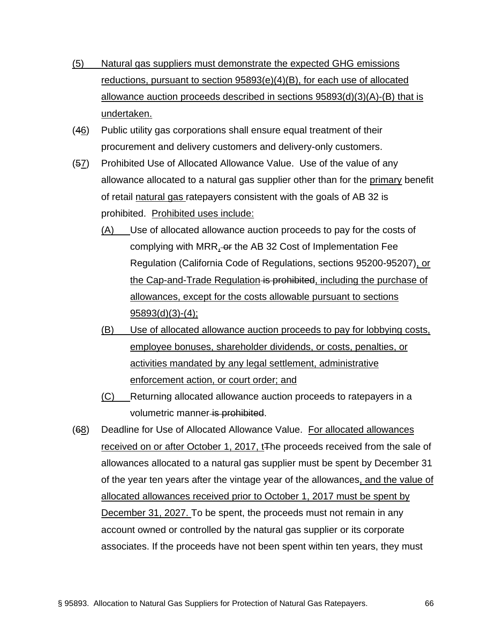- (5) Natural gas suppliers must demonstrate the expected GHG emissions reductions, pursuant to section 95893(e)(4)(B), for each use of allocated allowance auction proceeds described in sections 95893(d)(3)(A)-(B) that is undertaken.
- (46) Public utility gas corporations shall ensure equal treatment of their procurement and delivery customers and delivery-only customers.
- (57) Prohibited Use of Allocated Allowance Value. Use of the value of any allowance allocated to a natural gas supplier other than for the primary benefit of retail natural gas ratepayers consistent with the goals of AB 32 is prohibited. Prohibited uses include:
	- (A) Use of allocated allowance auction proceeds to pay for the costs of complying with MRR, or the AB 32 Cost of Implementation Fee Regulation (California Code of Regulations, sections 95200-95207), or the Cap-and-Trade Regulation is prohibited, including the purchase of allowances, except for the costs allowable pursuant to sections 95893(d)(3)-(4);
	- (B) Use of allocated allowance auction proceeds to pay for lobbying costs, employee bonuses, shareholder dividends, or costs, penalties, or activities mandated by any legal settlement, administrative enforcement action, or court order; and
	- (C) Returning allocated allowance auction proceeds to ratepayers in a volumetric manner is prohibited.
- (68) Deadline for Use of Allocated Allowance Value. For allocated allowances received on or after October 1, 2017, t<sub>The proceeds</sub> received from the sale of allowances allocated to a natural gas supplier must be spent by December 31 of the year ten years after the vintage year of the allowances, and the value of allocated allowances received prior to October 1, 2017 must be spent by December 31, 2027. To be spent, the proceeds must not remain in any account owned or controlled by the natural gas supplier or its corporate associates. If the proceeds have not been spent within ten years, they must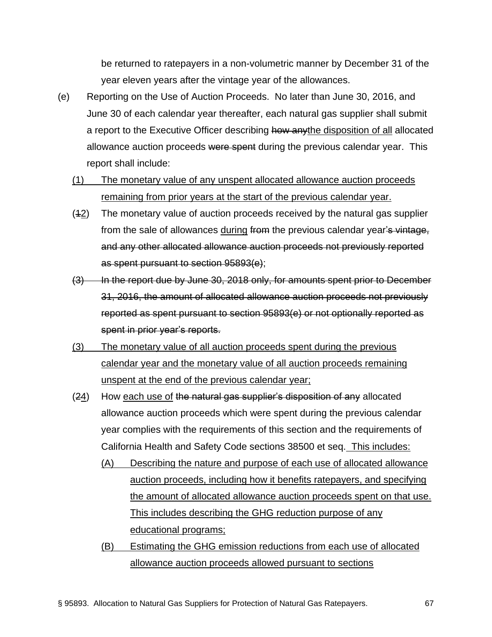be returned to ratepayers in a non-volumetric manner by December 31 of the year eleven years after the vintage year of the allowances.

- (e) Reporting on the Use of Auction Proceeds. No later than June 30, 2016, and June 30 of each calendar year thereafter, each natural gas supplier shall submit a report to the Executive Officer describing how anythe disposition of all allocated allowance auction proceeds were spent during the previous calendar year. This report shall include:
	- (1) The monetary value of any unspent allocated allowance auction proceeds remaining from prior years at the start of the previous calendar year.
	- (12) The monetary value of auction proceeds received by the natural gas supplier from the sale of allowances during from the previous calendar year's vintage, and any other allocated allowance auction proceeds not previously reported as spent pursuant to section 95893(e);
	- (3) In the report due by June 30, 2018 only, for amounts spent prior to December 31, 2016, the amount of allocated allowance auction proceeds not previously reported as spent pursuant to section 95893(e) or not optionally reported as spent in prior year's reports.
	- (3) The monetary value of all auction proceeds spent during the previous calendar year and the monetary value of all auction proceeds remaining unspent at the end of the previous calendar year;
	- (24) How each use of the natural gas supplier's disposition of any allocated allowance auction proceeds which were spent during the previous calendar year complies with the requirements of this section and the requirements of California Health and Safety Code sections 38500 et seq. This includes:
		- (A) Describing the nature and purpose of each use of allocated allowance auction proceeds, including how it benefits ratepayers, and specifying the amount of allocated allowance auction proceeds spent on that use. This includes describing the GHG reduction purpose of any educational programs;
		- (B) Estimating the GHG emission reductions from each use of allocated allowance auction proceeds allowed pursuant to sections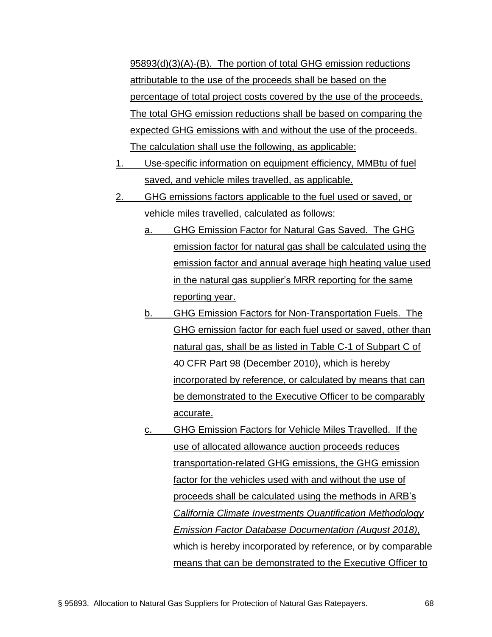95893(d)(3)(A)-(B). The portion of total GHG emission reductions attributable to the use of the proceeds shall be based on the percentage of total project costs covered by the use of the proceeds. The total GHG emission reductions shall be based on comparing the expected GHG emissions with and without the use of the proceeds. The calculation shall use the following, as applicable:

- 1. Use-specific information on equipment efficiency, MMBtu of fuel saved, and vehicle miles travelled, as applicable.
- 2. GHG emissions factors applicable to the fuel used or saved, or vehicle miles travelled, calculated as follows:
	- a. GHG Emission Factor for Natural Gas Saved. The GHG emission factor for natural gas shall be calculated using the emission factor and annual average high heating value used in the natural gas supplier's MRR reporting for the same reporting year.
	- b. GHG Emission Factors for Non-Transportation Fuels. The GHG emission factor for each fuel used or saved, other than natural gas, shall be as listed in Table C-1 of Subpart C of 40 CFR Part 98 (December 2010), which is hereby incorporated by reference, or calculated by means that can be demonstrated to the Executive Officer to be comparably accurate.
	- c. GHG Emission Factors for Vehicle Miles Travelled. If the use of allocated allowance auction proceeds reduces transportation-related GHG emissions, the GHG emission factor for the vehicles used with and without the use of proceeds shall be calculated using the methods in ARB's *[California Climate Investments Quantification Methodology](https://www.arb.ca.gov/cc/capandtrade/auctionproceeds/cci_emissionfactordatabase_documentation.pdf?_ga=2.137230960.113837584.1529510539-1537488426.1509379618)  [Emission Factor Database Documentation](https://www.arb.ca.gov/cc/capandtrade/auctionproceeds/cci_emissionfactordatabase_documentation.pdf?_ga=2.137230960.113837584.1529510539-1537488426.1509379618) (August 2018)*, which is hereby incorporated by reference, or by comparable means that can be demonstrated to the Executive Officer to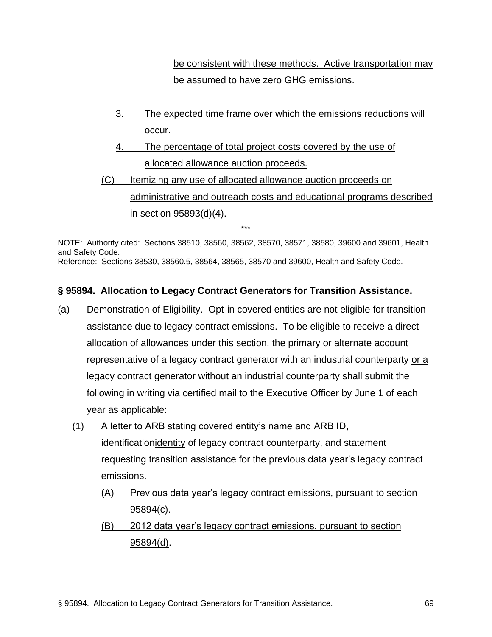be consistent with these methods. Active transportation may be assumed to have zero GHG emissions.

- 3. The expected time frame over which the emissions reductions will occur.
- 4. The percentage of total project costs covered by the use of allocated allowance auction proceeds.
- (C) Itemizing any use of allocated allowance auction proceeds on administrative and outreach costs and educational programs described in section 95893(d)(4).

NOTE: Authority cited: Sections 38510, 38560, 38562, 38570, 38571, 38580, 39600 and 39601, Health and Safety Code. Reference: Sections 38530, 38560.5, 38564, 38565, 38570 and 39600, Health and Safety Code.

\*\*\*

## **§ 95894. Allocation to Legacy Contract Generators for Transition Assistance.**

- (a) Demonstration of Eligibility. Opt-in covered entities are not eligible for transition assistance due to legacy contract emissions. To be eligible to receive a direct allocation of allowances under this section, the primary or alternate account representative of a legacy contract generator with an industrial counterparty or a legacy contract generator without an industrial counterparty shall submit the following in writing via certified mail to the Executive Officer by June 1 of each year as applicable:
	- (1) A letter to ARB stating covered entity's name and ARB ID, identificationidentity of legacy contract counterparty, and statement requesting transition assistance for the previous data year's legacy contract emissions.
		- (A) Previous data year's legacy contract emissions, pursuant to section 95894(c).
		- (B) 2012 data year's legacy contract emissions, pursuant to section 95894(d).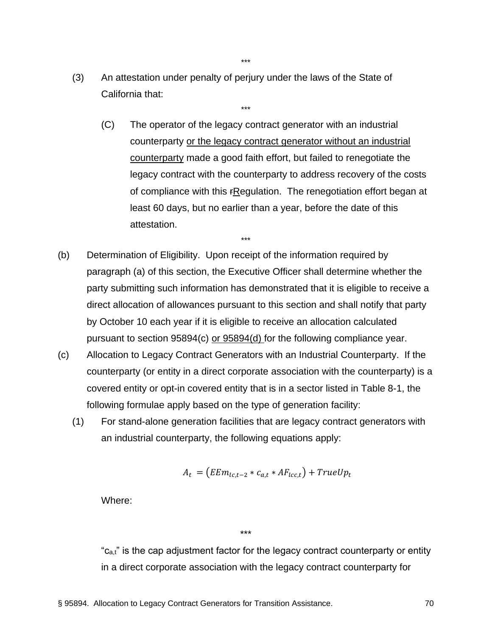(3) An attestation under penalty of perjury under the laws of the State of California that:

\*\*\*

- (C) The operator of the legacy contract generator with an industrial counterparty or the legacy contract generator without an industrial counterparty made a good faith effort, but failed to renegotiate the legacy contract with the counterparty to address recovery of the costs of compliance with this rRegulation. The renegotiation effort began at least 60 days, but no earlier than a year, before the date of this attestation.
- (b) Determination of Eligibility. Upon receipt of the information required by paragraph (a) of this section, the Executive Officer shall determine whether the party submitting such information has demonstrated that it is eligible to receive a direct allocation of allowances pursuant to this section and shall notify that party by October 10 each year if it is eligible to receive an allocation calculated pursuant to section 95894(c) or 95894(d) for the following compliance year.

\*\*\*

- (c) Allocation to Legacy Contract Generators with an Industrial Counterparty. If the counterparty (or entity in a direct corporate association with the counterparty) is a covered entity or opt-in covered entity that is in a sector listed in Table 8-1, the following formulae apply based on the type of generation facility:
	- (1) For stand-alone generation facilities that are legacy contract generators with an industrial counterparty, the following equations apply:

$$
A_t = (EEm_{lc,t-2} * c_{a,t} * AF_{lcc,t}) + TrueUp_t
$$

Where:

\*\*\*

"c<sub>a,t</sub>" is the cap adjustment factor for the legacy contract counterparty or entity in a direct corporate association with the legacy contract counterparty for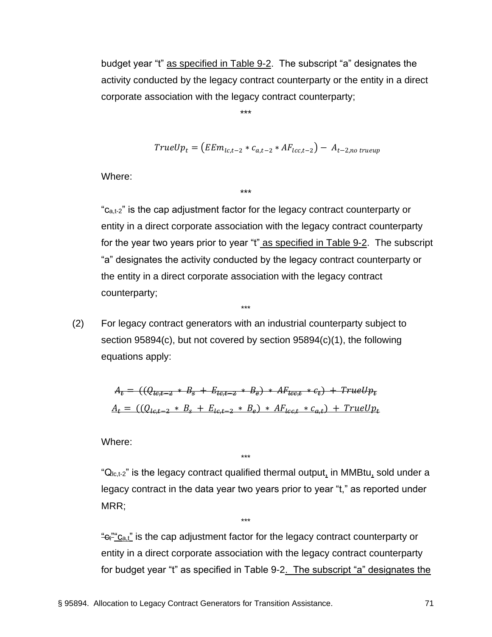budget year "t" as specified in Table 9-2. The subscript "a" designates the activity conducted by the legacy contract counterparty or the entity in a direct corporate association with the legacy contract counterparty;

\*\*\*

\*\*\*

$$
TrueUp_t = (EEm_{lc,t-2} * c_{a,t-2} * AF_{lc,t-2}) - A_{t-2,no\ true up}
$$

Where:

"c<sub>a,t-2</sub>" is the cap adjustment factor for the legacy contract counterparty or entity in a direct corporate association with the legacy contract counterparty for the year two years prior to year "t" as specified in Table 9-2. The subscript "a" designates the activity conducted by the legacy contract counterparty or the entity in a direct corporate association with the legacy contract counterparty;

(2) For legacy contract generators with an industrial counterparty subject to section 95894(c), but not covered by section 95894(c)(1), the following equations apply:

\*\*\*

$$
A_{\epsilon} = ((Q_{t\epsilon, t-2} * B_{\epsilon} + E_{t\epsilon, t-2} * B_{\epsilon}) * AF_{t\epsilon, t} * c_{\epsilon}) + TrueUp_{\epsilon}
$$
  

$$
A_{t} = ((Q_{t\epsilon, t-2} * B_{\epsilon} + E_{t\epsilon, t-2} * B_{\epsilon}) * AF_{t\epsilon, t} * c_{a,t}) + TrueUp_{t}
$$

\*\*\*

\*\*\*

Where:

" $Q_{1c,t-2}$ " is the legacy contract qualified thermal output, in MMBtu, sold under a legacy contract in the data year two years prior to year "t," as reported under MRR;

 $\frac{d}{dt}$ " $c_{a,t}$ " is the cap adjustment factor for the legacy contract counterparty or entity in a direct corporate association with the legacy contract counterparty for budget year "t" as specified in Table 9-2. The subscript "a" designates the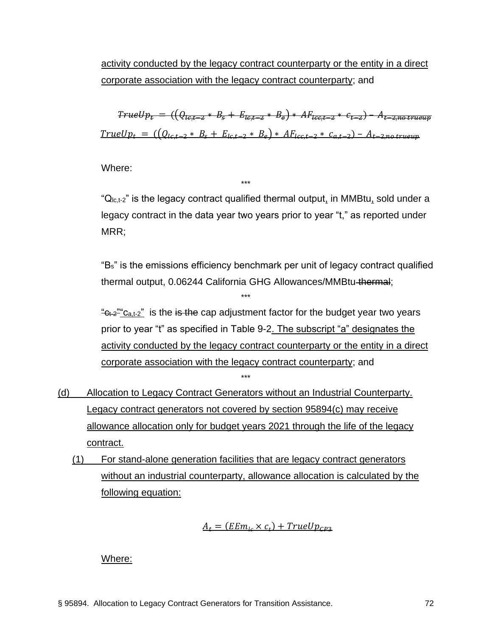activity conducted by the legacy contract counterparty or the entity in a direct corporate association with the legacy contract counterparty; and

 $TrueUp_{\epsilon} = ((Q_{\epsilon_{\epsilon},\epsilon_{-2}} * B_{\epsilon} + E_{\epsilon_{\epsilon},\epsilon_{-2}} * B_{\epsilon}) * AF_{\epsilon_{\epsilon},\epsilon_{-2}} * c_{\epsilon_{-2}}) - A_{\epsilon_{-2},no\ trueup}$  $TrueUp_t = ((Q_{lct-2} * B_s + E_{lct-2} * B_e) * AF_{lcc,t-2} * C_{a,t-2}) - A_{t-2,no\ true up}$ 

Where:

" $Q_{lc,t-2}$ " is the legacy contract qualified thermal output, in MMBtu, sold under a legacy contract in the data year two years prior to year "t," as reported under MRR:

\*\*\*

\*\*\*

"Bs" is the emissions efficiency benchmark per unit of legacy contract qualified thermal output, 0.06244 California GHG Allowances/MMBtu thermal;

 $\frac{d}{dt}c_{t-2}$  c<sub>a,t-2</sub>" is the is the cap adjustment factor for the budget year two years prior to year "t" as specified in Table 9-2. The subscript "a" designates the activity conducted by the legacy contract counterparty or the entity in a direct corporate association with the legacy contract counterparty; and \*\*\*

- (d) Allocation to Legacy Contract Generators without an Industrial Counterparty. Legacy contract generators not covered by section 95894(c) may receive allowance allocation only for budget years 2021 through the life of the legacy contract.
	- (1) For stand-alone generation facilities that are legacy contract generators without an industrial counterparty, allowance allocation is calculated by the following equation:

$$
A_t = (EEm_{lc} \times c_t) + TrueUp_{CP3}
$$

Where: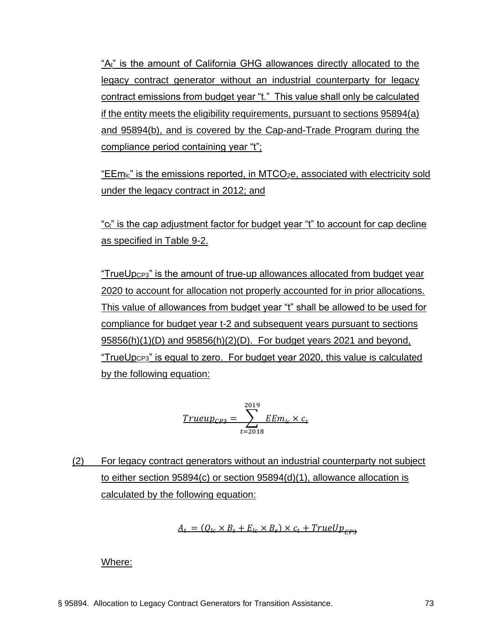"At" is the amount of California GHG allowances directly allocated to the legacy contract generator without an industrial counterparty for legacy contract emissions from budget year "t." This value shall only be calculated if the entity meets the eligibility requirements, pursuant to sections 95894(a) and 95894(b), and is covered by the Cap-and-Trade Program during the compliance period containing year "t";

"EEmlc" is the emissions reported, in MTCO2e, associated with electricity sold under the legacy contract in 2012; and

"ct" is the cap adjustment factor for budget year "t" to account for cap decline as specified in Table 9-2.

"TrueUpCP3" is the amount of true-up allowances allocated from budget year 2020 to account for allocation not properly accounted for in prior allocations. This value of allowances from budget year "t" shall be allowed to be used for compliance for budget year t-2 and subsequent years pursuant to sections 95856(h)(1)(D) and 95856(h)(2)(D). For budget years 2021 and beyond, "TrueUpCP3" is equal to zero. For budget year 2020, this value is calculated by the following equation:

$$
\underline{Trueup_{CP3}} = \sum_{t=2018}^{2019} \underline{EEm_{lc} \times c_t}
$$

(2) For legacy contract generators without an industrial counterparty not subject to either section 95894(c) or section 95894(d)(1), allowance allocation is calculated by the following equation:

$$
A_t = (Q_{lc} \times B_s + E_{lc} \times B_e) \times c_t + TrueUp_{CP3}
$$

Where: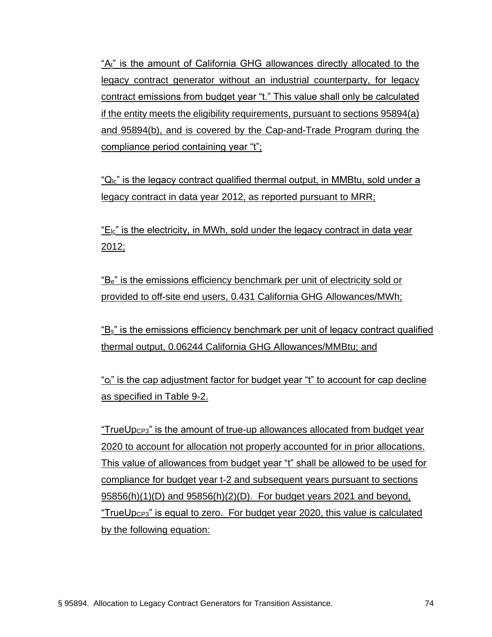"A<sub>t</sub>" is the amount of California GHG allowances directly allocated to the legacy contract generator without an industrial counterparty, for legacy contract emissions from budget year "t." This value shall only be calculated if the entity meets the eligibility requirements, pursuant to sections 95894(a) and 95894(b), and is covered by the Cap-and-Trade Program during the compliance period containing year "t";

" $Q<sub>1c</sub>$ " is the legacy contract qualified thermal output, in MMBtu, sold under a legacy contract in data year 2012, as reported pursuant to MRR;

 $E_{lc}$ " is the electricity, in MWh, sold under the legacy contract in data year 2012;

"Be" is the emissions efficiency benchmark per unit of electricity sold or provided to off-site end users, 0.431 California GHG Allowances/MWh;

"Bs" is the emissions efficiency benchmark per unit of legacy contract qualified thermal output, 0.06244 California GHG Allowances/MMBtu; and

"ct" is the cap adjustment factor for budget year "t" to account for cap decline as specified in Table 9-2.

"TrueUpCP3" is the amount of true-up allowances allocated from budget year 2020 to account for allocation not properly accounted for in prior allocations. This value of allowances from budget year "t" shall be allowed to be used for compliance for budget year t-2 and subsequent years pursuant to sections 95856(h)(1)(D) and 95856(h)(2)(D). For budget years 2021 and beyond, "TrueUpCP3" is equal to zero. For budget year 2020, this value is calculated by the following equation: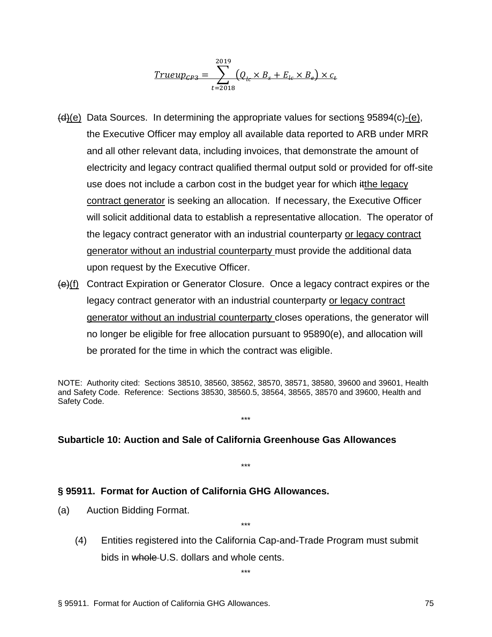$$
\underline{Trueup_{CP3}} = \sum_{t=2018}^{2019} (Q_{te} \times B_s + E_{lc} \times B_e) \times c_t
$$

- $(d)(e)$  Data Sources. In determining the appropriate values for sections 95894(c)-(e), the Executive Officer may employ all available data reported to ARB under MRR and all other relevant data, including invoices, that demonstrate the amount of electricity and legacy contract qualified thermal output sold or provided for off-site use does not include a carbon cost in the budget year for which itthe legacy contract generator is seeking an allocation. If necessary, the Executive Officer will solicit additional data to establish a representative allocation. The operator of the legacy contract generator with an industrial counterparty or legacy contract generator without an industrial counterparty must provide the additional data upon request by the Executive Officer.
- (e)(f) Contract Expiration or Generator Closure. Once a legacy contract expires or the legacy contract generator with an industrial counterparty or legacy contract generator without an industrial counterparty closes operations, the generator will no longer be eligible for free allocation pursuant to 95890(e), and allocation will be prorated for the time in which the contract was eligible.

NOTE: Authority cited: Sections 38510, 38560, 38562, 38570, 38571, 38580, 39600 and 39601, Health and Safety Code. Reference: Sections 38530, 38560.5, 38564, 38565, 38570 and 39600, Health and Safety Code.

\*\*\*

\*\*\*

#### **Subarticle 10: Auction and Sale of California Greenhouse Gas Allowances**

#### **§ 95911. Format for Auction of California GHG Allowances.**

- (a) Auction Bidding Format.
	- (4) Entities registered into the California Cap-and-Trade Program must submit bids in whole U.S. dollars and whole cents.

\*\*\*

 $\ddotsc$ 

§ 95911. Format for Auction of California GHG Allowances. 75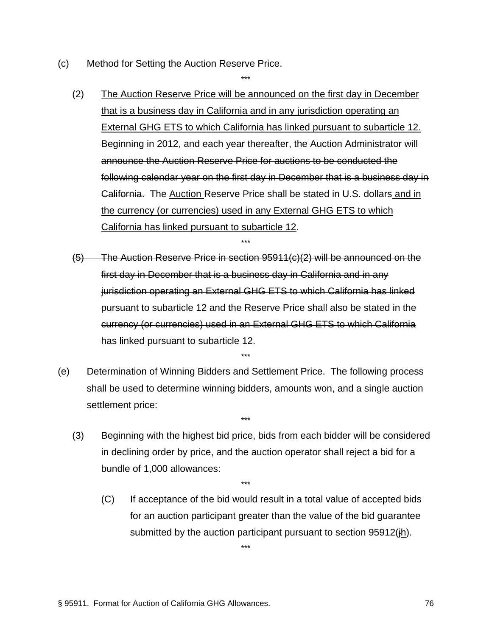- (c) Method for Setting the Auction Reserve Price.
	- (2) The Auction Reserve Price will be announced on the first day in December that is a business day in California and in any jurisdiction operating an External GHG ETS to which California has linked pursuant to subarticle 12. Beginning in 2012, and each year thereafter, the Auction Administrator will announce the Auction Reserve Price for auctions to be conducted the following calendar year on the first day in December that is a business day in California. The Auction Reserve Price shall be stated in U.S. dollars and in the currency (or currencies) used in any External GHG ETS to which California has linked pursuant to subarticle 12.

(5) The Auction Reserve Price in section 95911(c)(2) will be announced on the first day in December that is a business day in California and in any jurisdiction operating an External GHG ETS to which California has linked pursuant to subarticle 12 and the Reserve Price shall also be stated in the currency (or currencies) used in an External GHG ETS to which California has linked pursuant to subarticle 12.

\*\*\*

(e) Determination of Winning Bidders and Settlement Price. The following process shall be used to determine winning bidders, amounts won, and a single auction settlement price:

\*\*\*

\*\*\*

(3) Beginning with the highest bid price, bids from each bidder will be considered in declining order by price, and the auction operator shall reject a bid for a bundle of 1,000 allowances:

\*\*\*

\*\*\*

(C) If acceptance of the bid would result in a total value of accepted bids for an auction participant greater than the value of the bid guarantee submitted by the auction participant pursuant to section 95912(jh).

§ 95911. Format for Auction of California GHG Allowances. 76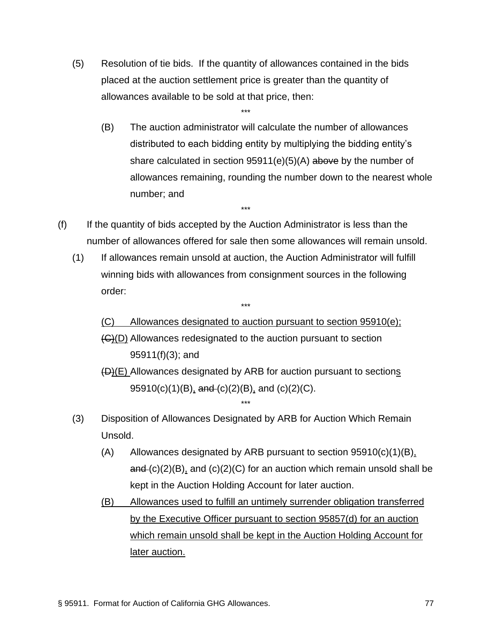(5) Resolution of tie bids. If the quantity of allowances contained in the bids placed at the auction settlement price is greater than the quantity of allowances available to be sold at that price, then:

\*\*\*

- (B) The auction administrator will calculate the number of allowances distributed to each bidding entity by multiplying the bidding entity's share calculated in section  $95911(e)(5)(A)$  above by the number of allowances remaining, rounding the number down to the nearest whole number; and
- (f) If the quantity of bids accepted by the Auction Administrator is less than the number of allowances offered for sale then some allowances will remain unsold.

\*\*\*

(1) If allowances remain unsold at auction, the Auction Administrator will fulfill winning bids with allowances from consignment sources in the following order:

\*\*\*

(C) Allowances designated to auction pursuant to section 95910(e); (C)(D) Allowances redesignated to the auction pursuant to section 95911(f)(3); and

(D)(E) Allowances designated by ARB for auction pursuant to sections 95910(c)(1)(B), and (c)(2)(B), and (c)(2)(C).

(3) Disposition of Allowances Designated by ARB for Auction Which Remain Unsold.

- $(A)$  Allowances designated by ARB pursuant to section 95910(c)(1)(B),  $and (c)(2)(B)$ , and  $(c)(2)(C)$  for an auction which remain unsold shall be kept in the Auction Holding Account for later auction.
- (B) Allowances used to fulfill an untimely surrender obligation transferred by the Executive Officer pursuant to section 95857(d) for an auction which remain unsold shall be kept in the Auction Holding Account for later auction.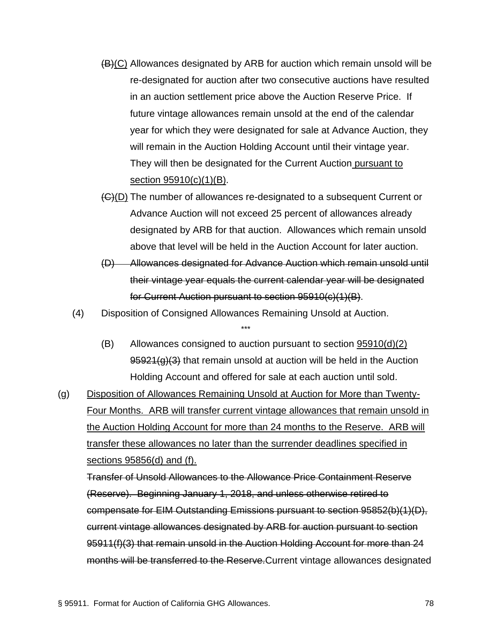- $(B)(C)$  Allowances designated by ARB for auction which remain unsold will be re-designated for auction after two consecutive auctions have resulted in an auction settlement price above the Auction Reserve Price. If future vintage allowances remain unsold at the end of the calendar year for which they were designated for sale at Advance Auction, they will remain in the Auction Holding Account until their vintage year. They will then be designated for the Current Auction pursuant to section 95910(c)(1)(B).
- (C)(D) The number of allowances re-designated to a subsequent Current or Advance Auction will not exceed 25 percent of allowances already designated by ARB for that auction. Allowances which remain unsold above that level will be held in the Auction Account for later auction.
- (D) Allowances designated for Advance Auction which remain unsold until their vintage year equals the current calendar year will be designated for Current Auction pursuant to section 95910(c)(1)(B).
- (4) Disposition of Consigned Allowances Remaining Unsold at Auction.

- (B) Allowances consigned to auction pursuant to section 95910(d)(2)  $95921(g)(3)$  that remain unsold at auction will be held in the Auction Holding Account and offered for sale at each auction until sold.
- (g) Disposition of Allowances Remaining Unsold at Auction for More than Twenty-Four Months. ARB will transfer current vintage allowances that remain unsold in the Auction Holding Account for more than 24 months to the Reserve. ARB will transfer these allowances no later than the surrender deadlines specified in sections 95856(d) and (f).

Transfer of Unsold Allowances to the Allowance Price Containment Reserve (Reserve). Beginning January 1, 2018, and unless otherwise retired to compensate for EIM Outstanding Emissions pursuant to section 95852(b)(1)(D), current vintage allowances designated by ARB for auction pursuant to section 95911(f)(3) that remain unsold in the Auction Holding Account for more than 24 months will be transferred to the Reserve.Current vintage allowances designated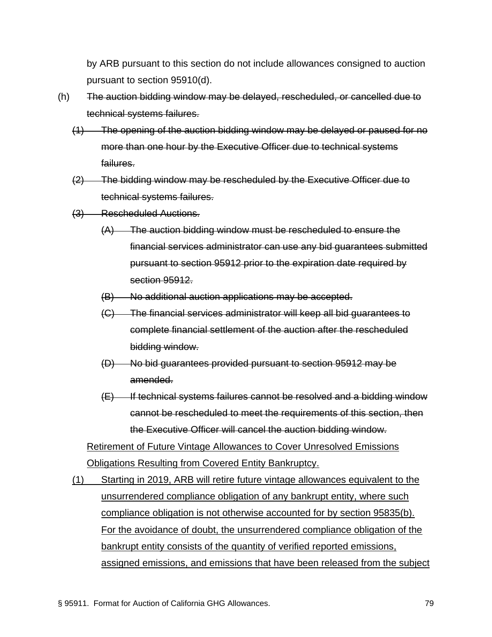by ARB pursuant to this section do not include allowances consigned to auction pursuant to section 95910(d).

- (h) The auction bidding window may be delayed, rescheduled, or cancelled due to technical systems failures.
	- (1) The opening of the auction bidding window may be delayed or paused for no more than one hour by the Executive Officer due to technical systems failures.
	- (2) The bidding window may be rescheduled by the Executive Officer due to technical systems failures.
	- (3) Rescheduled Auctions.
		- (A) The auction bidding window must be rescheduled to ensure the financial services administrator can use any bid guarantees submitted pursuant to section 95912 prior to the expiration date required by section 95912.
		- (B) No additional auction applications may be accepted.
		- (C) The financial services administrator will keep all bid guarantees to complete financial settlement of the auction after the rescheduled bidding window.
		- (D) No bid guarantees provided pursuant to section 95912 may be amended.
		- $(E)$  If technical systems failures cannot be resolved and a bidding window cannot be rescheduled to meet the requirements of this section, then the Executive Officer will cancel the auction bidding window.

Retirement of Future Vintage Allowances to Cover Unresolved Emissions Obligations Resulting from Covered Entity Bankruptcy.

(1) Starting in 2019, ARB will retire future vintage allowances equivalent to the unsurrendered compliance obligation of any bankrupt entity, where such compliance obligation is not otherwise accounted for by section 95835(b). For the avoidance of doubt, the unsurrendered compliance obligation of the bankrupt entity consists of the quantity of verified reported emissions, assigned emissions, and emissions that have been released from the subject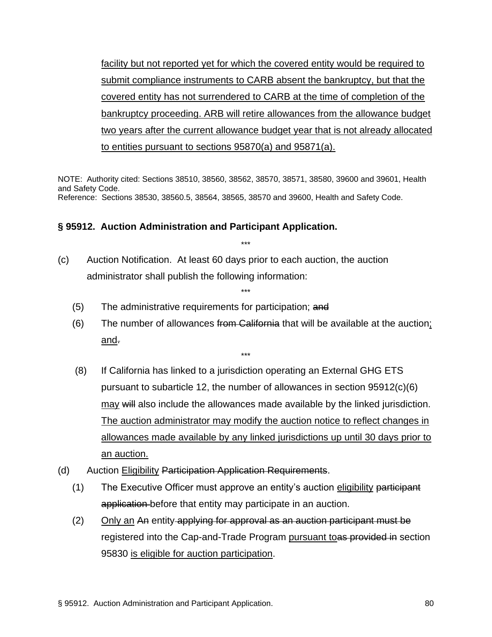facility but not reported yet for which the covered entity would be required to submit compliance instruments to CARB absent the bankruptcy, but that the covered entity has not surrendered to CARB at the time of completion of the bankruptcy proceeding. ARB will retire allowances from the allowance budget two years after the current allowance budget year that is not already allocated to entities pursuant to sections 95870(a) and 95871(a).

NOTE: Authority cited: Sections 38510, 38560, 38562, 38570, 38571, 38580, 39600 and 39601, Health and Safety Code. Reference: Sections 38530, 38560.5, 38564, 38565, 38570 and 39600, Health and Safety Code.

\*\*\*

\*\*\*

## **§ 95912. Auction Administration and Participant Application.**

- (c) Auction Notification. At least 60 days prior to each auction, the auction administrator shall publish the following information:
	- (5) The administrative requirements for participation; and
	- (6) The number of allowances from California that will be available at the auction; and.

- (8) If California has linked to a jurisdiction operating an External GHG ETS pursuant to subarticle 12, the number of allowances in section 95912(c)(6) may will also include the allowances made available by the linked jurisdiction. The auction administrator may modify the auction notice to reflect changes in allowances made available by any linked jurisdictions up until 30 days prior to an auction.
- (d) Auction Eligibility Participation Application Requirements.
	- (1) The Executive Officer must approve an entity's auction eligibility participant application before that entity may participate in an auction.
	- (2) Only an An entity applying for approval as an auction participant must be registered into the Cap-and-Trade Program pursuant toas provided in section 95830 is eligible for auction participation.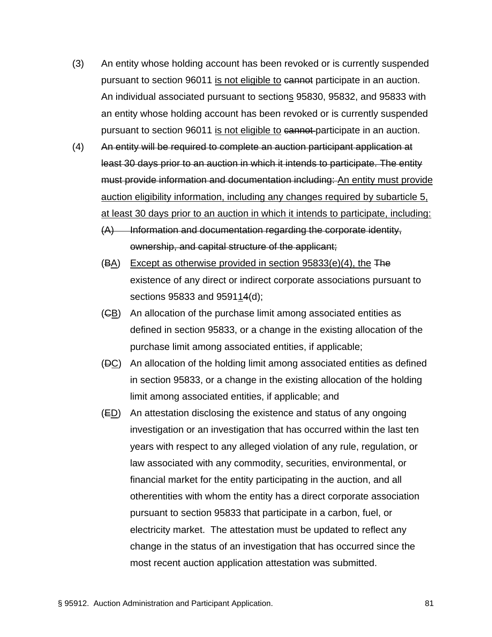- (3) An entity whose holding account has been revoked or is currently suspended pursuant to section 96011 is not eligible to cannot participate in an auction. An individual associated pursuant to sections 95830, 95832, and 95833 with an entity whose holding account has been revoked or is currently suspended pursuant to section 96011 is not eligible to cannot participate in an auction.
- (4) An entity will be required to complete an auction participant application at least 30 days prior to an auction in which it intends to participate. The entity must provide information and documentation including: An entity must provide auction eligibility information, including any changes required by subarticle 5, at least 30 days prior to an auction in which it intends to participate, including:
	- $(A)$  Information and documentation regarding the corporate identity, ownership, and capital structure of the applicant;
	- $(BA)$  Except as otherwise provided in section 95833(e)(4), the The existence of any direct or indirect corporate associations pursuant to sections 95833 and 959114(d);
	- $(GB)$  An allocation of the purchase limit among associated entities as defined in section 95833, or a change in the existing allocation of the purchase limit among associated entities, if applicable;
	- (DC) An allocation of the holding limit among associated entities as defined in section 95833, or a change in the existing allocation of the holding limit among associated entities, if applicable; and
	- (ED) An attestation disclosing the existence and status of any ongoing investigation or an investigation that has occurred within the last ten years with respect to any alleged violation of any rule, regulation, or law associated with any commodity, securities, environmental, or financial market for the entity participating in the auction, and all otherentities with whom the entity has a direct corporate association pursuant to section 95833 that participate in a carbon, fuel, or electricity market. The attestation must be updated to reflect any change in the status of an investigation that has occurred since the most recent auction application attestation was submitted.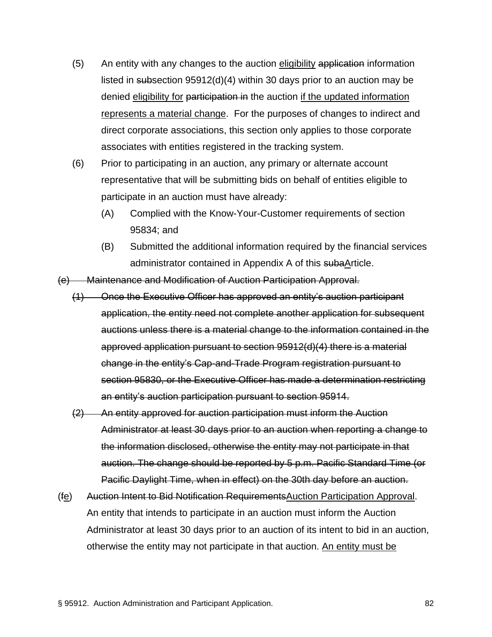- (5) An entity with any changes to the auction eligibility application information listed in subsection 95912(d)(4) within 30 days prior to an auction may be denied eligibility for participation in the auction if the updated information represents a material change. For the purposes of changes to indirect and direct corporate associations, this section only applies to those corporate associates with entities registered in the tracking system.
- (6) Prior to participating in an auction, any primary or alternate account representative that will be submitting bids on behalf of entities eligible to participate in an auction must have already:
	- (A) Complied with the Know-Your-Customer requirements of section 95834; and
	- (B) Submitted the additional information required by the financial services administrator contained in Appendix A of this subaArticle.
- (e) Maintenance and Modification of Auction Participation Approval.
	- (1) Once the Executive Officer has approved an entity's auction participant application, the entity need not complete another application for subsequent auctions unless there is a material change to the information contained in the approved application pursuant to section 95912(d)(4) there is a material change in the entity's Cap-and-Trade Program registration pursuant to section 95830, or the Executive Officer has made a determination restricting an entity's auction participation pursuant to section 95914.
	- (2) An entity approved for auction participation must inform the Auction Administrator at least 30 days prior to an auction when reporting a change to the information disclosed, otherwise the entity may not participate in that auction. The change should be reported by 5 p.m. Pacific Standard Time (or Pacific Daylight Time, when in effect) on the 30th day before an auction.
- (fe) Auction Intent to Bid Notification RequirementsAuction Participation Approval. An entity that intends to participate in an auction must inform the Auction Administrator at least 30 days prior to an auction of its intent to bid in an auction, otherwise the entity may not participate in that auction. An entity must be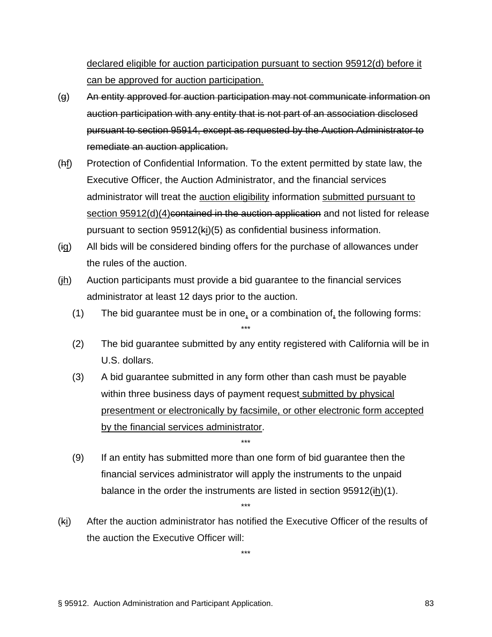declared eligible for auction participation pursuant to section 95912(d) before it can be approved for auction participation.

- (g) An entity approved for auction participation may not communicate information on auction participation with any entity that is not part of an association disclosed pursuant to section 95914, except as requested by the Auction Administrator to remediate an auction application.
- (hf) Protection of Confidential Information. To the extent permitted by state law, the Executive Officer, the Auction Administrator, and the financial services administrator will treat the auction eligibility information submitted pursuant to section 95912(d)(4)contained in the auction application and not listed for release pursuant to section 95912(ki)(5) as confidential business information.
- (ig) All bids will be considered binding offers for the purchase of allowances under the rules of the auction.
- (jh) Auction participants must provide a bid guarantee to the financial services administrator at least 12 days prior to the auction.
	- (1) The bid guarantee must be in one, or a combination of, the following forms: \*\*\*
	- (2) The bid guarantee submitted by any entity registered with California will be in U.S. dollars.
	- (3) A bid guarantee submitted in any form other than cash must be payable within three business days of payment request submitted by physical presentment or electronically by facsimile, or other electronic form accepted by the financial services administrator.

(9) If an entity has submitted more than one form of bid guarantee then the financial services administrator will apply the instruments to the unpaid balance in the order the instruments are listed in section 95912(ih)(1).

\*\*\*

(ki) After the auction administrator has notified the Executive Officer of the results of the auction the Executive Officer will:

\*\*\*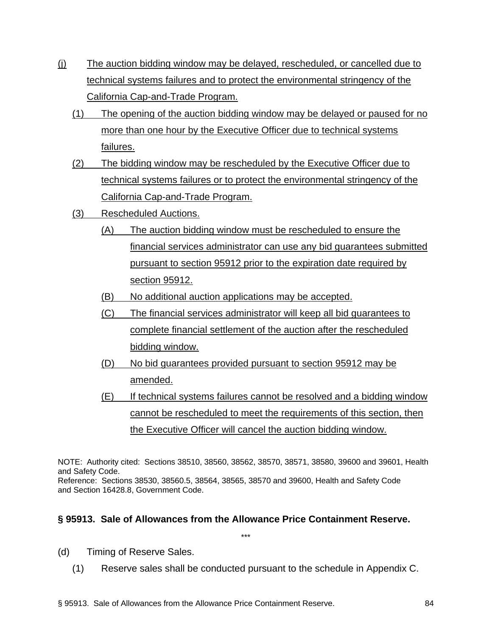- (j) The auction bidding window may be delayed, rescheduled, or cancelled due to technical systems failures and to protect the environmental stringency of the California Cap-and-Trade Program.
	- (1) The opening of the auction bidding window may be delayed or paused for no more than one hour by the Executive Officer due to technical systems failures.
	- (2) The bidding window may be rescheduled by the Executive Officer due to technical systems failures or to protect the environmental stringency of the California Cap-and-Trade Program.
	- (3) Rescheduled Auctions.
		- (A) The auction bidding window must be rescheduled to ensure the financial services administrator can use any bid guarantees submitted pursuant to section 95912 prior to the expiration date required by section 95912.
		- (B) No additional auction applications may be accepted.
		- (C) The financial services administrator will keep all bid guarantees to complete financial settlement of the auction after the rescheduled bidding window.
		- (D) No bid guarantees provided pursuant to section 95912 may be amended.
		- (E) If technical systems failures cannot be resolved and a bidding window cannot be rescheduled to meet the requirements of this section, then the Executive Officer will cancel the auction bidding window.

NOTE: Authority cited: Sections 38510, 38560, 38562, 38570, 38571, 38580, 39600 and 39601, Health and Safety Code.

Reference: Sections 38530, 38560.5, 38564, 38565, 38570 and 39600, Health and Safety Code and Section 16428.8, Government Code.

## **§ 95913. Sale of Allowances from the Allowance Price Containment Reserve.**

- (d) Timing of Reserve Sales.
	- (1) Reserve sales shall be conducted pursuant to the schedule in Appendix C.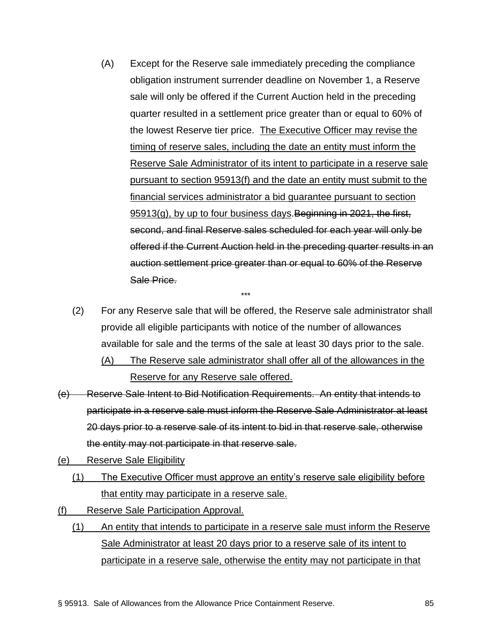- (A) Except for the Reserve sale immediately preceding the compliance obligation instrument surrender deadline on November 1, a Reserve sale will only be offered if the Current Auction held in the preceding quarter resulted in a settlement price greater than or equal to 60% of the lowest Reserve tier price. The Executive Officer may revise the timing of reserve sales, including the date an entity must inform the Reserve Sale Administrator of its intent to participate in a reserve sale pursuant to section 95913(f) and the date an entity must submit to the financial services administrator a bid guarantee pursuant to section 95913(g), by up to four business days. Beginning in 2021, the first, second, and final Reserve sales scheduled for each year will only be offered if the Current Auction held in the preceding quarter results in an auction settlement price greater than or equal to 60% of the Reserve Sale Price.
- (2) For any Reserve sale that will be offered, the Reserve sale administrator shall provide all eligible participants with notice of the number of allowances available for sale and the terms of the sale at least 30 days prior to the sale.

- (A) The Reserve sale administrator shall offer all of the allowances in the Reserve for any Reserve sale offered.
- (e) Reserve Sale Intent to Bid Notification Requirements. An entity that intends to participate in a reserve sale must inform the Reserve Sale Administrator at least 20 days prior to a reserve sale of its intent to bid in that reserve sale, otherwise the entity may not participate in that reserve sale.
- (e) Reserve Sale Eligibility
	- (1) The Executive Officer must approve an entity's reserve sale eligibility before that entity may participate in a reserve sale.
- (f) Reserve Sale Participation Approval.
	- (1) An entity that intends to participate in a reserve sale must inform the Reserve Sale Administrator at least 20 days prior to a reserve sale of its intent to participate in a reserve sale, otherwise the entity may not participate in that

§ 95913. Sale of Allowances from the Allowance Price Containment Reserve. 85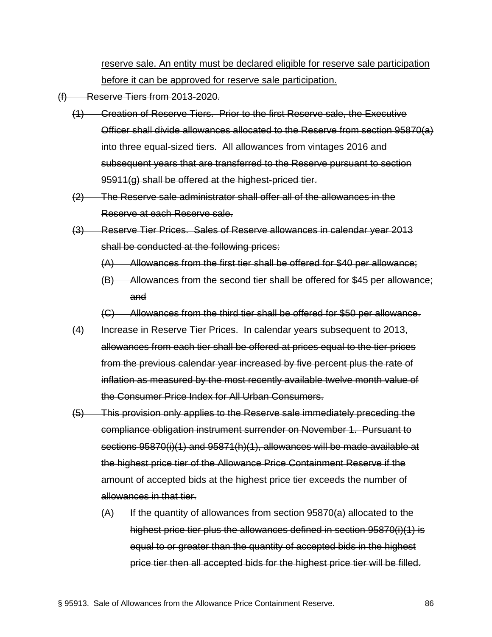reserve sale. An entity must be declared eligible for reserve sale participation before it can be approved for reserve sale participation.

- (f) Reserve Tiers from 2013-2020.
	- (1) Creation of Reserve Tiers. Prior to the first Reserve sale, the Executive Officer shall divide allowances allocated to the Reserve from section 95870(a) into three equal-sized tiers. All allowances from vintages 2016 and subsequent years that are transferred to the Reserve pursuant to section 95911(g) shall be offered at the highest-priced tier.
	- (2) The Reserve sale administrator shall offer all of the allowances in the Reserve at each Reserve sale.
	- (3) Reserve Tier Prices. Sales of Reserve allowances in calendar year 2013 shall be conducted at the following prices:
		- (A) Allowances from the first tier shall be offered for \$40 per allowance;
		- (B) Allowances from the second tier shall be offered for \$45 per allowance; and
		- (C) Allowances from the third tier shall be offered for \$50 per allowance.
	- (4) Increase in Reserve Tier Prices. In calendar years subsequent to 2013, allowances from each tier shall be offered at prices equal to the tier prices from the previous calendar year increased by five percent plus the rate of inflation as measured by the most recently available twelve month value of the Consumer Price Index for All Urban Consumers.
	- (5) This provision only applies to the Reserve sale immediately preceding the compliance obligation instrument surrender on November 1. Pursuant to sections 95870(i)(1) and 95871(h)(1), allowances will be made available at the highest price tier of the Allowance Price Containment Reserve if the amount of accepted bids at the highest price tier exceeds the number of allowances in that tier.
		- $(A)$  If the quantity of allowances from section 95870(a) allocated to the highest price tier plus the allowances defined in section 95870(i)(1) is equal to or greater than the quantity of accepted bids in the highest price tier then all accepted bids for the highest price tier will be filled.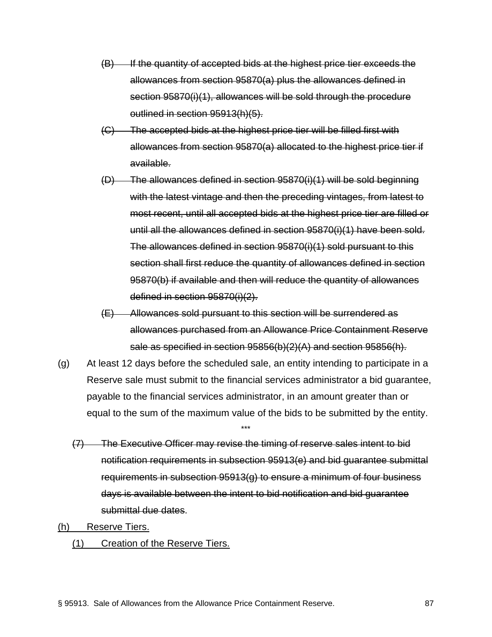- (B) If the quantity of accepted bids at the highest price tier exceeds the allowances from section 95870(a) plus the allowances defined in section 95870(i)(1), allowances will be sold through the procedure outlined in section 95913(h)(5).
- (C) The accepted bids at the highest price tier will be filled first with allowances from section 95870(a) allocated to the highest price tier if available.
- (D) The allowances defined in section 95870(i)(1) will be sold beginning with the latest vintage and then the preceding vintages, from latest to most recent, until all accepted bids at the highest price tier are filled or until all the allowances defined in section 95870(i)(1) have been sold. The allowances defined in section 95870(i)(1) sold pursuant to this section shall first reduce the quantity of allowances defined in section 95870(b) if available and then will reduce the quantity of allowances defined in section 95870(i)(2).
- (E) Allowances sold pursuant to this section will be surrendered as allowances purchased from an Allowance Price Containment Reserve sale as specified in section 95856(b)(2)(A) and section 95856(h).
- (g) At least 12 days before the scheduled sale, an entity intending to participate in a Reserve sale must submit to the financial services administrator a bid guarantee, payable to the financial services administrator, in an amount greater than or equal to the sum of the maximum value of the bids to be submitted by the entity.

- (7) The Executive Officer may revise the timing of reserve sales intent to bid notification requirements in subsection 95913(e) and bid guarantee submittal requirements in subsection 95913(g) to ensure a minimum of four business days is available between the intent to bid notification and bid guarantee submittal due dates.
- (h) Reserve Tiers.
	- (1) Creation of the Reserve Tiers.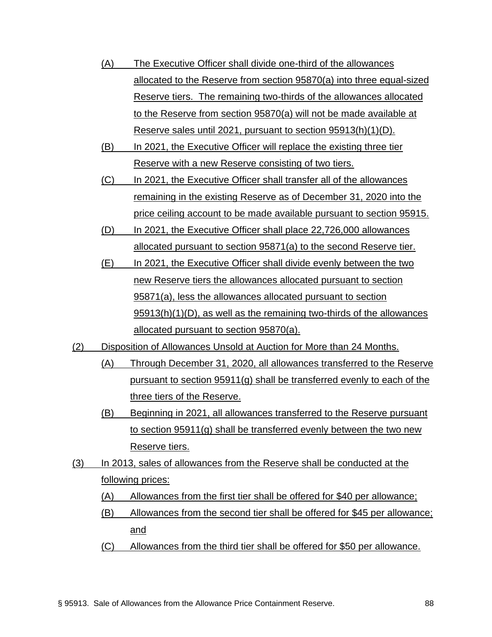- (A) The Executive Officer shall divide one-third of the allowances allocated to the Reserve from section 95870(a) into three equal-sized Reserve tiers. The remaining two-thirds of the allowances allocated to the Reserve from section 95870(a) will not be made available at Reserve sales until 2021, pursuant to section 95913(h)(1)(D).
- (B) In 2021, the Executive Officer will replace the existing three tier Reserve with a new Reserve consisting of two tiers.
- (C) In 2021, the Executive Officer shall transfer all of the allowances remaining in the existing Reserve as of December 31, 2020 into the price ceiling account to be made available pursuant to section 95915.
- (D) In 2021, the Executive Officer shall place 22,726,000 allowances allocated pursuant to section 95871(a) to the second Reserve tier.
- (E) In 2021, the Executive Officer shall divide evenly between the two new Reserve tiers the allowances allocated pursuant to section 95871(a), less the allowances allocated pursuant to section 95913(h)(1)(D), as well as the remaining two-thirds of the allowances allocated pursuant to section 95870(a).
- (2) Disposition of Allowances Unsold at Auction for More than 24 Months.
	- (A) Through December 31, 2020, all allowances transferred to the Reserve pursuant to section 95911(g) shall be transferred evenly to each of the three tiers of the Reserve.
	- (B) Beginning in 2021, all allowances transferred to the Reserve pursuant to section 95911(g) shall be transferred evenly between the two new Reserve tiers.
- (3) In 2013, sales of allowances from the Reserve shall be conducted at the following prices:
	- (A) Allowances from the first tier shall be offered for \$40 per allowance;
	- (B) Allowances from the second tier shall be offered for \$45 per allowance; and
	- (C) Allowances from the third tier shall be offered for \$50 per allowance.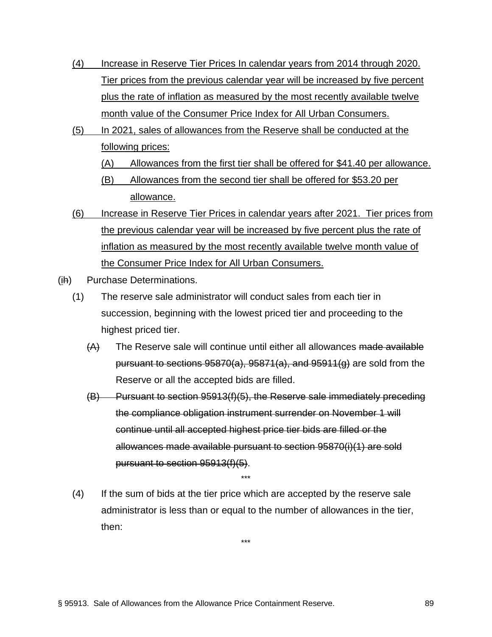- (4) Increase in Reserve Tier Prices In calendar years from 2014 through 2020. Tier prices from the previous calendar year will be increased by five percent plus the rate of inflation as measured by the most recently available twelve month value of the Consumer Price Index for All Urban Consumers.
- (5) In 2021, sales of allowances from the Reserve shall be conducted at the following prices:
	- (A) Allowances from the first tier shall be offered for \$41.40 per allowance.
	- (B) Allowances from the second tier shall be offered for \$53.20 per allowance.
- (6) Increase in Reserve Tier Prices in calendar years after 2021. Tier prices from the previous calendar year will be increased by five percent plus the rate of inflation as measured by the most recently available twelve month value of the Consumer Price Index for All Urban Consumers.
- (ih) Purchase Determinations.
	- (1) The reserve sale administrator will conduct sales from each tier in succession, beginning with the lowest priced tier and proceeding to the highest priced tier.
		- (A) The Reserve sale will continue until either all allowances made available pursuant to sections  $95870(a)$ ,  $95871(a)$ , and  $95911(g)$  are sold from the Reserve or all the accepted bids are filled.
		- (B) Pursuant to section 95913(f)(5), the Reserve sale immediately preceding the compliance obligation instrument surrender on November 1 will continue until all accepted highest price tier bids are filled or the allowances made available pursuant to section 95870(i)(1) are sold pursuant to section 95913(f)(5).
	- (4) If the sum of bids at the tier price which are accepted by the reserve sale administrator is less than or equal to the number of allowances in the tier, then: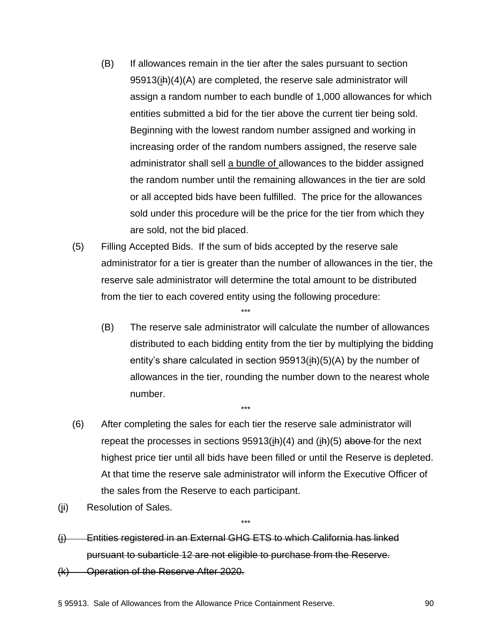- (B) If allowances remain in the tier after the sales pursuant to section 95913(ih)(4)(A) are completed, the reserve sale administrator will assign a random number to each bundle of 1,000 allowances for which entities submitted a bid for the tier above the current tier being sold. Beginning with the lowest random number assigned and working in increasing order of the random numbers assigned, the reserve sale administrator shall sell a bundle of allowances to the bidder assigned the random number until the remaining allowances in the tier are sold or all accepted bids have been fulfilled. The price for the allowances sold under this procedure will be the price for the tier from which they are sold, not the bid placed.
- (5) Filling Accepted Bids. If the sum of bids accepted by the reserve sale administrator for a tier is greater than the number of allowances in the tier, the reserve sale administrator will determine the total amount to be distributed from the tier to each covered entity using the following procedure:

- (B) The reserve sale administrator will calculate the number of allowances distributed to each bidding entity from the tier by multiplying the bidding entity's share calculated in section  $95913(ih)(5)(A)$  by the number of allowances in the tier, rounding the number down to the nearest whole number.
- (6) After completing the sales for each tier the reserve sale administrator will repeat the processes in sections  $95913(ih)(4)$  and  $(ih)(5)$  above for the next highest price tier until all bids have been filled or until the Reserve is depleted. At that time the reserve sale administrator will inform the Executive Officer of the sales from the Reserve to each participant.

\*\*\*

 $\ddot{x}$ 

- (ji) Resolution of Sales.
- (j) Entities registered in an External GHG ETS to which California has linked pursuant to subarticle 12 are not eligible to purchase from the Reserve.
- (k) Operation of the Reserve After 2020.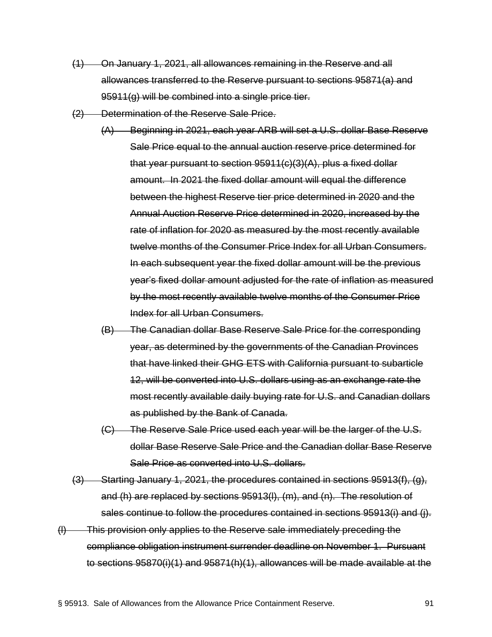- (1) On January 1, 2021, all allowances remaining in the Reserve and all allowances transferred to the Reserve pursuant to sections 95871(a) and 95911(g) will be combined into a single price tier.
- (2) Determination of the Reserve Sale Price.
	- (A) Beginning in 2021, each year ARB will set a U.S. dollar Base Reserve Sale Price equal to the annual auction reserve price determined for that year pursuant to section 95911(c)(3)(A), plus a fixed dollar amount. In 2021 the fixed dollar amount will equal the difference between the highest Reserve tier price determined in 2020 and the Annual Auction Reserve Price determined in 2020, increased by the rate of inflation for 2020 as measured by the most recently available twelve months of the Consumer Price Index for all Urban Consumers. In each subsequent year the fixed dollar amount will be the previous year's fixed dollar amount adjusted for the rate of inflation as measured by the most recently available twelve months of the Consumer Price Index for all Urban Consumers.
	- (B) The Canadian dollar Base Reserve Sale Price for the corresponding year, as determined by the governments of the Canadian Provinces that have linked their GHG ETS with California pursuant to subarticle 12, will be converted into U.S. dollars using as an exchange rate the most recently available daily buying rate for U.S. and Canadian dollars as published by the Bank of Canada.
	- (C) The Reserve Sale Price used each year will be the larger of the U.S. dollar Base Reserve Sale Price and the Canadian dollar Base Reserve Sale Price as converted into U.S. dollars.
- (3) Starting January 1, 2021, the procedures contained in sections 95913(f), (g), and (h) are replaced by sections 95913(l), (m), and (n). The resolution of sales continue to follow the procedures contained in sections 95913(i) and (j).
- (l) This provision only applies to the Reserve sale immediately preceding the compliance obligation instrument surrender deadline on November 1. Pursuant to sections 95870(i)(1) and 95871(h)(1), allowances will be made available at the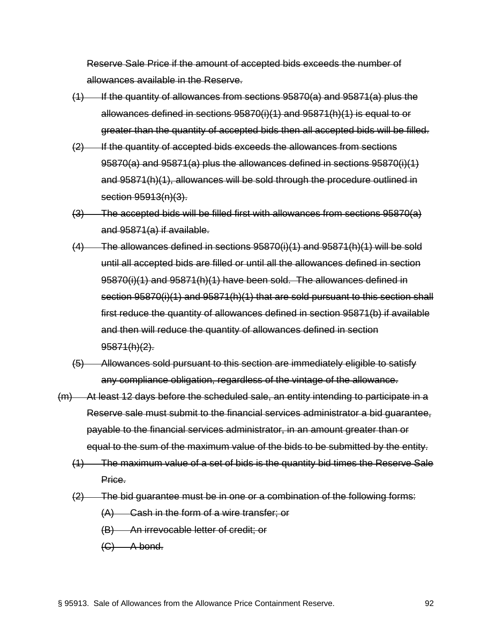Reserve Sale Price if the amount of accepted bids exceeds the number of allowances available in the Reserve.

- $(1)$  If the quantity of allowances from sections 95870(a) and 95871(a) plus the allowances defined in sections 95870(i)(1) and 95871(h)(1) is equal to or greater than the quantity of accepted bids then all accepted bids will be filled.
- (2) If the quantity of accepted bids exceeds the allowances from sections 95870(a) and 95871(a) plus the allowances defined in sections 95870(i)(1) and 95871(h)(1), allowances will be sold through the procedure outlined in section 95913(n)(3).
- (3) The accepted bids will be filled first with allowances from sections 95870(a) and 95871(a) if available.
- $(4)$  The allowances defined in sections 95870(i)(1) and 95871(h)(1) will be sold until all accepted bids are filled or until all the allowances defined in section 95870(i)(1) and 95871(h)(1) have been sold. The allowances defined in section 95870(i)(1) and 95871(h)(1) that are sold pursuant to this section shall first reduce the quantity of allowances defined in section 95871(b) if available and then will reduce the quantity of allowances defined in section  $95871(h)(2)$ .
- (5) Allowances sold pursuant to this section are immediately eligible to satisfy any compliance obligation, regardless of the vintage of the allowance.
- (m) At least 12 days before the scheduled sale, an entity intending to participate in a Reserve sale must submit to the financial services administrator a bid guarantee, payable to the financial services administrator, in an amount greater than or equal to the sum of the maximum value of the bids to be submitted by the entity.
	- (1) The maximum value of a set of bids is the quantity bid times the Reserve Sale Price.
	- (2) The bid guarantee must be in one or a combination of the following forms:
		- (A) Cash in the form of a wire transfer; or
		- (B) An irrevocable letter of credit; or
		- $(C)$  A bond.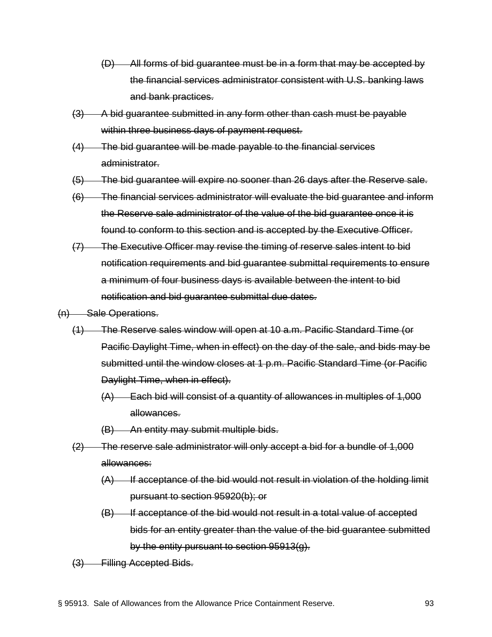- (D) All forms of bid guarantee must be in a form that may be accepted by the financial services administrator consistent with U.S. banking laws and bank practices.
- (3) A bid guarantee submitted in any form other than cash must be payable within three business days of payment request.
- (4) The bid guarantee will be made payable to the financial services administrator.
- (5) The bid guarantee will expire no sooner than 26 days after the Reserve sale.
- (6) The financial services administrator will evaluate the bid guarantee and inform the Reserve sale administrator of the value of the bid guarantee once it is found to conform to this section and is accepted by the Executive Officer.
- (7) The Executive Officer may revise the timing of reserve sales intent to bid notification requirements and bid guarantee submittal requirements to ensure a minimum of four business days is available between the intent to bid notification and bid guarantee submittal due dates.
- (n) Sale Operations.
	- (1) The Reserve sales window will open at 10 a.m. Pacific Standard Time (or Pacific Daylight Time, when in effect) on the day of the sale, and bids may be submitted until the window closes at 1 p.m. Pacific Standard Time (or Pacific Daylight Time, when in effect).
		- (A) Each bid will consist of a quantity of allowances in multiples of 1,000 allowances.
		- (B) An entity may submit multiple bids.
	- (2) The reserve sale administrator will only accept a bid for a bundle of 1,000 allowances:
		- $(A)$  If acceptance of the bid would not result in violation of the holding limit pursuant to section 95920(b); or
		- (B) If acceptance of the bid would not result in a total value of accepted bids for an entity greater than the value of the bid guarantee submitted by the entity pursuant to section 95913(g).
	- (3) Filling Accepted Bids.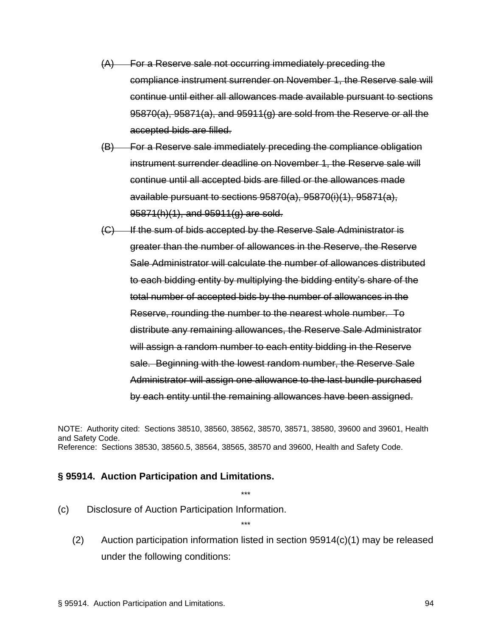- (A) For a Reserve sale not occurring immediately preceding the compliance instrument surrender on November 1, the Reserve sale will continue until either all allowances made available pursuant to sections 95870(a), 95871(a), and 95911(g) are sold from the Reserve or all the accepted bids are filled.
- (B) For a Reserve sale immediately preceding the compliance obligation instrument surrender deadline on November 1, the Reserve sale will continue until all accepted bids are filled or the allowances made available pursuant to sections 95870(a), 95870(i)(1), 95871(a), 95871(h)(1), and 95911(g) are sold.
- (C) If the sum of bids accepted by the Reserve Sale Administrator is greater than the number of allowances in the Reserve, the Reserve Sale Administrator will calculate the number of allowances distributed to each bidding entity by multiplying the bidding entity's share of the total number of accepted bids by the number of allowances in the Reserve, rounding the number to the nearest whole number. To distribute any remaining allowances, the Reserve Sale Administrator will assign a random number to each entity bidding in the Reserve sale. Beginning with the lowest random number, the Reserve Sale Administrator will assign one allowance to the last bundle purchased by each entity until the remaining allowances have been assigned.

NOTE: Authority cited: Sections 38510, 38560, 38562, 38570, 38571, 38580, 39600 and 39601, Health and Safety Code. Reference: Sections 38530, 38560.5, 38564, 38565, 38570 and 39600, Health and Safety Code.

\*\*\*

\*\*\*

#### **§ 95914. Auction Participation and Limitations.**

- (c) Disclosure of Auction Participation Information.
	- (2) Auction participation information listed in section 95914(c)(1) may be released under the following conditions: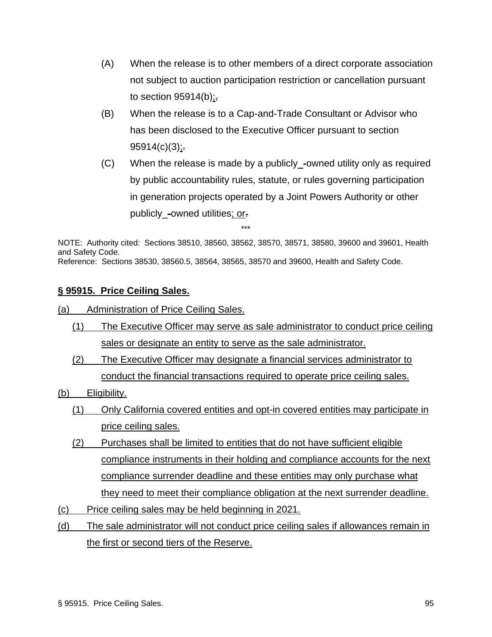- (A) When the release is to other members of a direct corporate association not subject to auction participation restriction or cancellation pursuant to section  $95914(b)$ ;
- (B) When the release is to a Cap-and-Trade Consultant or Advisor who has been disclosed to the Executive Officer pursuant to section  $95914(c)(3)$ ;
- (C) When the release is made by a publicly\_-owned utility only as required by public accountability rules, statute, or rules governing participation in generation projects operated by a Joint Powers Authority or other publicly\_-owned utilities; or.

NOTE: Authority cited: Sections 38510, 38560, 38562, 38570, 38571, 38580, 39600 and 39601, Health and Safety Code. Reference: Sections 38530, 38560.5, 38564, 38565, 38570 and 39600, Health and Safety Code.

## **§ 95915. Price Ceiling Sales.**

(a) Administration of Price Ceiling Sales.

- (1) The Executive Officer may serve as sale administrator to conduct price ceiling sales or designate an entity to serve as the sale administrator.
- (2) The Executive Officer may designate a financial services administrator to conduct the financial transactions required to operate price ceiling sales.
- (b) Eligibility.
	- (1) Only California covered entities and opt-in covered entities may participate in price ceiling sales.
	- (2) Purchases shall be limited to entities that do not have sufficient eligible compliance instruments in their holding and compliance accounts for the next compliance surrender deadline and these entities may only purchase what they need to meet their compliance obligation at the next surrender deadline.
- (c) Price ceiling sales may be held beginning in 2021.
- (d) The sale administrator will not conduct price ceiling sales if allowances remain in the first or second tiers of the Reserve.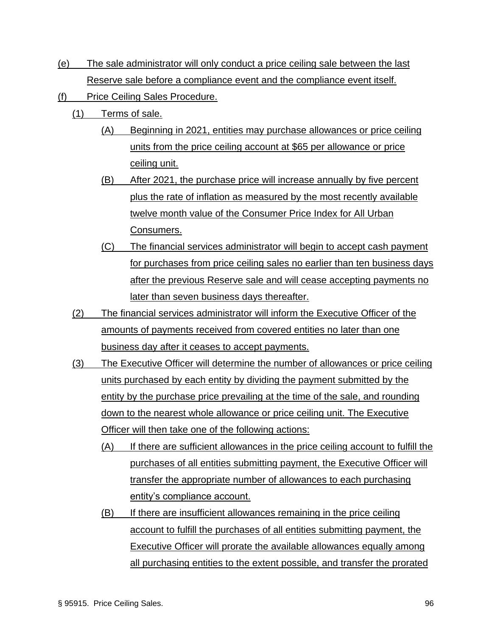- (e) The sale administrator will only conduct a price ceiling sale between the last Reserve sale before a compliance event and the compliance event itself.
- (f) Price Ceiling Sales Procedure.
	- (1) Terms of sale.
		- (A) Beginning in 2021, entities may purchase allowances or price ceiling units from the price ceiling account at \$65 per allowance or price ceiling unit.
		- (B) After 2021, the purchase price will increase annually by five percent plus the rate of inflation as measured by the most recently available twelve month value of the Consumer Price Index for All Urban Consumers.
		- (C) The financial services administrator will begin to accept cash payment for purchases from price ceiling sales no earlier than ten business days after the previous Reserve sale and will cease accepting payments no later than seven business days thereafter.
	- (2) The financial services administrator will inform the Executive Officer of the amounts of payments received from covered entities no later than one business day after it ceases to accept payments.
	- (3) The Executive Officer will determine the number of allowances or price ceiling units purchased by each entity by dividing the payment submitted by the entity by the purchase price prevailing at the time of the sale, and rounding down to the nearest whole allowance or price ceiling unit. The Executive Officer will then take one of the following actions:
		- (A) If there are sufficient allowances in the price ceiling account to fulfill the purchases of all entities submitting payment, the Executive Officer will transfer the appropriate number of allowances to each purchasing entity's compliance account.
		- (B) If there are insufficient allowances remaining in the price ceiling account to fulfill the purchases of all entities submitting payment, the Executive Officer will prorate the available allowances equally among all purchasing entities to the extent possible, and transfer the prorated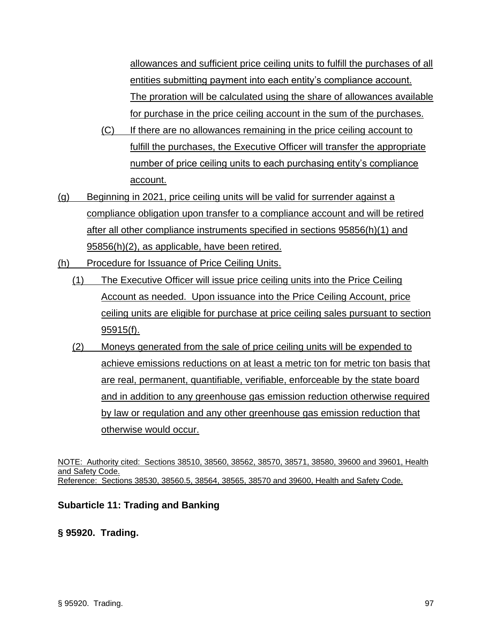allowances and sufficient price ceiling units to fulfill the purchases of all entities submitting payment into each entity's compliance account. The proration will be calculated using the share of allowances available for purchase in the price ceiling account in the sum of the purchases.

- (C) If there are no allowances remaining in the price ceiling account to fulfill the purchases, the Executive Officer will transfer the appropriate number of price ceiling units to each purchasing entity's compliance account.
- (g) Beginning in 2021, price ceiling units will be valid for surrender against a compliance obligation upon transfer to a compliance account and will be retired after all other compliance instruments specified in sections 95856(h)(1) and 95856(h)(2), as applicable, have been retired.
- (h) Procedure for Issuance of Price Ceiling Units.
	- (1) The Executive Officer will issue price ceiling units into the Price Ceiling Account as needed. Upon issuance into the Price Ceiling Account, price ceiling units are eligible for purchase at price ceiling sales pursuant to section 95915(f).
	- (2) Moneys generated from the sale of price ceiling units will be expended to achieve emissions reductions on at least a metric ton for metric ton basis that are real, permanent, quantifiable, verifiable, enforceable by the state board and in addition to any greenhouse gas emission reduction otherwise required by law or regulation and any other greenhouse gas emission reduction that otherwise would occur.

NOTE: Authority cited: Sections 38510, 38560, 38562, 38570, 38571, 38580, 39600 and 39601, Health and Safety Code. Reference: Sections 38530, 38560.5, 38564, 38565, 38570 and 39600, Health and Safety Code.

### **Subarticle 11: Trading and Banking**

**§ 95920. Trading.**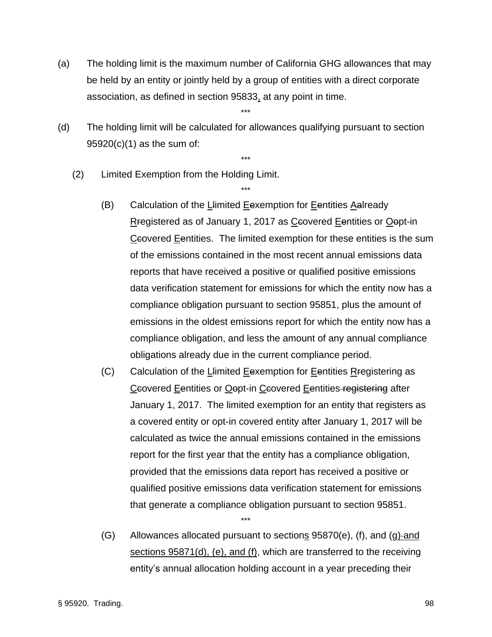(a) The holding limit is the maximum number of California GHG allowances that may be held by an entity or jointly held by a group of entities with a direct corporate association, as defined in section 95833, at any point in time.

\*\*\*

(d) The holding limit will be calculated for allowances qualifying pursuant to section 95920(c)(1) as the sum of:

\*\*\*

\*\*\*

- (2) Limited Exemption from the Holding Limit.
	- (B) Calculation of the Llimited Eexemption for Eentities Aalready Rregistered as of January 1, 2017 as Ccovered Eentities or Oopt-in Ceovered Eentities. The limited exemption for these entities is the sum of the emissions contained in the most recent annual emissions data reports that have received a positive or qualified positive emissions data verification statement for emissions for which the entity now has a compliance obligation pursuant to section 95851, plus the amount of emissions in the oldest emissions report for which the entity now has a compliance obligation, and less the amount of any annual compliance obligations already due in the current compliance period.
	- (C) Calculation of the Llimited Eexemption for Eentities Rregistering as Ccovered Eentities or Oept-in Ccovered Eentities registering after January 1, 2017. The limited exemption for an entity that registers as a covered entity or opt-in covered entity after January 1, 2017 will be calculated as twice the annual emissions contained in the emissions report for the first year that the entity has a compliance obligation, provided that the emissions data report has received a positive or qualified positive emissions data verification statement for emissions that generate a compliance obligation pursuant to section 95851.
	- $(G)$  Allowances allocated pursuant to sections 95870(e), (f), and (g)-and sections 95871(d), (e), and (f), which are transferred to the receiving entity's annual allocation holding account in a year preceding their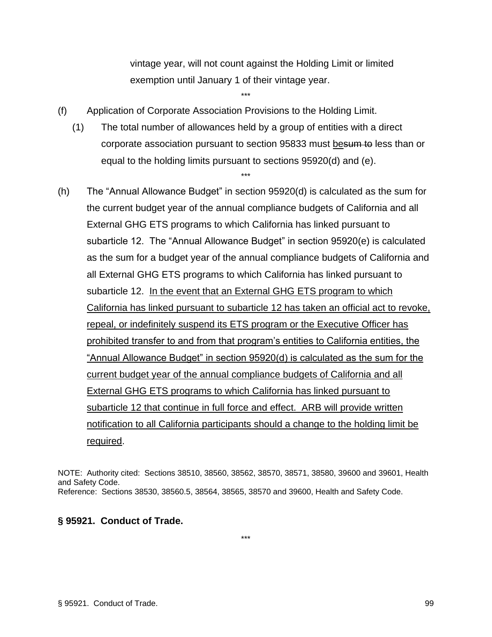vintage year, will not count against the Holding Limit or limited exemption until January 1 of their vintage year.

- (f) Application of Corporate Association Provisions to the Holding Limit.
	- (1) The total number of allowances held by a group of entities with a direct corporate association pursuant to section 95833 must besum to less than or equal to the holding limits pursuant to sections 95920(d) and (e).

\*\*\*

\*\*\*

(h) The "Annual Allowance Budget" in section 95920(d) is calculated as the sum for the current budget year of the annual compliance budgets of California and all External GHG ETS programs to which California has linked pursuant to subarticle 12. The "Annual Allowance Budget" in section 95920(e) is calculated as the sum for a budget year of the annual compliance budgets of California and all External GHG ETS programs to which California has linked pursuant to subarticle 12. In the event that an External GHG ETS program to which California has linked pursuant to subarticle 12 has taken an official act to revoke, repeal, or indefinitely suspend its ETS program or the Executive Officer has prohibited transfer to and from that program's entities to California entities, the "Annual Allowance Budget" in section 95920(d) is calculated as the sum for the current budget year of the annual compliance budgets of California and all External GHG ETS programs to which California has linked pursuant to subarticle 12 that continue in full force and effect. ARB will provide written notification to all California participants should a change to the holding limit be required.

NOTE: Authority cited: Sections 38510, 38560, 38562, 38570, 38571, 38580, 39600 and 39601, Health and Safety Code. Reference: Sections 38530, 38560.5, 38564, 38565, 38570 and 39600, Health and Safety Code.

\*\*\*

### **§ 95921. Conduct of Trade.**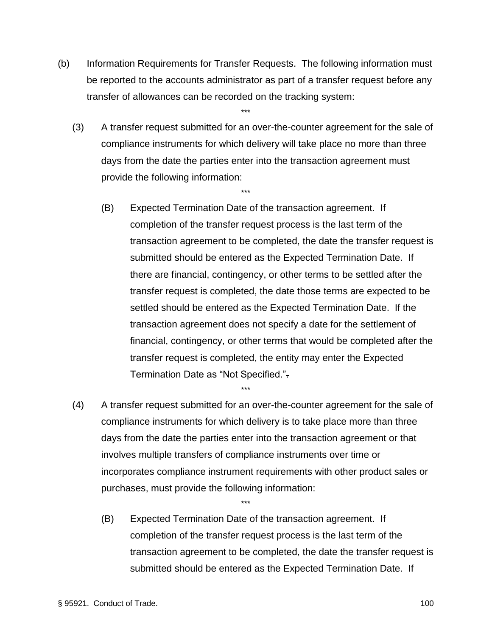(b) Information Requirements for Transfer Requests. The following information must be reported to the accounts administrator as part of a transfer request before any transfer of allowances can be recorded on the tracking system:

\*\*\*

(3) A transfer request submitted for an over-the-counter agreement for the sale of compliance instruments for which delivery will take place no more than three days from the date the parties enter into the transaction agreement must provide the following information:

\*\*\*

- (B) Expected Termination Date of the transaction agreement. If completion of the transfer request process is the last term of the transaction agreement to be completed, the date the transfer request is submitted should be entered as the Expected Termination Date. If there are financial, contingency, or other terms to be settled after the transfer request is completed, the date those terms are expected to be settled should be entered as the Expected Termination Date. If the transaction agreement does not specify a date for the settlement of financial, contingency, or other terms that would be completed after the transfer request is completed, the entity may enter the Expected Termination Date as "Not Specified.".
- (4) A transfer request submitted for an over-the-counter agreement for the sale of compliance instruments for which delivery is to take place more than three days from the date the parties enter into the transaction agreement or that involves multiple transfers of compliance instruments over time or incorporates compliance instrument requirements with other product sales or purchases, must provide the following information:

\*\*\*

\*\*\*

(B) Expected Termination Date of the transaction agreement. If completion of the transfer request process is the last term of the transaction agreement to be completed, the date the transfer request is submitted should be entered as the Expected Termination Date. If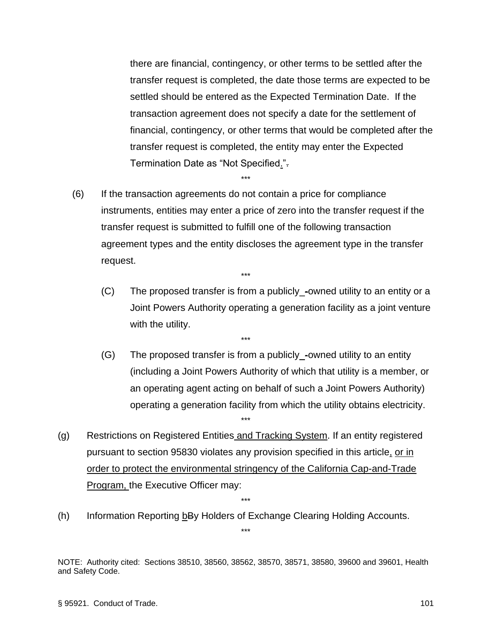there are financial, contingency, or other terms to be settled after the transfer request is completed, the date those terms are expected to be settled should be entered as the Expected Termination Date. If the transaction agreement does not specify a date for the settlement of financial, contingency, or other terms that would be completed after the transfer request is completed, the entity may enter the Expected Termination Date as "Not Specified.".

(6) If the transaction agreements do not contain a price for compliance instruments, entities may enter a price of zero into the transfer request if the transfer request is submitted to fulfill one of the following transaction agreement types and the entity discloses the agreement type in the transfer request.

\*\*\*

\*\*\*

\*\*\*

- (C) The proposed transfer is from a publicly\_-owned utility to an entity or a Joint Powers Authority operating a generation facility as a joint venture with the utility.
- (G) The proposed transfer is from a publicly\_-owned utility to an entity (including a Joint Powers Authority of which that utility is a member, or an operating agent acting on behalf of such a Joint Powers Authority) operating a generation facility from which the utility obtains electricity.
- (g) Restrictions on Registered Entities and Tracking System. If an entity registered pursuant to section 95830 violates any provision specified in this article, or in order to protect the environmental stringency of the California Cap-and-Trade Program, the Executive Officer may:

\*\*\*

\*\*\*

\*\*\*

(h) Information Reporting  $b$ By Holders of Exchange Clearing Holding Accounts.

NOTE: Authority cited: Sections 38510, 38560, 38562, 38570, 38571, 38580, 39600 and 39601, Health and Safety Code.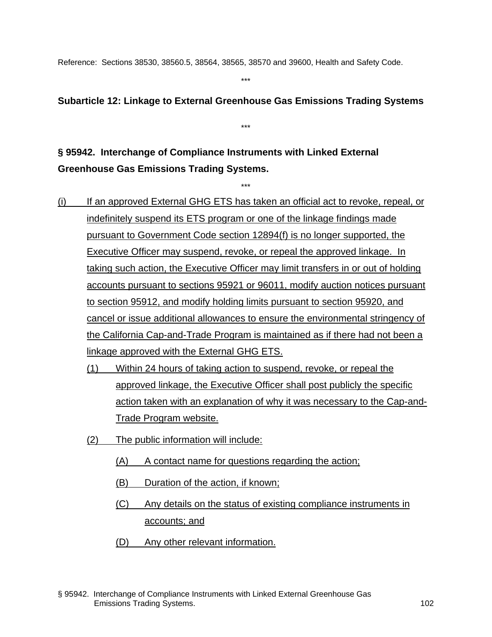Reference: Sections 38530, 38560.5, 38564, 38565, 38570 and 39600, Health and Safety Code.

\*\*\*

## **Subarticle 12: Linkage to External Greenhouse Gas Emissions Trading Systems**

\*\*\*

\*\*\*

**§ 95942. Interchange of Compliance Instruments with Linked External Greenhouse Gas Emissions Trading Systems.**

- (i) If an approved External GHG ETS has taken an official act to revoke, repeal, or indefinitely suspend its ETS program or one of the linkage findings made pursuant to Government Code section 12894(f) is no longer supported, the Executive Officer may suspend, revoke, or repeal the approved linkage. In taking such action, the Executive Officer may limit transfers in or out of holding accounts pursuant to sections 95921 or 96011, modify auction notices pursuant to section 95912, and modify holding limits pursuant to section 95920, and cancel or issue additional allowances to ensure the environmental stringency of the California Cap-and-Trade Program is maintained as if there had not been a linkage approved with the External GHG ETS.
	- (1) Within 24 hours of taking action to suspend, revoke, or repeal the approved linkage, the Executive Officer shall post publicly the specific action taken with an explanation of why it was necessary to the Cap-and-Trade Program website.
	- (2) The public information will include:
		- (A) A contact name for questions regarding the action;
		- (B) Duration of the action, if known;
		- (C) Any details on the status of existing compliance instruments in accounts; and
		- (D) Any other relevant information.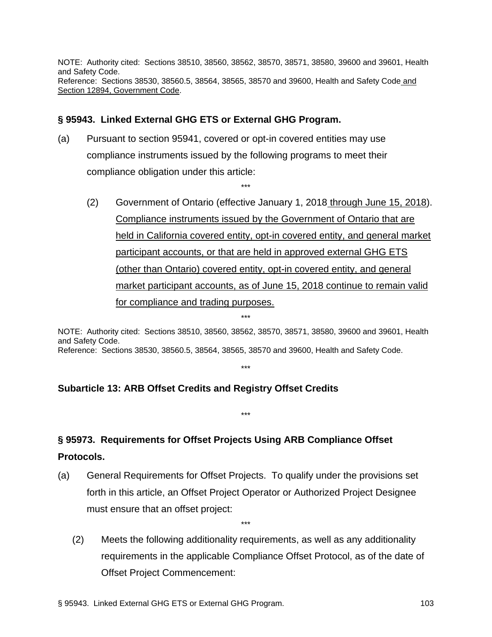NOTE: Authority cited: Sections 38510, 38560, 38562, 38570, 38571, 38580, 39600 and 39601, Health and Safety Code. Reference: Sections 38530, 38560.5, 38564, 38565, 38570 and 39600, Health and Safety Code and Section 12894, Government Code.

\*\*\*

### **§ 95943. Linked External GHG ETS or External GHG Program.**

- (a) Pursuant to section 95941, covered or opt-in covered entities may use compliance instruments issued by the following programs to meet their compliance obligation under this article:
	- (2) Government of Ontario (effective January 1, 2018 through June 15, 2018). Compliance instruments issued by the Government of Ontario that are held in California covered entity, opt-in covered entity, and general market participant accounts, or that are held in approved external GHG ETS (other than Ontario) covered entity, opt-in covered entity, and general market participant accounts, as of June 15, 2018 continue to remain valid for compliance and trading purposes.

NOTE: Authority cited: Sections 38510, 38560, 38562, 38570, 38571, 38580, 39600 and 39601, Health and Safety Code. Reference: Sections 38530, 38560.5, 38564, 38565, 38570 and 39600, Health and Safety Code.

\*\*\*

\*\*\*

\*\*\*

# **Subarticle 13: ARB Offset Credits and Registry Offset Credits**

# **§ 95973. Requirements for Offset Projects Using ARB Compliance Offset Protocols.**

- (a) General Requirements for Offset Projects. To qualify under the provisions set forth in this article, an Offset Project Operator or Authorized Project Designee must ensure that an offset project:
	- (2) Meets the following additionality requirements, as well as any additionality requirements in the applicable Compliance Offset Protocol, as of the date of Offset Project Commencement: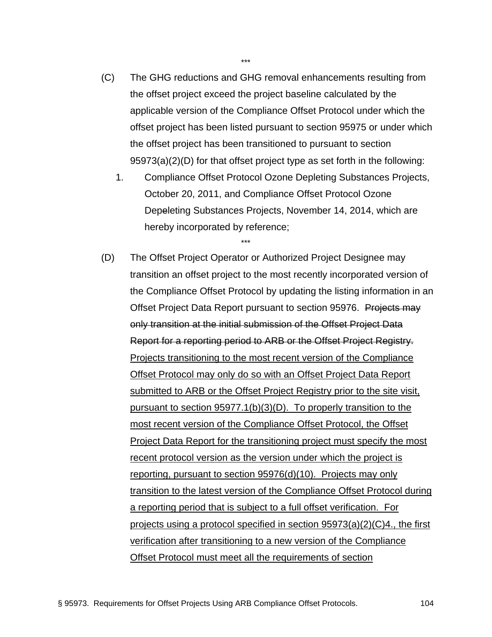- (C) The GHG reductions and GHG removal enhancements resulting from the offset project exceed the project baseline calculated by the applicable version of the Compliance Offset Protocol under which the offset project has been listed pursuant to section 95975 or under which the offset project has been transitioned to pursuant to section 95973(a)(2)(D) for that offset project type as set forth in the following:
	- 1. Compliance Offset Protocol Ozone Depleting Substances Projects, October 20, 2011, and Compliance Offset Protocol Ozone Depeleting Substances Projects, November 14, 2014, which are hereby incorporated by reference;

(D) The Offset Project Operator or Authorized Project Designee may transition an offset project to the most recently incorporated version of the Compliance Offset Protocol by updating the listing information in an Offset Project Data Report pursuant to section 95976. Projects may only transition at the initial submission of the Offset Project Data Report for a reporting period to ARB or the Offset Project Registry. Projects transitioning to the most recent version of the Compliance Offset Protocol may only do so with an Offset Project Data Report submitted to ARB or the Offset Project Registry prior to the site visit, pursuant to section 95977.1(b)(3)(D). To properly transition to the most recent version of the Compliance Offset Protocol, the Offset Project Data Report for the transitioning project must specify the most recent protocol version as the version under which the project is reporting, pursuant to section 95976(d)(10). Projects may only transition to the latest version of the Compliance Offset Protocol during a reporting period that is subject to a full offset verification. For projects using a protocol specified in section 95973(a)(2)(C)4., the first verification after transitioning to a new version of the Compliance Offset Protocol must meet all the requirements of section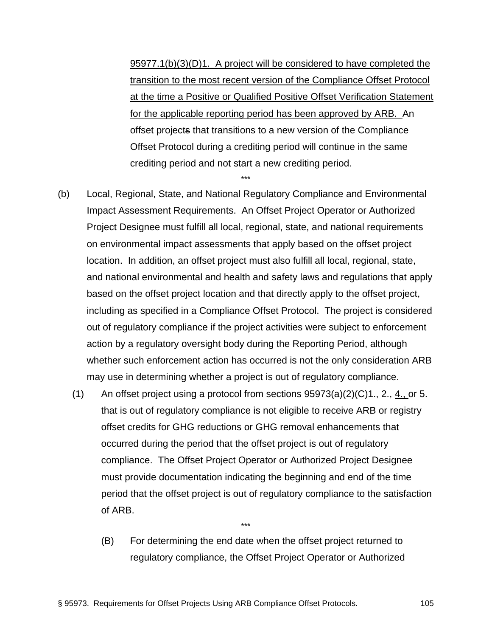95977.1(b)(3)(D)1. A project will be considered to have completed the transition to the most recent version of the Compliance Offset Protocol at the time a Positive or Qualified Positive Offset Verification Statement for the applicable reporting period has been approved by ARB. An offset projects that transitions to a new version of the Compliance Offset Protocol during a crediting period will continue in the same crediting period and not start a new crediting period.

(b) Local, Regional, State, and National Regulatory Compliance and Environmental Impact Assessment Requirements. An Offset Project Operator or Authorized Project Designee must fulfill all local, regional, state, and national requirements on environmental impact assessments that apply based on the offset project location. In addition, an offset project must also fulfill all local, regional, state, and national environmental and health and safety laws and regulations that apply based on the offset project location and that directly apply to the offset project, including as specified in a Compliance Offset Protocol. The project is considered out of regulatory compliance if the project activities were subject to enforcement action by a regulatory oversight body during the Reporting Period, although whether such enforcement action has occurred is not the only consideration ARB may use in determining whether a project is out of regulatory compliance.

\*\*\*

- (1) An offset project using a protocol from sections  $95973(a)(2)(C)1, 2, 4,$  or 5. that is out of regulatory compliance is not eligible to receive ARB or registry offset credits for GHG reductions or GHG removal enhancements that occurred during the period that the offset project is out of regulatory compliance. The Offset Project Operator or Authorized Project Designee must provide documentation indicating the beginning and end of the time period that the offset project is out of regulatory compliance to the satisfaction of ARB.
	- (B) For determining the end date when the offset project returned to regulatory compliance, the Offset Project Operator or Authorized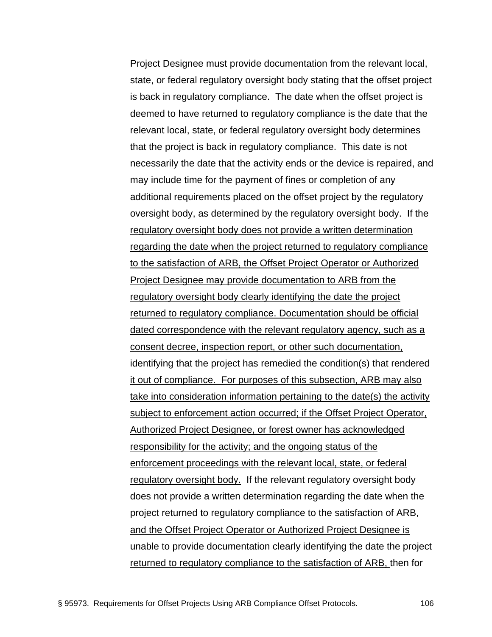Project Designee must provide documentation from the relevant local, state, or federal regulatory oversight body stating that the offset project is back in regulatory compliance. The date when the offset project is deemed to have returned to regulatory compliance is the date that the relevant local, state, or federal regulatory oversight body determines that the project is back in regulatory compliance. This date is not necessarily the date that the activity ends or the device is repaired, and may include time for the payment of fines or completion of any additional requirements placed on the offset project by the regulatory oversight body, as determined by the regulatory oversight body. If the regulatory oversight body does not provide a written determination regarding the date when the project returned to regulatory compliance to the satisfaction of ARB, the Offset Project Operator or Authorized Project Designee may provide documentation to ARB from the regulatory oversight body clearly identifying the date the project returned to regulatory compliance. Documentation should be official dated correspondence with the relevant regulatory agency, such as a consent decree, inspection report, or other such documentation, identifying that the project has remedied the condition(s) that rendered it out of compliance. For purposes of this subsection, ARB may also take into consideration information pertaining to the date(s) the activity subject to enforcement action occurred; if the Offset Project Operator, Authorized Project Designee, or forest owner has acknowledged responsibility for the activity; and the ongoing status of the enforcement proceedings with the relevant local, state, or federal regulatory oversight body. If the relevant regulatory oversight body does not provide a written determination regarding the date when the project returned to regulatory compliance to the satisfaction of ARB, and the Offset Project Operator or Authorized Project Designee is unable to provide documentation clearly identifying the date the project returned to regulatory compliance to the satisfaction of ARB, then for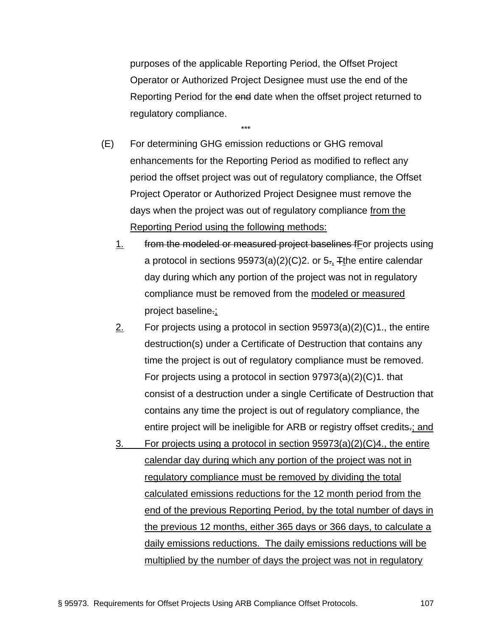purposes of the applicable Reporting Period, the Offset Project Operator or Authorized Project Designee must use the end of the Reporting Period for the end date when the offset project returned to regulatory compliance.

(E) For determining GHG emission reductions or GHG removal enhancements for the Reporting Period as modified to reflect any period the offset project was out of regulatory compliance, the Offset Project Operator or Authorized Project Designee must remove the days when the project was out of regulatory compliance from the Reporting Period using the following methods:

- 1. from the modeled or measured project baselines fFor projects using a protocol in sections  $95973(a)(2)(C)2$ . or  $5.$ , Tthe entire calendar day during which any portion of the project was not in regulatory compliance must be removed from the modeled or measured project baseline.;
- 2. For projects using a protocol in section  $95973(a)(2)(C)1$ , the entire destruction(s) under a Certificate of Destruction that contains any time the project is out of regulatory compliance must be removed. For projects using a protocol in section 97973(a)(2)(C)1. that consist of a destruction under a single Certificate of Destruction that contains any time the project is out of regulatory compliance, the entire project will be ineligible for ARB or registry offset credits.; and
- 3. For projects using a protocol in section 95973(a)(2)(C)4., the entire calendar day during which any portion of the project was not in regulatory compliance must be removed by dividing the total calculated emissions reductions for the 12 month period from the end of the previous Reporting Period, by the total number of days in the previous 12 months, either 365 days or 366 days, to calculate a daily emissions reductions. The daily emissions reductions will be multiplied by the number of days the project was not in regulatory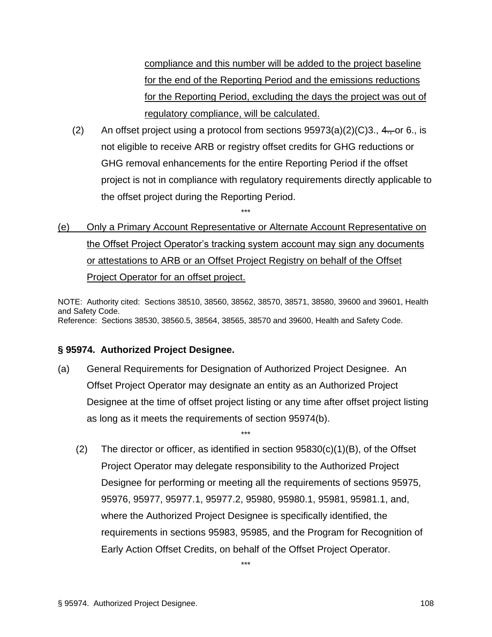compliance and this number will be added to the project baseline for the end of the Reporting Period and the emissions reductions for the Reporting Period, excluding the days the project was out of regulatory compliance, will be calculated.

(2) An offset project using a protocol from sections  $95973(a)(2)(C)3$ ., 4., or 6., is not eligible to receive ARB or registry offset credits for GHG reductions or GHG removal enhancements for the entire Reporting Period if the offset project is not in compliance with regulatory requirements directly applicable to the offset project during the Reporting Period.

# (e) Only a Primary Account Representative or Alternate Account Representative on the Offset Project Operator's tracking system account may sign any documents or attestations to ARB or an Offset Project Registry on behalf of the Offset Project Operator for an offset project.

\*\*\*

NOTE: Authority cited: Sections 38510, 38560, 38562, 38570, 38571, 38580, 39600 and 39601, Health and Safety Code. Reference: Sections 38530, 38560.5, 38564, 38565, 38570 and 39600, Health and Safety Code.

## **§ 95974. Authorized Project Designee.**

(a) General Requirements for Designation of Authorized Project Designee. An Offset Project Operator may designate an entity as an Authorized Project Designee at the time of offset project listing or any time after offset project listing as long as it meets the requirements of section 95974(b).

\*\*\*

(2) The director or officer, as identified in section  $95830(c)(1)(B)$ , of the Offset Project Operator may delegate responsibility to the Authorized Project Designee for performing or meeting all the requirements of sections 95975, 95976, 95977, 95977.1, 95977.2, 95980, 95980.1, 95981, 95981.1, and, where the Authorized Project Designee is specifically identified, the requirements in sections 95983, 95985, and the Program for Recognition of Early Action Offset Credits, on behalf of the Offset Project Operator.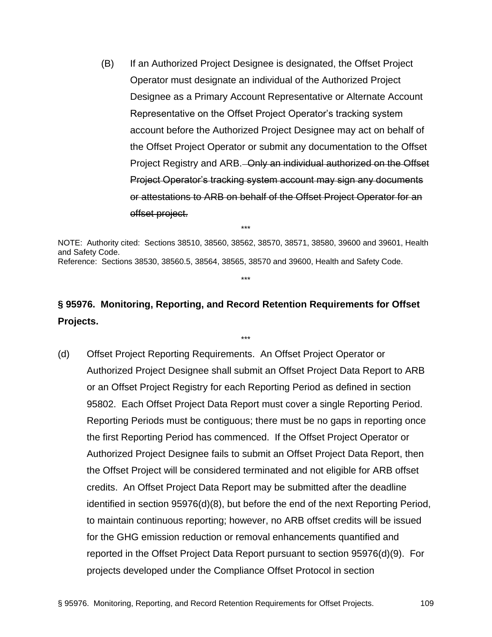(B) If an Authorized Project Designee is designated, the Offset Project Operator must designate an individual of the Authorized Project Designee as a Primary Account Representative or Alternate Account Representative on the Offset Project Operator's tracking system account before the Authorized Project Designee may act on behalf of the Offset Project Operator or submit any documentation to the Offset Project Registry and ARB. Only an individual authorized on the Offset Project Operator's tracking system account may sign any documents or attestations to ARB on behalf of the Offset Project Operator for an offset project.

NOTE: Authority cited: Sections 38510, 38560, 38562, 38570, 38571, 38580, 39600 and 39601, Health and Safety Code. Reference: Sections 38530, 38560.5, 38564, 38565, 38570 and 39600, Health and Safety Code.

\*\*\*

\*\*\*

# **§ 95976. Monitoring, Reporting, and Record Retention Requirements for Offset Projects.**

\*\*\*

(d) Offset Project Reporting Requirements. An Offset Project Operator or Authorized Project Designee shall submit an Offset Project Data Report to ARB or an Offset Project Registry for each Reporting Period as defined in section 95802. Each Offset Project Data Report must cover a single Reporting Period. Reporting Periods must be contiguous; there must be no gaps in reporting once the first Reporting Period has commenced. If the Offset Project Operator or Authorized Project Designee fails to submit an Offset Project Data Report, then the Offset Project will be considered terminated and not eligible for ARB offset credits. An Offset Project Data Report may be submitted after the deadline identified in section 95976(d)(8), but before the end of the next Reporting Period, to maintain continuous reporting; however, no ARB offset credits will be issued for the GHG emission reduction or removal enhancements quantified and reported in the Offset Project Data Report pursuant to section 95976(d)(9). For projects developed under the Compliance Offset Protocol in section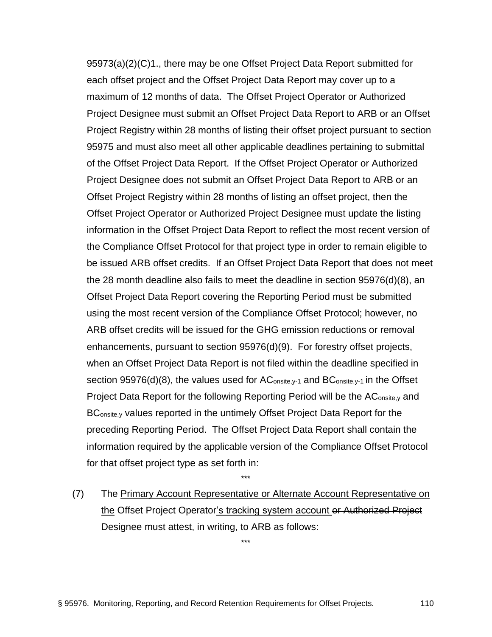95973(a)(2)(C)1., there may be one Offset Project Data Report submitted for each offset project and the Offset Project Data Report may cover up to a maximum of 12 months of data. The Offset Project Operator or Authorized Project Designee must submit an Offset Project Data Report to ARB or an Offset Project Registry within 28 months of listing their offset project pursuant to section 95975 and must also meet all other applicable deadlines pertaining to submittal of the Offset Project Data Report. If the Offset Project Operator or Authorized Project Designee does not submit an Offset Project Data Report to ARB or an Offset Project Registry within 28 months of listing an offset project, then the Offset Project Operator or Authorized Project Designee must update the listing information in the Offset Project Data Report to reflect the most recent version of the Compliance Offset Protocol for that project type in order to remain eligible to be issued ARB offset credits. If an Offset Project Data Report that does not meet the 28 month deadline also fails to meet the deadline in section 95976(d)(8), an Offset Project Data Report covering the Reporting Period must be submitted using the most recent version of the Compliance Offset Protocol; however, no ARB offset credits will be issued for the GHG emission reductions or removal enhancements, pursuant to section 95976(d)(9). For forestry offset projects, when an Offset Project Data Report is not filed within the deadline specified in section 95976(d)(8), the values used for  $AC_{\text{onsite},y-1}$  and  $BC_{\text{onsite},y-1}$  in the Offset Project Data Report for the following Reporting Period will be the AConsite,y and BConsite,y values reported in the untimely Offset Project Data Report for the preceding Reporting Period. The Offset Project Data Report shall contain the information required by the applicable version of the Compliance Offset Protocol for that offset project type as set forth in:

(7) The Primary Account Representative or Alternate Account Representative on the Offset Project Operator's tracking system account or Authorized Project Designee must attest, in writing, to ARB as follows:

\*\*\*

\*\*\*

§ 95976. Monitoring, Reporting, and Record Retention Requirements for Offset Projects. 110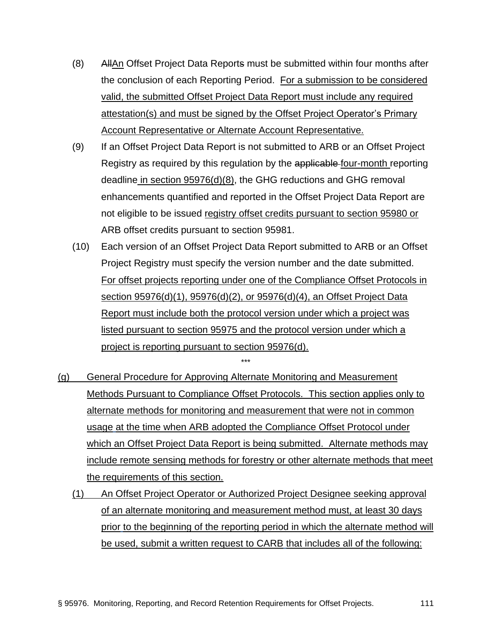- (8) AllAn Offset Project Data Reports must be submitted within four months after the conclusion of each Reporting Period. For a submission to be considered valid, the submitted Offset Project Data Report must include any required attestation(s) and must be signed by the Offset Project Operator's Primary Account Representative or Alternate Account Representative.
- (9) If an Offset Project Data Report is not submitted to ARB or an Offset Project Registry as required by this regulation by the applicable four-month reporting deadline in section 95976(d)(8), the GHG reductions and GHG removal enhancements quantified and reported in the Offset Project Data Report are not eligible to be issued registry offset credits pursuant to section 95980 or ARB offset credits pursuant to section 95981.
- (10) Each version of an Offset Project Data Report submitted to ARB or an Offset Project Registry must specify the version number and the date submitted. For offset projects reporting under one of the Compliance Offset Protocols in section 95976(d)(1), 95976(d)(2), or 95976(d)(4), an Offset Project Data Report must include both the protocol version under which a project was listed pursuant to section 95975 and the protocol version under which a project is reporting pursuant to section 95976(d).
- (g) General Procedure for Approving Alternate Monitoring and Measurement Methods Pursuant to Compliance Offset Protocols. This section applies only to alternate methods for monitoring and measurement that were not in common usage at the time when ARB adopted the Compliance Offset Protocol under which an Offset Project Data Report is being submitted. Alternate methods may include remote sensing methods for forestry or other alternate methods that meet the requirements of this section.

\*\*\*

(1) An Offset Project Operator or Authorized Project Designee seeking approval of an alternate monitoring and measurement method must, at least 30 days prior to the beginning of the reporting period in which the alternate method will be used, submit a written request to CARB that includes all of the following: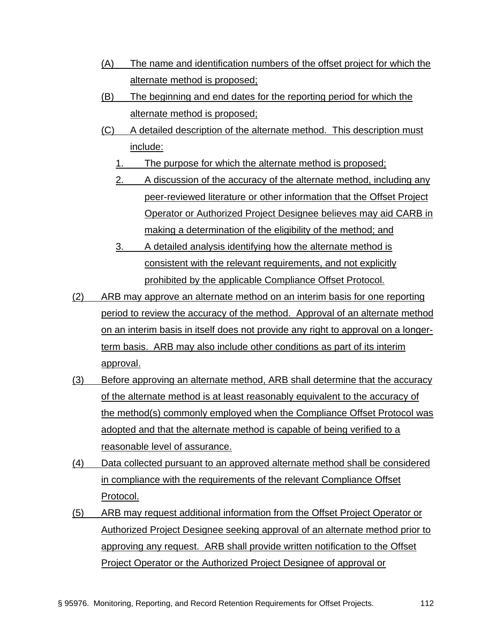- (A) The name and identification numbers of the offset project for which the alternate method is proposed;
- (B) The beginning and end dates for the reporting period for which the alternate method is proposed;
- (C) A detailed description of the alternate method. This description must include:
	- 1. The purpose for which the alternate method is proposed;
	- 2. A discussion of the accuracy of the alternate method, including any peer-reviewed literature or other information that the Offset Project Operator or Authorized Project Designee believes may aid CARB in making a determination of the eligibility of the method; and
	- 3. A detailed analysis identifying how the alternate method is consistent with the relevant requirements, and not explicitly prohibited by the applicable Compliance Offset Protocol.
- (2) ARB may approve an alternate method on an interim basis for one reporting period to review the accuracy of the method. Approval of an alternate method on an interim basis in itself does not provide any right to approval on a longerterm basis. ARB may also include other conditions as part of its interim approval.
- (3) Before approving an alternate method, ARB shall determine that the accuracy of the alternate method is at least reasonably equivalent to the accuracy of the method(s) commonly employed when the Compliance Offset Protocol was adopted and that the alternate method is capable of being verified to a reasonable level of assurance.
- (4) Data collected pursuant to an approved alternate method shall be considered in compliance with the requirements of the relevant Compliance Offset Protocol.
- (5) ARB may request additional information from the Offset Project Operator or Authorized Project Designee seeking approval of an alternate method prior to approving any request. ARB shall provide written notification to the Offset Project Operator or the Authorized Project Designee of approval or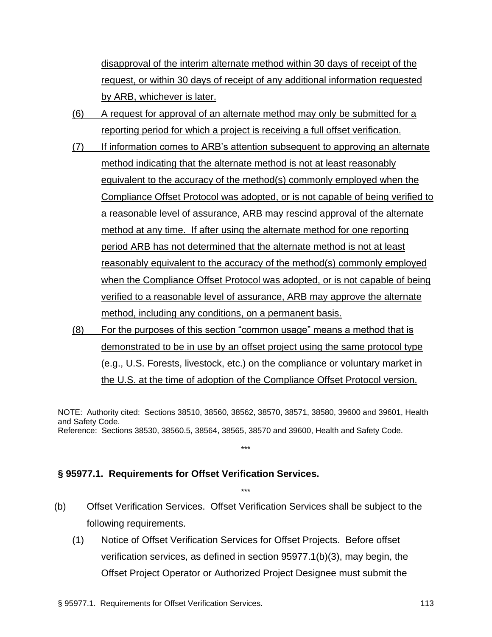disapproval of the interim alternate method within 30 days of receipt of the request, or within 30 days of receipt of any additional information requested by ARB, whichever is later.

- (6) A request for approval of an alternate method may only be submitted for a reporting period for which a project is receiving a full offset verification.
- (7) If information comes to ARB's attention subsequent to approving an alternate method indicating that the alternate method is not at least reasonably equivalent to the accuracy of the method(s) commonly employed when the Compliance Offset Protocol was adopted, or is not capable of being verified to a reasonable level of assurance, ARB may rescind approval of the alternate method at any time. If after using the alternate method for one reporting period ARB has not determined that the alternate method is not at least reasonably equivalent to the accuracy of the method(s) commonly employed when the Compliance Offset Protocol was adopted, or is not capable of being verified to a reasonable level of assurance, ARB may approve the alternate method, including any conditions, on a permanent basis.
- (8) For the purposes of this section "common usage" means a method that is demonstrated to be in use by an offset project using the same protocol type (e.g., U.S. Forests, livestock, etc.) on the compliance or voluntary market in the U.S. at the time of adoption of the Compliance Offset Protocol version.

NOTE: Authority cited: Sections 38510, 38560, 38562, 38570, 38571, 38580, 39600 and 39601, Health and Safety Code. Reference: Sections 38530, 38560.5, 38564, 38565, 38570 and 39600, Health and Safety Code.

\*\*\*

\*\*\*

## **§ 95977.1. Requirements for Offset Verification Services.**

- (b) Offset Verification Services. Offset Verification Services shall be subject to the following requirements.
	- (1) Notice of Offset Verification Services for Offset Projects. Before offset verification services, as defined in section 95977.1(b)(3), may begin, the Offset Project Operator or Authorized Project Designee must submit the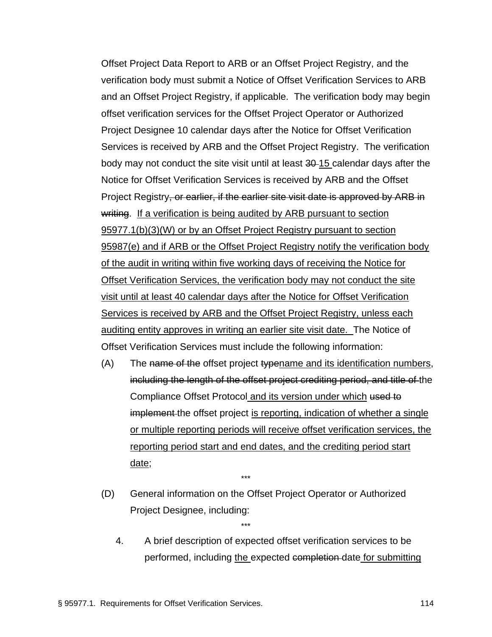Offset Project Data Report to ARB or an Offset Project Registry, and the verification body must submit a Notice of Offset Verification Services to ARB and an Offset Project Registry, if applicable. The verification body may begin offset verification services for the Offset Project Operator or Authorized Project Designee 10 calendar days after the Notice for Offset Verification Services is received by ARB and the Offset Project Registry. The verification body may not conduct the site visit until at least 30-15 calendar days after the Notice for Offset Verification Services is received by ARB and the Offset Project Registry, or earlier, if the earlier site visit date is approved by ARB in writing. If a verification is being audited by ARB pursuant to section 95977.1(b)(3)(W) or by an Offset Project Registry pursuant to section 95987(e) and if ARB or the Offset Project Registry notify the verification body of the audit in writing within five working days of receiving the Notice for Offset Verification Services, the verification body may not conduct the site visit until at least 40 calendar days after the Notice for Offset Verification Services is received by ARB and the Offset Project Registry, unless each auditing entity approves in writing an earlier site visit date. The Notice of Offset Verification Services must include the following information:

- $(A)$  The name of the offset project typename and its identification numbers, including the length of the offset project crediting period, and title of the Compliance Offset Protocol and its version under which used to implement the offset project is reporting, indication of whether a single or multiple reporting periods will receive offset verification services, the reporting period start and end dates, and the crediting period start date;
- (D) General information on the Offset Project Operator or Authorized Project Designee, including:

\*\*\*

\*\*\*

4. A brief description of expected offset verification services to be performed, including the expected completion date for submitting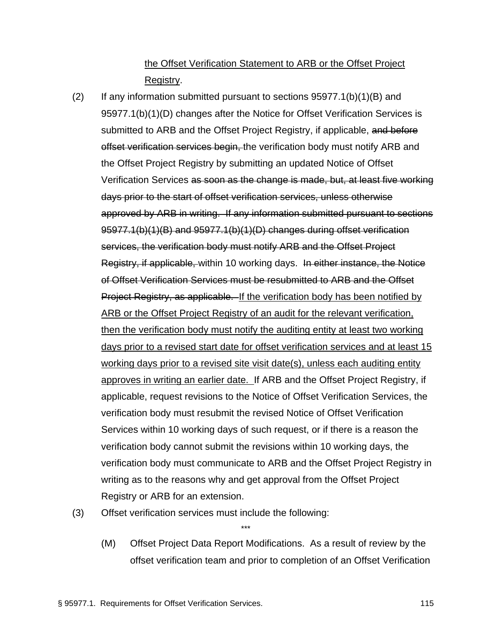## the Offset Verification Statement to ARB or the Offset Project Registry.

- (2) If any information submitted pursuant to sections  $95977.1(b)(1)(B)$  and 95977.1(b)(1)(D) changes after the Notice for Offset Verification Services is submitted to ARB and the Offset Project Registry, if applicable, and before offset verification services begin, the verification body must notify ARB and the Offset Project Registry by submitting an updated Notice of Offset Verification Services as soon as the change is made, but, at least five working days prior to the start of offset verification services, unless otherwise approved by ARB in writing. If any information submitted pursuant to sections 95977.1(b)(1)(B) and 95977.1(b)(1)(D) changes during offset verification services, the verification body must notify ARB and the Offset Project Registry, if applicable, within 10 working days. In either instance, the Notice of Offset Verification Services must be resubmitted to ARB and the Offset Project Registry, as applicable. If the verification body has been notified by ARB or the Offset Project Registry of an audit for the relevant verification, then the verification body must notify the auditing entity at least two working days prior to a revised start date for offset verification services and at least 15 working days prior to a revised site visit date(s), unless each auditing entity approves in writing an earlier date. If ARB and the Offset Project Registry, if applicable, request revisions to the Notice of Offset Verification Services, the verification body must resubmit the revised Notice of Offset Verification Services within 10 working days of such request, or if there is a reason the verification body cannot submit the revisions within 10 working days, the verification body must communicate to ARB and the Offset Project Registry in writing as to the reasons why and get approval from the Offset Project Registry or ARB for an extension.
- (3) Offset verification services must include the following:
	- (M) Offset Project Data Report Modifications. As a result of review by the offset verification team and prior to completion of an Offset Verification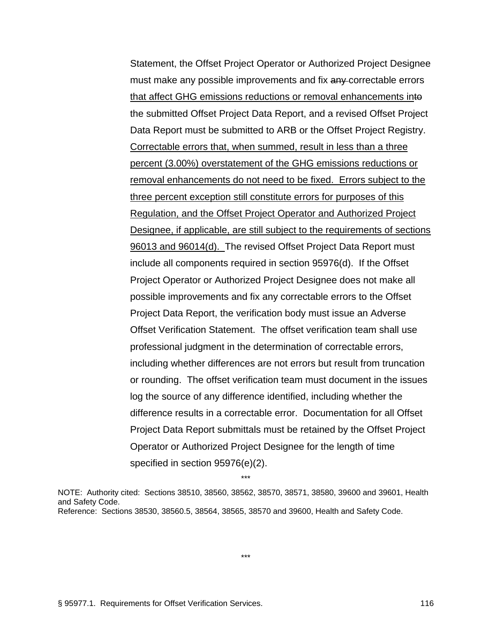Statement, the Offset Project Operator or Authorized Project Designee must make any possible improvements and fix any-correctable errors that affect GHG emissions reductions or removal enhancements into the submitted Offset Project Data Report, and a revised Offset Project Data Report must be submitted to ARB or the Offset Project Registry. Correctable errors that, when summed, result in less than a three percent (3.00%) overstatement of the GHG emissions reductions or removal enhancements do not need to be fixed. Errors subject to the three percent exception still constitute errors for purposes of this Regulation, and the Offset Project Operator and Authorized Project Designee, if applicable, are still subject to the requirements of sections 96013 and 96014(d). The revised Offset Project Data Report must include all components required in section 95976(d). If the Offset Project Operator or Authorized Project Designee does not make all possible improvements and fix any correctable errors to the Offset Project Data Report, the verification body must issue an Adverse Offset Verification Statement. The offset verification team shall use professional judgment in the determination of correctable errors, including whether differences are not errors but result from truncation or rounding. The offset verification team must document in the issues log the source of any difference identified, including whether the difference results in a correctable error. Documentation for all Offset Project Data Report submittals must be retained by the Offset Project Operator or Authorized Project Designee for the length of time specified in section 95976(e)(2).

\*\*\*

NOTE: Authority cited: Sections 38510, 38560, 38562, 38570, 38571, 38580, 39600 and 39601, Health and Safety Code. Reference: Sections 38530, 38560.5, 38564, 38565, 38570 and 39600, Health and Safety Code.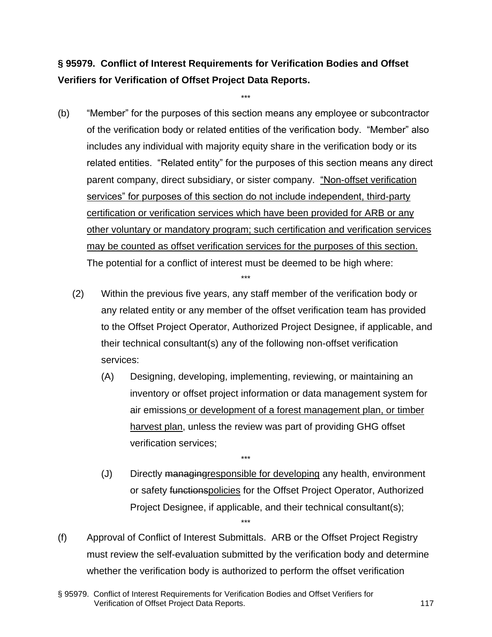# **§ 95979. Conflict of Interest Requirements for Verification Bodies and Offset Verifiers for Verification of Offset Project Data Reports.**

\*\*\*

- (b) "Member" for the purposes of this section means any employee or subcontractor of the verification body or related entities of the verification body. "Member" also includes any individual with majority equity share in the verification body or its related entities. "Related entity" for the purposes of this section means any direct parent company, direct subsidiary, or sister company. "Non-offset verification services" for purposes of this section do not include independent, third-party certification or verification services which have been provided for ARB or any other voluntary or mandatory program; such certification and verification services may be counted as offset verification services for the purposes of this section. The potential for a conflict of interest must be deemed to be high where:
	- (2) Within the previous five years, any staff member of the verification body or any related entity or any member of the offset verification team has provided to the Offset Project Operator, Authorized Project Designee, if applicable, and their technical consultant(s) any of the following non-offset verification services:

\*\*\*

- (A) Designing, developing, implementing, reviewing, or maintaining an inventory or offset project information or data management system for air emissions or development of a forest management plan, or timber harvest plan, unless the review was part of providing GHG offset verification services;
- (J) Directly managingresponsible for developing any health, environment or safety functionspolicies for the Offset Project Operator, Authorized Project Designee, if applicable, and their technical consultant(s); \*\*\*
- (f) Approval of Conflict of Interest Submittals. ARB or the Offset Project Registry must review the self-evaluation submitted by the verification body and determine whether the verification body is authorized to perform the offset verification

<sup>§ 95979.</sup> Conflict of Interest Requirements for Verification Bodies and Offset Verifiers for Verification of Offset Project Data Reports. 117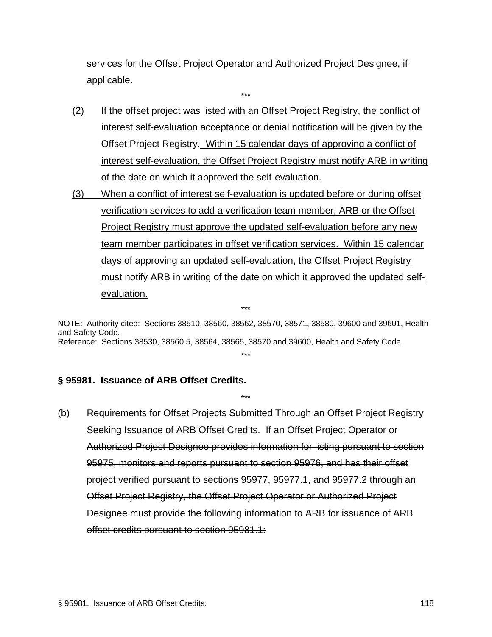services for the Offset Project Operator and Authorized Project Designee, if applicable.

\*\*\*

- (2) If the offset project was listed with an Offset Project Registry, the conflict of interest self-evaluation acceptance or denial notification will be given by the Offset Project Registry. Within 15 calendar days of approving a conflict of interest self-evaluation, the Offset Project Registry must notify ARB in writing of the date on which it approved the self-evaluation.
- (3) When a conflict of interest self-evaluation is updated before or during offset verification services to add a verification team member, ARB or the Offset Project Registry must approve the updated self-evaluation before any new team member participates in offset verification services. Within 15 calendar days of approving an updated self-evaluation, the Offset Project Registry must notify ARB in writing of the date on which it approved the updated selfevaluation.

NOTE: Authority cited: Sections 38510, 38560, 38562, 38570, 38571, 38580, 39600 and 39601, Health and Safety Code. Reference: Sections 38530, 38560.5, 38564, 38565, 38570 and 39600, Health and Safety Code.

\*\*\*

\*\*\*

\*\*\*

## **§ 95981. Issuance of ARB Offset Credits.**

(b) Requirements for Offset Projects Submitted Through an Offset Project Registry Seeking Issuance of ARB Offset Credits. If an Offset Project Operator or Authorized Project Designee provides information for listing pursuant to section 95975, monitors and reports pursuant to section 95976, and has their offset project verified pursuant to sections 95977, 95977.1, and 95977.2 through an Offset Project Registry, the Offset Project Operator or Authorized Project Designee must provide the following information to ARB for issuance of ARB offset credits pursuant to section 95981.1: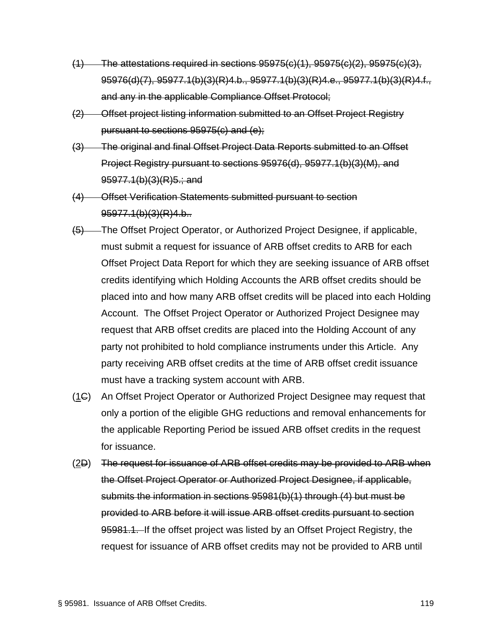- $(1)$  The attestations required in sections  $95975(c)(1)$ ,  $95975(c)(2)$ ,  $95975(c)(3)$ , 95976(d)(7), 95977.1(b)(3)(R)4.b., 95977.1(b)(3)(R)4.e., 95977.1(b)(3)(R)4.f., and any in the applicable Compliance Offset Protocol;
- (2) Offset project listing information submitted to an Offset Project Registry pursuant to sections 95975(c) and (e);
- (3) The original and final Offset Project Data Reports submitted to an Offset Project Registry pursuant to sections 95976(d), 95977.1(b)(3)(M), and 95977.1(b)(3)(R)5.; and
- (4) Offset Verification Statements submitted pursuant to section 95977.1(b)(3)(R)4.b..
- (5) The Offset Project Operator, or Authorized Project Designee, if applicable, must submit a request for issuance of ARB offset credits to ARB for each Offset Project Data Report for which they are seeking issuance of ARB offset credits identifying which Holding Accounts the ARB offset credits should be placed into and how many ARB offset credits will be placed into each Holding Account. The Offset Project Operator or Authorized Project Designee may request that ARB offset credits are placed into the Holding Account of any party not prohibited to hold compliance instruments under this Article. Any party receiving ARB offset credits at the time of ARB offset credit issuance must have a tracking system account with ARB.
- (1C) An Offset Project Operator or Authorized Project Designee may request that only a portion of the eligible GHG reductions and removal enhancements for the applicable Reporting Period be issued ARB offset credits in the request for issuance.
- (2D) The request for issuance of ARB offset credits may be provided to ARB when the Offset Project Operator or Authorized Project Designee, if applicable, submits the information in sections 95981(b)(1) through (4) but must be provided to ARB before it will issue ARB offset credits pursuant to section 95981.1. If the offset project was listed by an Offset Project Registry, the request for issuance of ARB offset credits may not be provided to ARB until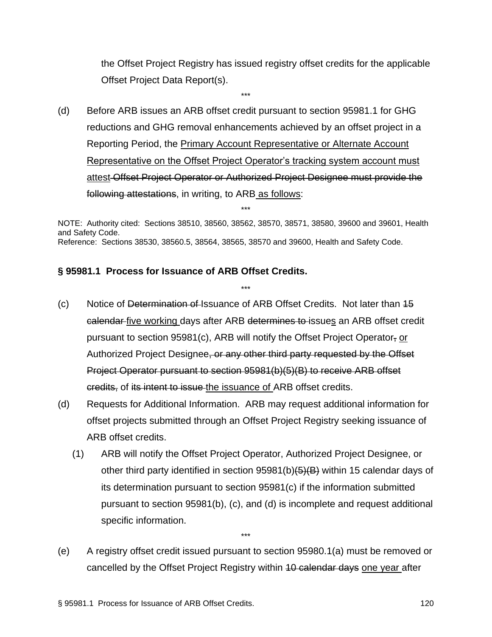the Offset Project Registry has issued registry offset credits for the applicable Offset Project Data Report(s).

(d) Before ARB issues an ARB offset credit pursuant to section 95981.1 for GHG reductions and GHG removal enhancements achieved by an offset project in a Reporting Period, the Primary Account Representative or Alternate Account Representative on the Offset Project Operator's tracking system account must attest Offset Project Operator or Authorized Project Designee must provide the following attestations, in writing, to ARB as follows:

\*\*\*

NOTE: Authority cited: Sections 38510, 38560, 38562, 38570, 38571, 38580, 39600 and 39601, Health and Safety Code. Reference: Sections 38530, 38560.5, 38564, 38565, 38570 and 39600, Health and Safety Code.

\*\*\*

\*\*\*

## **§ 95981.1 Process for Issuance of ARB Offset Credits.**

- (c) Notice of Determination of Issuance of ARB Offset Credits. Not later than 15 calendar five working days after ARB determines to issues an ARB offset credit pursuant to section 95981(c), ARB will notify the Offset Project Operator, or Authorized Project Designee, or any other third party requested by the Offset Project Operator pursuant to section 95981(b)(5)(B) to receive ARB offset credits, of its intent to issue the issuance of ARB offset credits.
- (d) Requests for Additional Information. ARB may request additional information for offset projects submitted through an Offset Project Registry seeking issuance of ARB offset credits.
	- (1) ARB will notify the Offset Project Operator, Authorized Project Designee, or other third party identified in section  $95981(b)(5)(B)$  within 15 calendar days of its determination pursuant to section 95981(c) if the information submitted pursuant to section 95981(b), (c), and (d) is incomplete and request additional specific information.
- (e) A registry offset credit issued pursuant to section 95980.1(a) must be removed or cancelled by the Offset Project Registry within 10 calendar days one year after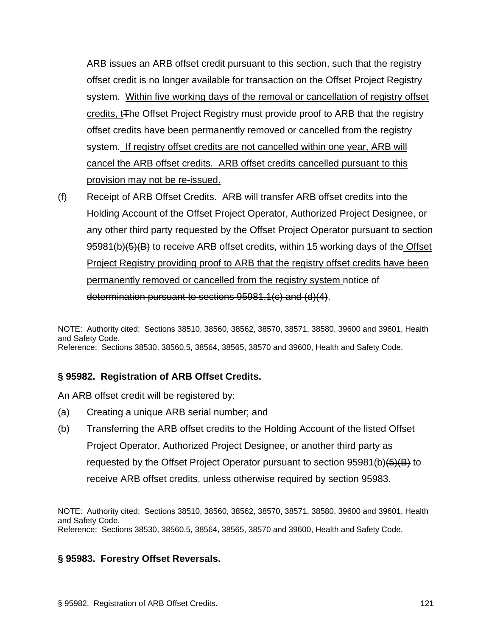ARB issues an ARB offset credit pursuant to this section, such that the registry offset credit is no longer available for transaction on the Offset Project Registry system. Within five working days of the removal or cancellation of registry offset credits, tThe Offset Project Registry must provide proof to ARB that the registry offset credits have been permanently removed or cancelled from the registry system. If registry offset credits are not cancelled within one year, ARB will cancel the ARB offset credits. ARB offset credits cancelled pursuant to this provision may not be re-issued.

(f) Receipt of ARB Offset Credits. ARB will transfer ARB offset credits into the Holding Account of the Offset Project Operator, Authorized Project Designee, or any other third party requested by the Offset Project Operator pursuant to section 95981(b)(5)(B) to receive ARB offset credits, within 15 working days of the Offset Project Registry providing proof to ARB that the registry offset credits have been permanently removed or cancelled from the registry system notice of determination pursuant to sections 95981.1(c) and (d)(4).

NOTE: Authority cited: Sections 38510, 38560, 38562, 38570, 38571, 38580, 39600 and 39601, Health and Safety Code. Reference: Sections 38530, 38560.5, 38564, 38565, 38570 and 39600, Health and Safety Code.

## **§ 95982. Registration of ARB Offset Credits.**

An ARB offset credit will be registered by:

- (a) Creating a unique ARB serial number; and
- (b) Transferring the ARB offset credits to the Holding Account of the listed Offset Project Operator, Authorized Project Designee, or another third party as requested by the Offset Project Operator pursuant to section  $95981(b)(\frac{1}{6})(B)$  to receive ARB offset credits, unless otherwise required by section 95983.

NOTE: Authority cited: Sections 38510, 38560, 38562, 38570, 38571, 38580, 39600 and 39601, Health and Safety Code. Reference: Sections 38530, 38560.5, 38564, 38565, 38570 and 39600, Health and Safety Code.

## **§ 95983. Forestry Offset Reversals.**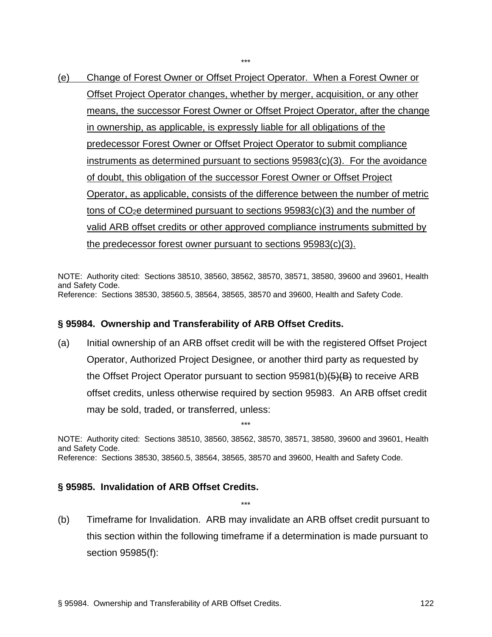(e) Change of Forest Owner or Offset Project Operator. When a Forest Owner or Offset Project Operator changes, whether by merger, acquisition, or any other means, the successor Forest Owner or Offset Project Operator, after the change in ownership, as applicable, is expressly liable for all obligations of the predecessor Forest Owner or Offset Project Operator to submit compliance instruments as determined pursuant to sections 95983(c)(3). For the avoidance of doubt, this obligation of the successor Forest Owner or Offset Project Operator, as applicable, consists of the difference between the number of metric tons of  $CO<sub>2</sub>e$  determined pursuant to sections  $95983(c)(3)$  and the number of valid ARB offset credits or other approved compliance instruments submitted by the predecessor forest owner pursuant to sections 95983(c)(3).

\*\*\*

NOTE: Authority cited: Sections 38510, 38560, 38562, 38570, 38571, 38580, 39600 and 39601, Health and Safety Code. Reference: Sections 38530, 38560.5, 38564, 38565, 38570 and 39600, Health and Safety Code.

## **§ 95984. Ownership and Transferability of ARB Offset Credits.**

(a) Initial ownership of an ARB offset credit will be with the registered Offset Project Operator, Authorized Project Designee, or another third party as requested by the Offset Project Operator pursuant to section 95981(b)(5)(B) to receive ARB offset credits, unless otherwise required by section 95983. An ARB offset credit may be sold, traded, or transferred, unless:

NOTE: Authority cited: Sections 38510, 38560, 38562, 38570, 38571, 38580, 39600 and 39601, Health and Safety Code. Reference: Sections 38530, 38560.5, 38564, 38565, 38570 and 39600, Health and Safety Code.

\*\*\*

## **§ 95985. Invalidation of ARB Offset Credits.**

(b) Timeframe for Invalidation. ARB may invalidate an ARB offset credit pursuant to this section within the following timeframe if a determination is made pursuant to section 95985(f):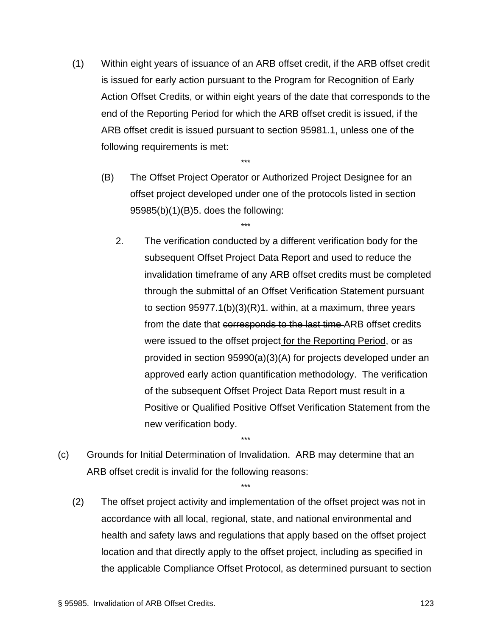(1) Within eight years of issuance of an ARB offset credit, if the ARB offset credit is issued for early action pursuant to the Program for Recognition of Early Action Offset Credits, or within eight years of the date that corresponds to the end of the Reporting Period for which the ARB offset credit is issued, if the ARB offset credit is issued pursuant to section 95981.1, unless one of the following requirements is met:

\*\*\*

\*\*\*

- (B) The Offset Project Operator or Authorized Project Designee for an offset project developed under one of the protocols listed in section 95985(b)(1)(B)5. does the following:
	- 2. The verification conducted by a different verification body for the subsequent Offset Project Data Report and used to reduce the invalidation timeframe of any ARB offset credits must be completed through the submittal of an Offset Verification Statement pursuant to section 95977.1(b)(3)(R)1. within, at a maximum, three years from the date that corresponds to the last time ARB offset credits were issued to the offset project for the Reporting Period, or as provided in section 95990(a)(3)(A) for projects developed under an approved early action quantification methodology. The verification of the subsequent Offset Project Data Report must result in a Positive or Qualified Positive Offset Verification Statement from the new verification body.
- (c) Grounds for Initial Determination of Invalidation. ARB may determine that an ARB offset credit is invalid for the following reasons:

\*\*\*

\*\*\*

(2) The offset project activity and implementation of the offset project was not in accordance with all local, regional, state, and national environmental and health and safety laws and regulations that apply based on the offset project location and that directly apply to the offset project, including as specified in the applicable Compliance Offset Protocol, as determined pursuant to section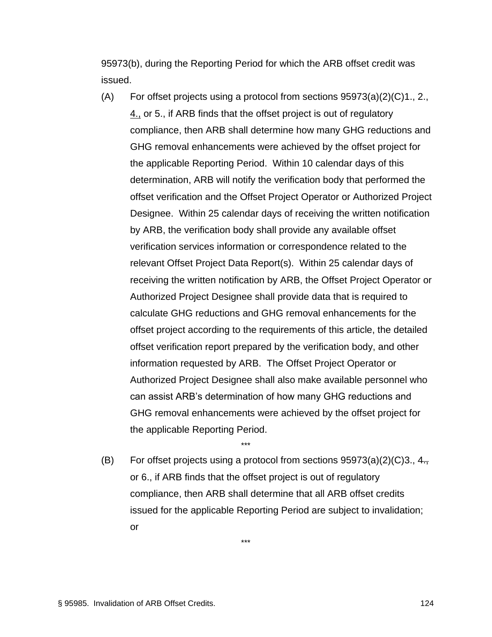95973(b), during the Reporting Period for which the ARB offset credit was issued.

- (A) For offset projects using a protocol from sections  $95973(a)(2)(C)1, 2,$ 4., or 5., if ARB finds that the offset project is out of regulatory compliance, then ARB shall determine how many GHG reductions and GHG removal enhancements were achieved by the offset project for the applicable Reporting Period. Within 10 calendar days of this determination, ARB will notify the verification body that performed the offset verification and the Offset Project Operator or Authorized Project Designee. Within 25 calendar days of receiving the written notification by ARB, the verification body shall provide any available offset verification services information or correspondence related to the relevant Offset Project Data Report(s). Within 25 calendar days of receiving the written notification by ARB, the Offset Project Operator or Authorized Project Designee shall provide data that is required to calculate GHG reductions and GHG removal enhancements for the offset project according to the requirements of this article, the detailed offset verification report prepared by the verification body, and other information requested by ARB. The Offset Project Operator or Authorized Project Designee shall also make available personnel who can assist ARB's determination of how many GHG reductions and GHG removal enhancements were achieved by the offset project for the applicable Reporting Period.
- (B) For offset projects using a protocol from sections  $95973(a)(2)(C)3., 4.,$ or 6., if ARB finds that the offset project is out of regulatory compliance, then ARB shall determine that all ARB offset credits issued for the applicable Reporting Period are subject to invalidation; or

\*\*\*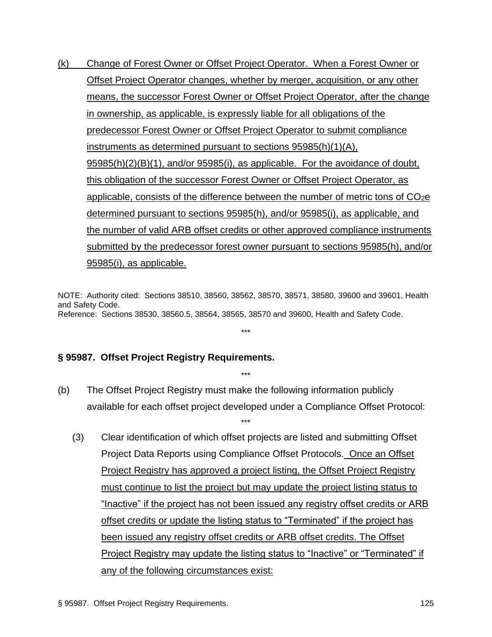(k) Change of Forest Owner or Offset Project Operator. When a Forest Owner or Offset Project Operator changes, whether by merger, acquisition, or any other means, the successor Forest Owner or Offset Project Operator, after the change in ownership, as applicable, is expressly liable for all obligations of the predecessor Forest Owner or Offset Project Operator to submit compliance instruments as determined pursuant to sections 95985(h)(1)(A), 95985(h)(2)(B)(1), and/or 95985(i), as applicable. For the avoidance of doubt, this obligation of the successor Forest Owner or Offset Project Operator, as applicable, consists of the difference between the number of metric tons of  $CO<sub>2</sub>e$ determined pursuant to sections 95985(h), and/or 95985(i), as applicable, and the number of valid ARB offset credits or other approved compliance instruments submitted by the predecessor forest owner pursuant to sections 95985(h), and/or 95985(i), as applicable.

NOTE: Authority cited: Sections 38510, 38560, 38562, 38570, 38571, 38580, 39600 and 39601, Health and Safety Code. Reference: Sections 38530, 38560.5, 38564, 38565, 38570 and 39600, Health and Safety Code.

\*\*\*

## **§ 95987. Offset Project Registry Requirements.**

(b) The Offset Project Registry must make the following information publicly available for each offset project developed under a Compliance Offset Protocol:

\*\*\*

\*\*\*

(3) Clear identification of which offset projects are listed and submitting Offset Project Data Reports using Compliance Offset Protocols. Once an Offset Project Registry has approved a project listing, the Offset Project Registry must continue to list the project but may update the project listing status to "Inactive" if the project has not been issued any registry offset credits or ARB offset credits or update the listing status to "Terminated" if the project has been issued any registry offset credits or ARB offset credits. The Offset Project Registry may update the listing status to "Inactive" or "Terminated" if any of the following circumstances exist: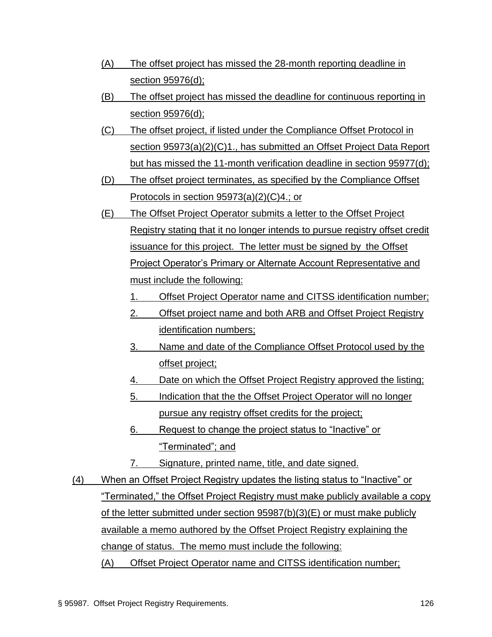- (A) The offset project has missed the 28-month reporting deadline in section 95976(d);
- (B) The offset project has missed the deadline for continuous reporting in section 95976(d);
- (C) The offset project, if listed under the Compliance Offset Protocol in section 95973(a)(2)(C)1., has submitted an Offset Project Data Report but has missed the 11-month verification deadline in section 95977(d);
- (D) The offset project terminates, as specified by the Compliance Offset Protocols in section 95973(a)(2)(C)4.; or
- (E) The Offset Project Operator submits a letter to the Offset Project Registry stating that it no longer intends to pursue registry offset credit issuance for this project. The letter must be signed by the Offset Project Operator's Primary or Alternate Account Representative and must include the following:
	- 1. Offset Project Operator name and CITSS identification number;
	- 2. Offset project name and both ARB and Offset Project Registry identification numbers;
	- 3. Name and date of the Compliance Offset Protocol used by the offset project;
	- 4. Date on which the Offset Project Registry approved the listing;
	- 5. Indication that the the Offset Project Operator will no longer pursue any registry offset credits for the project;
	- 6. Request to change the project status to "Inactive" or "Terminated"; and
	- 7. Signature, printed name, title, and date signed.
- (4) When an Offset Project Registry updates the listing status to "Inactive" or "Terminated," the Offset Project Registry must make publicly available a copy of the letter submitted under section 95987(b)(3)(E) or must make publicly available a memo authored by the Offset Project Registry explaining the change of status. The memo must include the following: (A) Offset Project Operator name and CITSS identification number;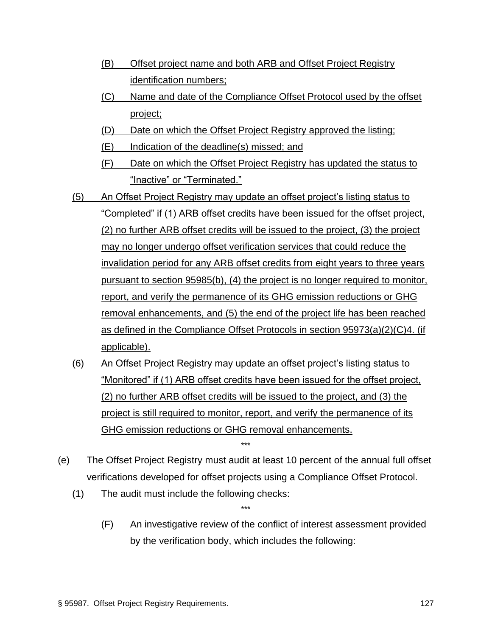- (B) Offset project name and both ARB and Offset Project Registry identification numbers;
- (C) Name and date of the Compliance Offset Protocol used by the offset project;
- (D) Date on which the Offset Project Registry approved the listing;
- (E) Indication of the deadline(s) missed; and
- (F) Date on which the Offset Project Registry has updated the status to "Inactive" or "Terminated."
- (5) An Offset Project Registry may update an offset project's listing status to "Completed" if (1) ARB offset credits have been issued for the offset project, (2) no further ARB offset credits will be issued to the project, (3) the project may no longer undergo offset verification services that could reduce the invalidation period for any ARB offset credits from eight years to three years pursuant to section 95985(b), (4) the project is no longer required to monitor, report, and verify the permanence of its GHG emission reductions or GHG removal enhancements, and (5) the end of the project life has been reached as defined in the Compliance Offset Protocols in section 95973(a)(2)(C)4. (if applicable).
- (6) An Offset Project Registry may update an offset project's listing status to "Monitored" if (1) ARB offset credits have been issued for the offset project, (2) no further ARB offset credits will be issued to the project, and (3) the project is still required to monitor, report, and verify the permanence of its GHG emission reductions or GHG removal enhancements.
- (e) The Offset Project Registry must audit at least 10 percent of the annual full offset verifications developed for offset projects using a Compliance Offset Protocol.

\*\*\*

- (1) The audit must include the following checks:
	- (F) An investigative review of the conflict of interest assessment provided by the verification body, which includes the following: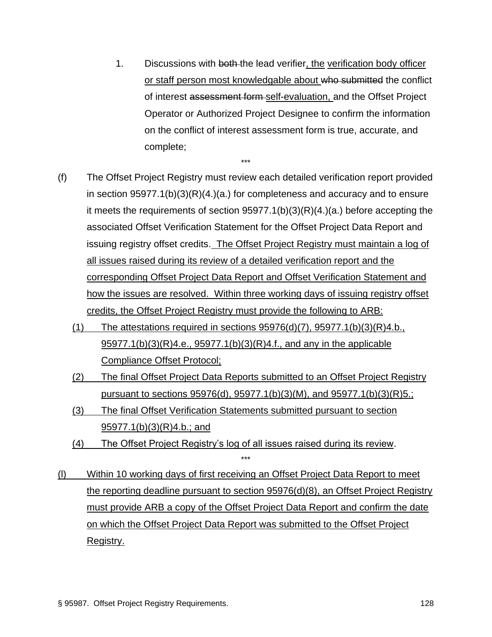- 1. Discussions with both the lead verifier, the verification body officer or staff person most knowledgable about who submitted the conflict of interest assessment form self-evaluation, and the Offset Project Operator or Authorized Project Designee to confirm the information on the conflict of interest assessment form is true, accurate, and complete;
- (f) The Offset Project Registry must review each detailed verification report provided in section 95977.1(b)(3)(R)(4.)(a.) for completeness and accuracy and to ensure it meets the requirements of section 95977.1(b)(3)(R)(4.)(a.) before accepting the associated Offset Verification Statement for the Offset Project Data Report and issuing registry offset credits. The Offset Project Registry must maintain a log of all issues raised during its review of a detailed verification report and the corresponding Offset Project Data Report and Offset Verification Statement and how the issues are resolved. Within three working days of issuing registry offset credits, the Offset Project Registry must provide the following to ARB:

- (1) The attestations required in sections  $95976(d)(7)$ ,  $95977.1(b)(3)(R)4.b$ . 95977.1(b)(3)(R)4.e., 95977.1(b)(3)(R)4.f., and any in the applicable Compliance Offset Protocol;
- (2) The final Offset Project Data Reports submitted to an Offset Project Registry pursuant to sections 95976(d), 95977.1(b)(3)(M), and 95977.1(b)(3)(R)5.;
- (3) The final Offset Verification Statements submitted pursuant to section 95977.1(b)(3)(R)4.b.; and
- (4) The Offset Project Registry's log of all issues raised during its review. \*\*\*
- (l) Within 10 working days of first receiving an Offset Project Data Report to meet the reporting deadline pursuant to section 95976(d)(8), an Offset Project Registry must provide ARB a copy of the Offset Project Data Report and confirm the date on which the Offset Project Data Report was submitted to the Offset Project Registry.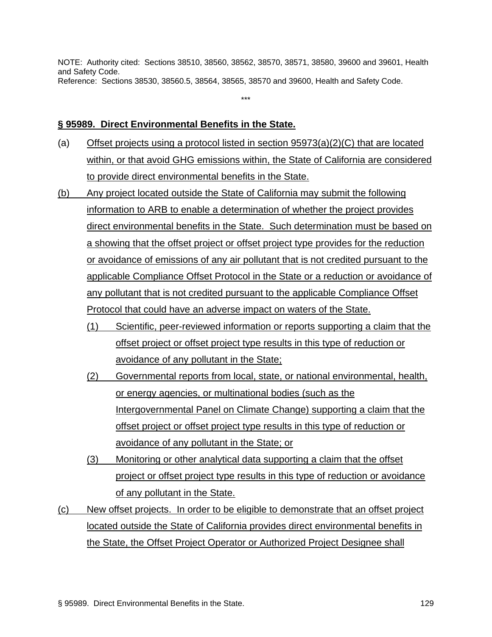NOTE: Authority cited: Sections 38510, 38560, 38562, 38570, 38571, 38580, 39600 and 39601, Health and Safety Code. Reference: Sections 38530, 38560.5, 38564, 38565, 38570 and 39600, Health and Safety Code.

\*\*\*

#### **§ 95989. Direct Environmental Benefits in the State.**

- (a) Offset projects using a protocol listed in section 95973(a)(2)(C) that are located within, or that avoid GHG emissions within, the State of California are considered to provide direct environmental benefits in the State.
- (b) Any project located outside the State of California may submit the following information to ARB to enable a determination of whether the project provides direct environmental benefits in the State. Such determination must be based on a showing that the offset project or offset project type provides for the reduction or avoidance of emissions of any air pollutant that is not credited pursuant to the applicable Compliance Offset Protocol in the State or a reduction or avoidance of any pollutant that is not credited pursuant to the applicable Compliance Offset Protocol that could have an adverse impact on waters of the State.
	- (1) Scientific, peer-reviewed information or reports supporting a claim that the offset project or offset project type results in this type of reduction or avoidance of any pollutant in the State;
	- (2) Governmental reports from local, state, or national environmental, health, or energy agencies, or multinational bodies (such as the Intergovernmental Panel on Climate Change) supporting a claim that the offset project or offset project type results in this type of reduction or avoidance of any pollutant in the State; or
	- (3) Monitoring or other analytical data supporting a claim that the offset project or offset project type results in this type of reduction or avoidance of any pollutant in the State.
- (c) New offset projects. In order to be eligible to demonstrate that an offset project located outside the State of California provides direct environmental benefits in the State, the Offset Project Operator or Authorized Project Designee shall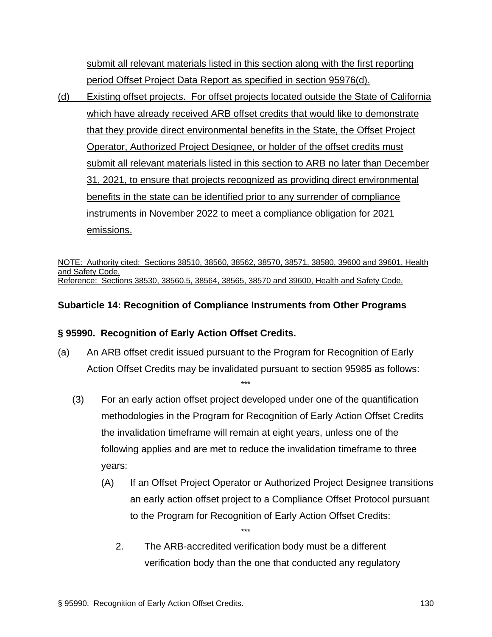submit all relevant materials listed in this section along with the first reporting period Offset Project Data Report as specified in section 95976(d).

(d) Existing offset projects. For offset projects located outside the State of California which have already received ARB offset credits that would like to demonstrate that they provide direct environmental benefits in the State, the Offset Project Operator, Authorized Project Designee, or holder of the offset credits must submit all relevant materials listed in this section to ARB no later than December 31, 2021, to ensure that projects recognized as providing direct environmental benefits in the state can be identified prior to any surrender of compliance instruments in November 2022 to meet a compliance obligation for 2021 emissions.

NOTE: Authority cited: Sections 38510, 38560, 38562, 38570, 38571, 38580, 39600 and 39601, Health and Safety Code. Reference: Sections 38530, 38560.5, 38564, 38565, 38570 and 39600, Health and Safety Code.

## **Subarticle 14: Recognition of Compliance Instruments from Other Programs**

## **§ 95990. Recognition of Early Action Offset Credits.**

(a) An ARB offset credit issued pursuant to the Program for Recognition of Early Action Offset Credits may be invalidated pursuant to section 95985 as follows:

\*\*\*

- (3) For an early action offset project developed under one of the quantification methodologies in the Program for Recognition of Early Action Offset Credits the invalidation timeframe will remain at eight years, unless one of the following applies and are met to reduce the invalidation timeframe to three years:
	- (A) If an Offset Project Operator or Authorized Project Designee transitions an early action offset project to a Compliance Offset Protocol pursuant to the Program for Recognition of Early Action Offset Credits:
		- 2. The ARB-accredited verification body must be a different verification body than the one that conducted any regulatory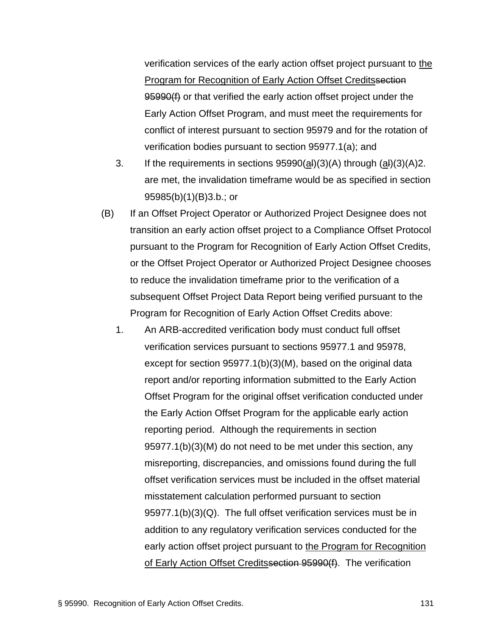verification services of the early action offset project pursuant to the Program for Recognition of Early Action Offset Creditssection 95990(f) or that verified the early action offset project under the Early Action Offset Program, and must meet the requirements for conflict of interest pursuant to section 95979 and for the rotation of verification bodies pursuant to section 95977.1(a); and

- 3. If the requirements in sections  $95990(a)(3)(A)$  through  $(a)(3)(A)2$ . are met, the invalidation timeframe would be as specified in section 95985(b)(1)(B)3.b.; or
- (B) If an Offset Project Operator or Authorized Project Designee does not transition an early action offset project to a Compliance Offset Protocol pursuant to the Program for Recognition of Early Action Offset Credits, or the Offset Project Operator or Authorized Project Designee chooses to reduce the invalidation timeframe prior to the verification of a subsequent Offset Project Data Report being verified pursuant to the Program for Recognition of Early Action Offset Credits above:
	- 1. An ARB-accredited verification body must conduct full offset verification services pursuant to sections 95977.1 and 95978, except for section 95977.1(b)(3)(M), based on the original data report and/or reporting information submitted to the Early Action Offset Program for the original offset verification conducted under the Early Action Offset Program for the applicable early action reporting period. Although the requirements in section 95977.1(b)(3)(M) do not need to be met under this section, any misreporting, discrepancies, and omissions found during the full offset verification services must be included in the offset material misstatement calculation performed pursuant to section 95977.1(b)(3)(Q). The full offset verification services must be in addition to any regulatory verification services conducted for the early action offset project pursuant to the Program for Recognition of Early Action Offset Creditssection 95990(f). The verification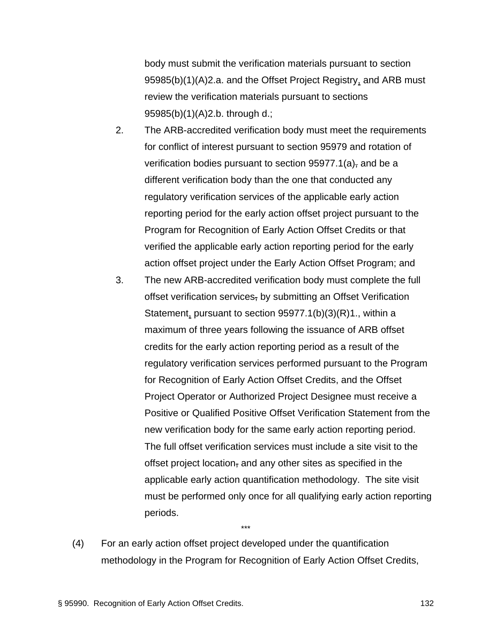body must submit the verification materials pursuant to section 95985(b)(1)(A)2.a. and the Offset Project Registry, and ARB must review the verification materials pursuant to sections 95985(b)(1)(A)2.b. through d.;

- 2. The ARB-accredited verification body must meet the requirements for conflict of interest pursuant to section 95979 and rotation of verification bodies pursuant to section  $95977.1(a)$ , and be a different verification body than the one that conducted any regulatory verification services of the applicable early action reporting period for the early action offset project pursuant to the Program for Recognition of Early Action Offset Credits or that verified the applicable early action reporting period for the early action offset project under the Early Action Offset Program; and
- 3. The new ARB-accredited verification body must complete the full offset verification services, by submitting an Offset Verification Statement, pursuant to section 95977.1(b)(3)(R)1., within a maximum of three years following the issuance of ARB offset credits for the early action reporting period as a result of the regulatory verification services performed pursuant to the Program for Recognition of Early Action Offset Credits, and the Offset Project Operator or Authorized Project Designee must receive a Positive or Qualified Positive Offset Verification Statement from the new verification body for the same early action reporting period. The full offset verification services must include a site visit to the offset project location, and any other sites as specified in the applicable early action quantification methodology. The site visit must be performed only once for all qualifying early action reporting periods.
- (4) For an early action offset project developed under the quantification methodology in the Program for Recognition of Early Action Offset Credits,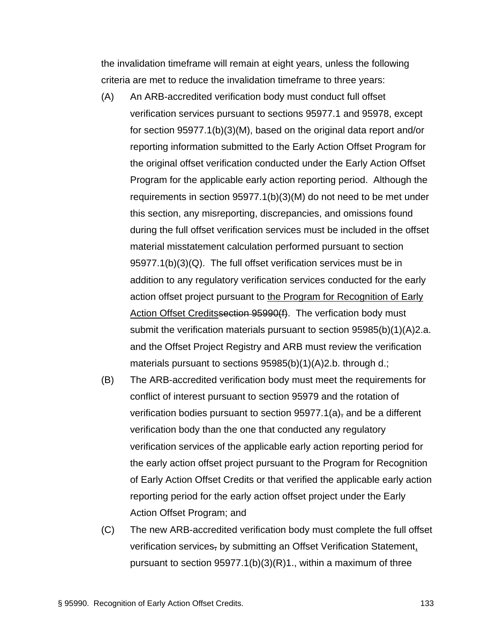the invalidation timeframe will remain at eight years, unless the following criteria are met to reduce the invalidation timeframe to three years:

- (A) An ARB-accredited verification body must conduct full offset verification services pursuant to sections 95977.1 and 95978, except for section 95977.1(b)(3)(M), based on the original data report and/or reporting information submitted to the Early Action Offset Program for the original offset verification conducted under the Early Action Offset Program for the applicable early action reporting period. Although the requirements in section 95977.1(b)(3)(M) do not need to be met under this section, any misreporting, discrepancies, and omissions found during the full offset verification services must be included in the offset material misstatement calculation performed pursuant to section 95977.1(b)(3)(Q). The full offset verification services must be in addition to any regulatory verification services conducted for the early action offset project pursuant to the Program for Recognition of Early Action Offset Creditssection 95990(f). The verfication body must submit the verification materials pursuant to section 95985(b)(1)(A)2.a. and the Offset Project Registry and ARB must review the verification materials pursuant to sections 95985(b)(1)(A)2.b. through d.;
- (B) The ARB-accredited verification body must meet the requirements for conflict of interest pursuant to section 95979 and the rotation of verification bodies pursuant to section  $95977.1(a)$ , and be a different verification body than the one that conducted any regulatory verification services of the applicable early action reporting period for the early action offset project pursuant to the Program for Recognition of Early Action Offset Credits or that verified the applicable early action reporting period for the early action offset project under the Early Action Offset Program; and
- (C) The new ARB-accredited verification body must complete the full offset verification services, by submitting an Offset Verification Statement, pursuant to section 95977.1(b)(3)(R)1., within a maximum of three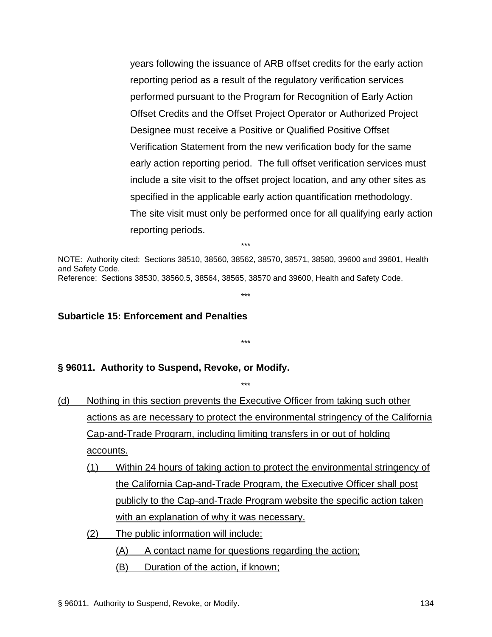years following the issuance of ARB offset credits for the early action reporting period as a result of the regulatory verification services performed pursuant to the Program for Recognition of Early Action Offset Credits and the Offset Project Operator or Authorized Project Designee must receive a Positive or Qualified Positive Offset Verification Statement from the new verification body for the same early action reporting period. The full offset verification services must include a site visit to the offset project location, and any other sites as specified in the applicable early action quantification methodology. The site visit must only be performed once for all qualifying early action reporting periods.

NOTE: Authority cited: Sections 38510, 38560, 38562, 38570, 38571, 38580, 39600 and 39601, Health and Safety Code. Reference: Sections 38530, 38560.5, 38564, 38565, 38570 and 39600, Health and Safety Code.

\*\*\*

\*\*\*

\*\*\*

#### **Subarticle 15: Enforcement and Penalties**

**§ 96011. Authority to Suspend, Revoke, or Modify.**

(d) Nothing in this section prevents the Executive Officer from taking such other actions as are necessary to protect the environmental stringency of the California Cap-and-Trade Program, including limiting transfers in or out of holding accounts.

\*\*\*

- (1) Within 24 hours of taking action to protect the environmental stringency of the California Cap-and-Trade Program, the Executive Officer shall post publicly to the Cap-and-Trade Program website the specific action taken with an explanation of why it was necessary.
- (2) The public information will include:

(A) A contact name for questions regarding the action;

(B) Duration of the action, if known;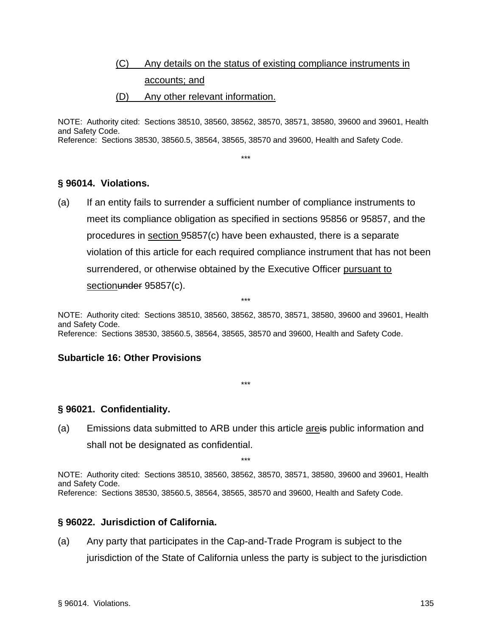# (C) Any details on the status of existing compliance instruments in accounts; and

#### (D) Any other relevant information.

NOTE: Authority cited: Sections 38510, 38560, 38562, 38570, 38571, 38580, 39600 and 39601, Health and Safety Code. Reference: Sections 38530, 38560.5, 38564, 38565, 38570 and 39600, Health and Safety Code.

\*\*\*

## **§ 96014. Violations.**

(a) If an entity fails to surrender a sufficient number of compliance instruments to meet its compliance obligation as specified in sections 95856 or 95857, and the procedures in section 95857(c) have been exhausted, there is a separate violation of this article for each required compliance instrument that has not been surrendered, or otherwise obtained by the Executive Officer pursuant to sectionunder 95857(c).

\*\*\*

NOTE: Authority cited: Sections 38510, 38560, 38562, 38570, 38571, 38580, 39600 and 39601, Health and Safety Code. Reference: Sections 38530, 38560.5, 38564, 38565, 38570 and 39600, Health and Safety Code.

\*\*\*

## **Subarticle 16: Other Provisions**

**§ 96021. Confidentiality.**

(a) Emissions data submitted to ARB under this article areis public information and shall not be designated as confidential.

\*\*\*

NOTE: Authority cited: Sections 38510, 38560, 38562, 38570, 38571, 38580, 39600 and 39601, Health and Safety Code. Reference: Sections 38530, 38560.5, 38564, 38565, 38570 and 39600, Health and Safety Code.

## **§ 96022. Jurisdiction of California.**

(a) Any party that participates in the Cap-and-Trade Program is subject to the jurisdiction of the State of California unless the party is subject to the jurisdiction